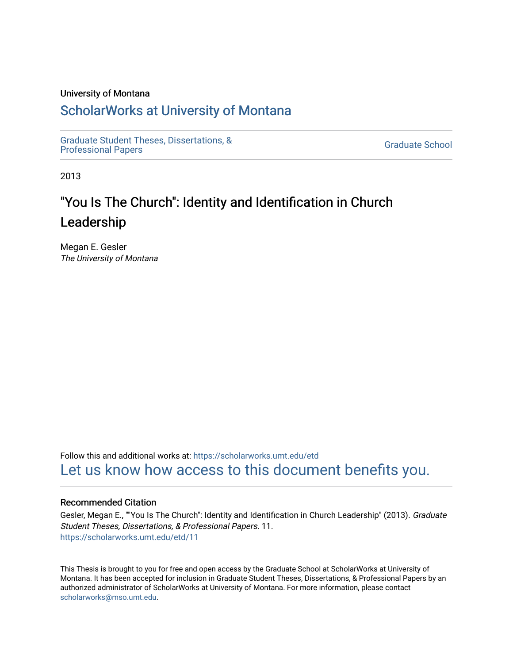## University of Montana

# [ScholarWorks at University of Montana](https://scholarworks.umt.edu/)

[Graduate Student Theses, Dissertations, &](https://scholarworks.umt.edu/etd) Graduate Student Theses, Dissertations, & Contract Control of the Graduate School [Professional Papers](https://scholarworks.umt.edu/etd) Contract Control of the Contract Control of the Contract Control of the Contract Contract Contract Control of the Contra

2013

# "You Is The Church": Identity and Identification in Church Leadership

Megan E. Gesler The University of Montana

Follow this and additional works at: [https://scholarworks.umt.edu/etd](https://scholarworks.umt.edu/etd?utm_source=scholarworks.umt.edu%2Fetd%2F11&utm_medium=PDF&utm_campaign=PDFCoverPages)  [Let us know how access to this document benefits you.](https://goo.gl/forms/s2rGfXOLzz71qgsB2) 

## Recommended Citation

Gesler, Megan E., ""You Is The Church": Identity and Identification in Church Leadership" (2013). Graduate Student Theses, Dissertations, & Professional Papers. 11. [https://scholarworks.umt.edu/etd/11](https://scholarworks.umt.edu/etd/11?utm_source=scholarworks.umt.edu%2Fetd%2F11&utm_medium=PDF&utm_campaign=PDFCoverPages) 

This Thesis is brought to you for free and open access by the Graduate School at ScholarWorks at University of Montana. It has been accepted for inclusion in Graduate Student Theses, Dissertations, & Professional Papers by an authorized administrator of ScholarWorks at University of Montana. For more information, please contact [scholarworks@mso.umt.edu.](mailto:scholarworks@mso.umt.edu)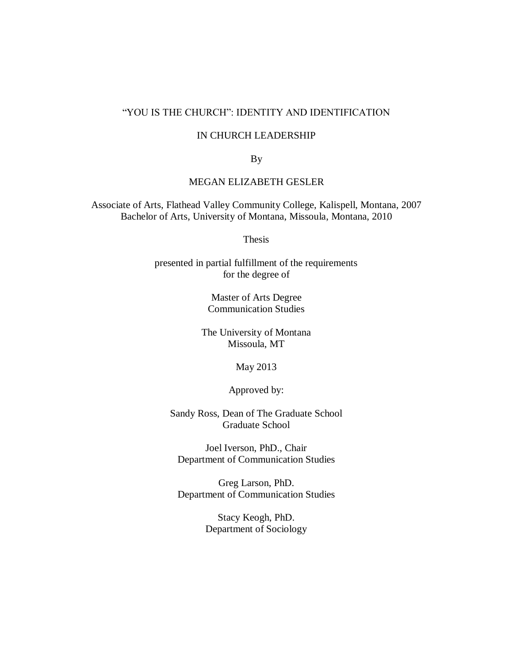## "YOU IS THE CHURCH": IDENTITY AND IDENTIFICATION

## IN CHURCH LEADERSHIP

By

## MEGAN ELIZABETH GESLER

 Associate of Arts, Flathead Valley Community College, Kalispell, Montana, 2007 Bachelor of Arts, University of Montana, Missoula, Montana, 2010

**Thesis** 

 presented in partial fulfillment of the requirements for the degree of

> Master of Arts Degree Communication Studies

 The University of Montana Missoula, MT

May 2013

Approved by:

 Sandy Ross, Dean of The Graduate School Graduate School

 Joel Iverson, PhD., Chair Department of Communication Studies

 Greg Larson, PhD. Department of Communication Studies

> Stacy Keogh, PhD. Department of Sociology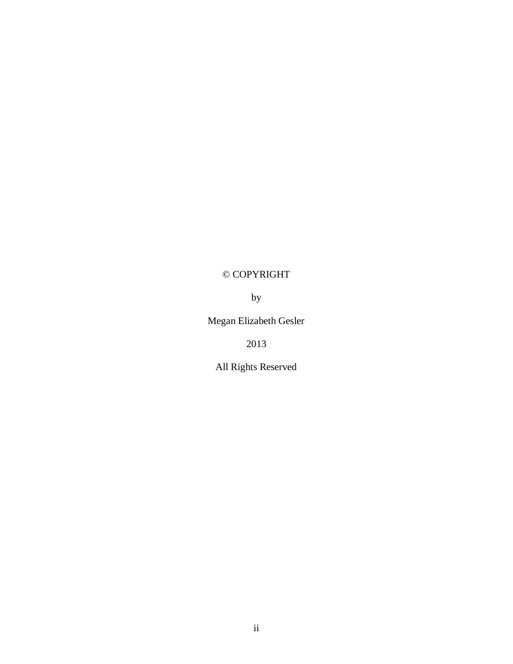# © COPYRIGHT

by

Megan Elizabeth Gesler

2013

All Rights Reserved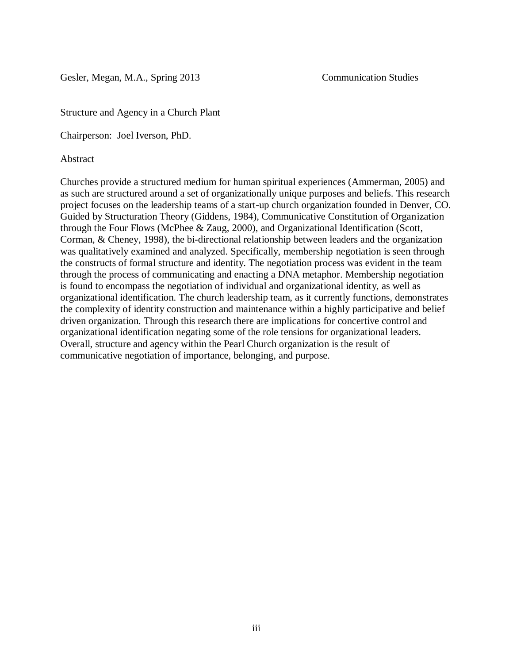Gesler, Megan, M.A., Spring 2013 Communication Studies

Structure and Agency in a Church Plant

Chairperson: Joel Iverson, PhD.

Abstract

 Churches provide a structured medium for human spiritual experiences (Ammerman, 2005) and as such are structured around a set of organizationally unique purposes and beliefs. This research project focuses on the leadership teams of a start-up church organization founded in Denver, CO. Guided by Structuration Theory (Giddens, 1984), Communicative Constitution of Organization through the Four Flows (McPhee & Zaug, 2000), and Organizational Identification (Scott, Corman, & Cheney, 1998), the bi-directional relationship between leaders and the organization was qualitatively examined and analyzed. Specifically, membership negotiation is seen through the constructs of formal structure and identity. The negotiation process was evident in the team through the process of communicating and enacting a DNA metaphor. Membership negotiation is found to encompass the negotiation of individual and organizational identity, as well as organizational identification. The church leadership team, as it currently functions, demonstrates the complexity of identity construction and maintenance within a highly participative and belief driven organization. Through this research there are implications for concertive control and organizational identification negating some of the role tensions for organizational leaders. Overall, structure and agency within the Pearl Church organization is the result of communicative negotiation of importance, belonging, and purpose.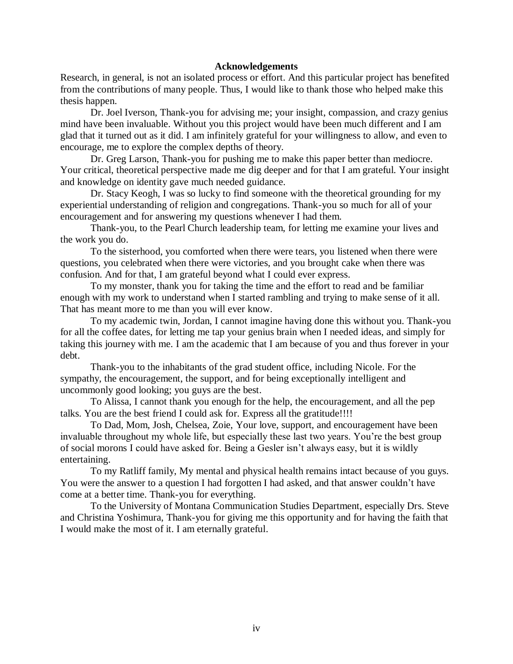## **Acknowledgements**

 Research, in general, is not an isolated process or effort. And this particular project has benefited from the contributions of many people. Thus, I would like to thank those who helped make this thesis happen.

 Dr. Joel Iverson, Thank-you for advising me; your insight, compassion, and crazy genius mind have been invaluable. Without you this project would have been much different and I am glad that it turned out as it did. I am infinitely grateful for your willingness to allow, and even to encourage, me to explore the complex depths of theory.

 Dr. Greg Larson, Thank-you for pushing me to make this paper better than mediocre. Your critical, theoretical perspective made me dig deeper and for that I am grateful. Your insight and knowledge on identity gave much needed guidance.

 Dr. Stacy Keogh, I was so lucky to find someone with the theoretical grounding for my experiential understanding of religion and congregations. Thank-you so much for all of your encouragement and for answering my questions whenever I had them.

 Thank-you, to the Pearl Church leadership team, for letting me examine your lives and the work you do.

 To the sisterhood, you comforted when there were tears, you listened when there were questions, you celebrated when there were victories, and you brought cake when there was confusion. And for that, I am grateful beyond what I could ever express.

 To my monster, thank you for taking the time and the effort to read and be familiar enough with my work to understand when I started rambling and trying to make sense of it all. That has meant more to me than you will ever know.

 To my academic twin, Jordan, I cannot imagine having done this without you. Thank-you for all the coffee dates, for letting me tap your genius brain when I needed ideas, and simply for taking this journey with me. I am the academic that I am because of you and thus forever in your debt.

 Thank-you to the inhabitants of the grad student office, including Nicole. For the sympathy, the encouragement, the support, and for being exceptionally intelligent and uncommonly good looking; you guys are the best.

 To Alissa, I cannot thank you enough for the help, the encouragement, and all the pep talks. You are the best friend I could ask for. Express all the gratitude!!!!

 To Dad, Mom, Josh, Chelsea, Zoie, Your love, support, and encouragement have been invaluable throughout my whole life, but especially these last two years. You"re the best group of social morons I could have asked for. Being a Gesler isn"t always easy, but it is wildly entertaining.

 To my Ratliff family, My mental and physical health remains intact because of you guys. You were the answer to a question I had forgotten I had asked, and that answer couldn"t have come at a better time. Thank-you for everything.

 To the University of Montana Communication Studies Department, especially Drs. Steve and Christina Yoshimura, Thank-you for giving me this opportunity and for having the faith that I would make the most of it. I am eternally grateful.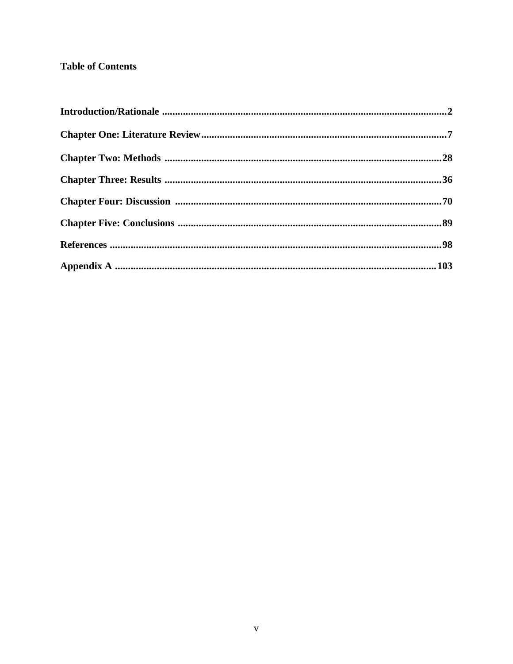## **Table of Contents**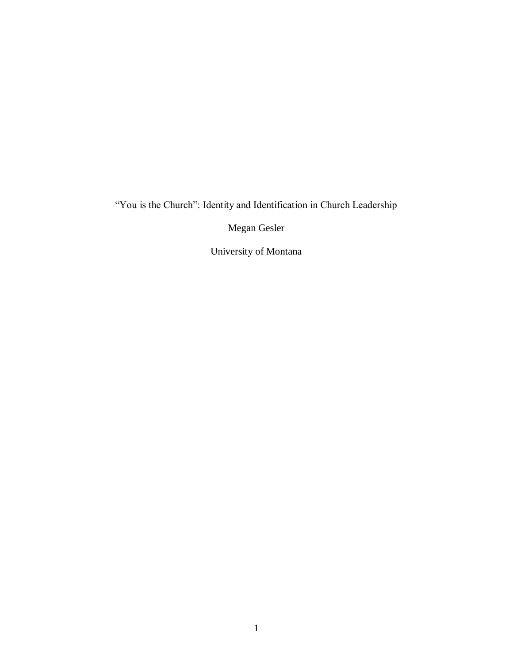## "You is the Church": Identity and Identification in Church Leadership

Megan Gesler

University of Montana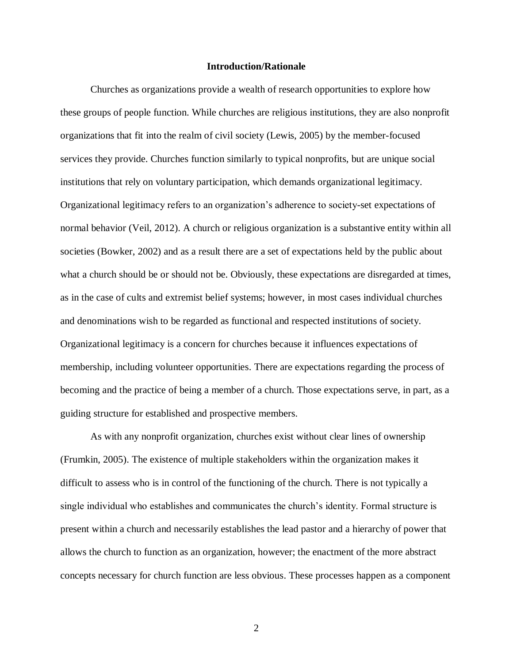## **Introduction/Rationale**

 Churches as organizations provide a wealth of research opportunities to explore how these groups of people function. While churches are religious institutions, they are also nonprofit organizations that fit into the realm of civil society (Lewis, 2005) by the member-focused services they provide. Churches function similarly to typical nonprofits, but are unique social institutions that rely on voluntary participation, which demands organizational legitimacy. Organizational legitimacy refers to an organization's adherence to society-set expectations of normal behavior (Veil, 2012). A church or religious organization is a substantive entity within all societies (Bowker, 2002) and as a result there are a set of expectations held by the public about what a church should be or should not be. Obviously, these expectations are disregarded at times, as in the case of cults and extremist belief systems; however, in most cases individual churches and denominations wish to be regarded as functional and respected institutions of society. Organizational legitimacy is a concern for churches because it influences expectations of membership, including volunteer opportunities. There are expectations regarding the process of becoming and the practice of being a member of a church. Those expectations serve, in part, as a guiding structure for established and prospective members.

 As with any nonprofit organization, churches exist without clear lines of ownership (Frumkin, 2005). The existence of multiple stakeholders within the organization makes it difficult to assess who is in control of the functioning of the church. There is not typically a single individual who establishes and communicates the church's identity. Formal structure is present within a church and necessarily establishes the lead pastor and a hierarchy of power that allows the church to function as an organization, however; the enactment of the more abstract concepts necessary for church function are less obvious. These processes happen as a component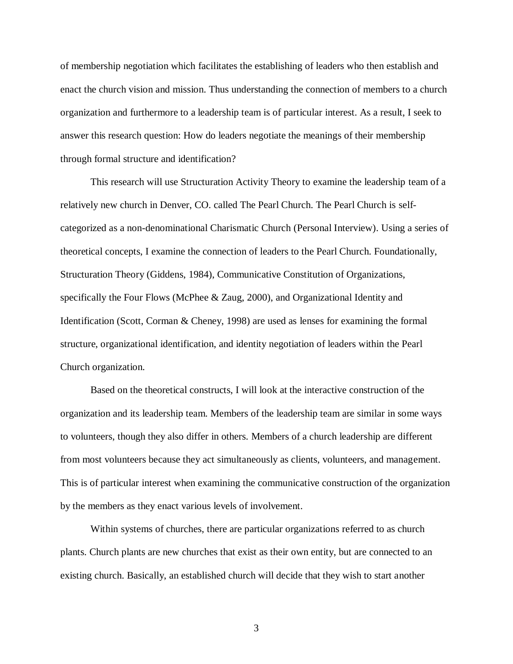of membership negotiation which facilitates the establishing of leaders who then establish and enact the church vision and mission. Thus understanding the connection of members to a church organization and furthermore to a leadership team is of particular interest. As a result, I seek to answer this research question: How do leaders negotiate the meanings of their membership through formal structure and identification?

 This research will use Structuration Activity Theory to examine the leadership team of a relatively new church in Denver, CO. called The Pearl Church. The Pearl Church is self- categorized as a non-denominational Charismatic Church (Personal Interview). Using a series of theoretical concepts, I examine the connection of leaders to the Pearl Church. Foundationally, Structuration Theory (Giddens, 1984), Communicative Constitution of Organizations, specifically the Four Flows (McPhee & Zaug, 2000), and Organizational Identity and Identification (Scott, Corman & Cheney, 1998) are used as lenses for examining the formal structure, organizational identification, and identity negotiation of leaders within the Pearl Church organization.

 Based on the theoretical constructs, I will look at the interactive construction of the organization and its leadership team. Members of the leadership team are similar in some ways to volunteers, though they also differ in others. Members of a church leadership are different from most volunteers because they act simultaneously as clients, volunteers, and management. This is of particular interest when examining the communicative construction of the organization by the members as they enact various levels of involvement.

 Within systems of churches, there are particular organizations referred to as church plants. Church plants are new churches that exist as their own entity, but are connected to an existing church. Basically, an established church will decide that they wish to start another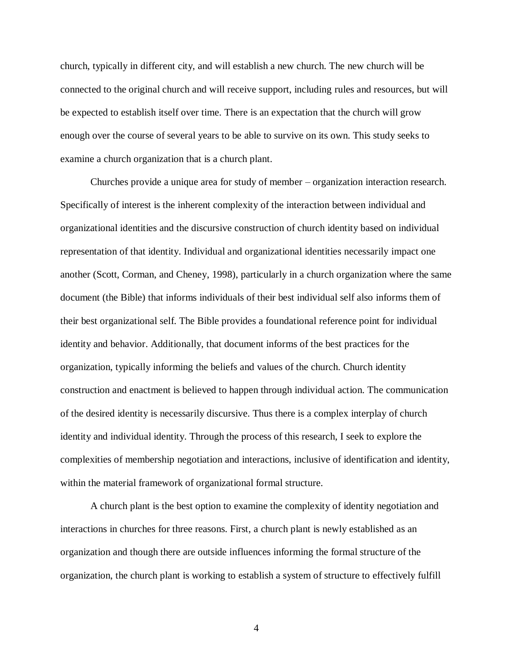church, typically in different city, and will establish a new church. The new church will be connected to the original church and will receive support, including rules and resources, but will be expected to establish itself over time. There is an expectation that the church will grow enough over the course of several years to be able to survive on its own. This study seeks to examine a church organization that is a church plant.

 Churches provide a unique area for study of member – organization interaction research. Specifically of interest is the inherent complexity of the interaction between individual and organizational identities and the discursive construction of church identity based on individual representation of that identity. Individual and organizational identities necessarily impact one another (Scott, Corman, and Cheney, 1998), particularly in a church organization where the same document (the Bible) that informs individuals of their best individual self also informs them of their best organizational self. The Bible provides a foundational reference point for individual identity and behavior. Additionally, that document informs of the best practices for the organization, typically informing the beliefs and values of the church. Church identity construction and enactment is believed to happen through individual action. The communication of the desired identity is necessarily discursive. Thus there is a complex interplay of church identity and individual identity. Through the process of this research, I seek to explore the complexities of membership negotiation and interactions, inclusive of identification and identity, within the material framework of organizational formal structure.

 A church plant is the best option to examine the complexity of identity negotiation and interactions in churches for three reasons. First, a church plant is newly established as an organization and though there are outside influences informing the formal structure of the organization, the church plant is working to establish a system of structure to effectively fulfill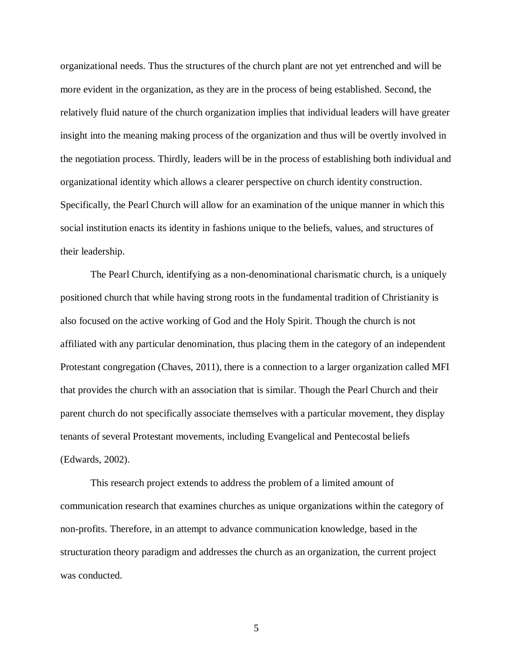organizational needs. Thus the structures of the church plant are not yet entrenched and will be more evident in the organization, as they are in the process of being established. Second, the relatively fluid nature of the church organization implies that individual leaders will have greater insight into the meaning making process of the organization and thus will be overtly involved in the negotiation process. Thirdly, leaders will be in the process of establishing both individual and organizational identity which allows a clearer perspective on church identity construction. Specifically, the Pearl Church will allow for an examination of the unique manner in which this social institution enacts its identity in fashions unique to the beliefs, values, and structures of their leadership.

 The Pearl Church, identifying as a non-denominational charismatic church, is a uniquely positioned church that while having strong roots in the fundamental tradition of Christianity is also focused on the active working of God and the Holy Spirit. Though the church is not affiliated with any particular denomination, thus placing them in the category of an independent Protestant congregation (Chaves, 2011), there is a connection to a larger organization called MFI that provides the church with an association that is similar. Though the Pearl Church and their parent church do not specifically associate themselves with a particular movement, they display tenants of several Protestant movements, including Evangelical and Pentecostal beliefs (Edwards, 2002).

 This research project extends to address the problem of a limited amount of communication research that examines churches as unique organizations within the category of non-profits. Therefore, in an attempt to advance communication knowledge, based in the structuration theory paradigm and addresses the church as an organization, the current project was conducted.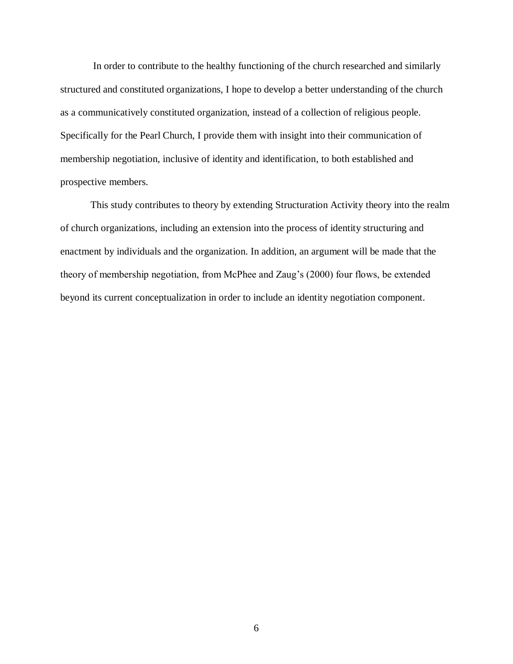In order to contribute to the healthy functioning of the church researched and similarly structured and constituted organizations, I hope to develop a better understanding of the church as a communicatively constituted organization, instead of a collection of religious people. Specifically for the Pearl Church, I provide them with insight into their communication of membership negotiation, inclusive of identity and identification, to both established and prospective members.

 This study contributes to theory by extending Structuration Activity theory into the realm of church organizations, including an extension into the process of identity structuring and enactment by individuals and the organization. In addition, an argument will be made that the theory of membership negotiation, from McPhee and Zaug"s (2000) four flows, be extended beyond its current conceptualization in order to include an identity negotiation component.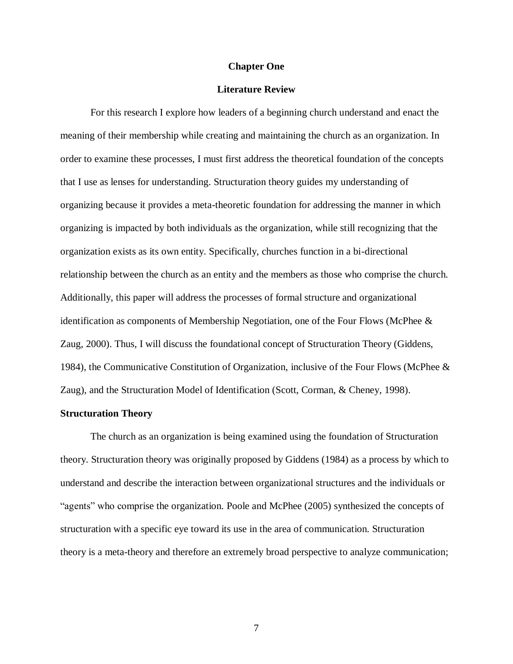#### **Chapter One**

## **Literature Review**

 For this research I explore how leaders of a beginning church understand and enact the meaning of their membership while creating and maintaining the church as an organization. In order to examine these processes, I must first address the theoretical foundation of the concepts that I use as lenses for understanding. Structuration theory guides my understanding of organizing because it provides a meta-theoretic foundation for addressing the manner in which organizing is impacted by both individuals as the organization, while still recognizing that the organization exists as its own entity. Specifically, churches function in a bi-directional relationship between the church as an entity and the members as those who comprise the church. Additionally, this paper will address the processes of formal structure and organizational identification as components of Membership Negotiation, one of the Four Flows (McPhee & Zaug, 2000). Thus, I will discuss the foundational concept of Structuration Theory (Giddens, 1984), the Communicative Constitution of Organization, inclusive of the Four Flows (McPhee & Zaug), and the Structuration Model of Identification (Scott, Corman, & Cheney, 1998).

#### **Structuration Theory**

 The church as an organization is being examined using the foundation of Structuration theory. Structuration theory was originally proposed by Giddens (1984) as a process by which to understand and describe the interaction between organizational structures and the individuals or "agents" who comprise the organization. Poole and McPhee (2005) synthesized the concepts of structuration with a specific eye toward its use in the area of communication. Structuration theory is a meta-theory and therefore an extremely broad perspective to analyze communication;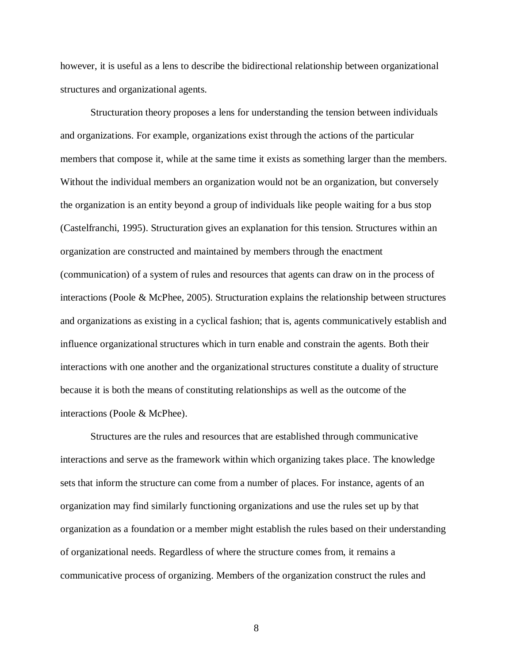however, it is useful as a lens to describe the bidirectional relationship between organizational structures and organizational agents.

 Structuration theory proposes a lens for understanding the tension between individuals and organizations. For example, organizations exist through the actions of the particular members that compose it, while at the same time it exists as something larger than the members. Without the individual members an organization would not be an organization, but conversely the organization is an entity beyond a group of individuals like people waiting for a bus stop (Castelfranchi, 1995). Structuration gives an explanation for this tension. Structures within an organization are constructed and maintained by members through the enactment (communication) of a system of rules and resources that agents can draw on in the process of interactions (Poole & McPhee, 2005). Structuration explains the relationship between structures and organizations as existing in a cyclical fashion; that is, agents communicatively establish and influence organizational structures which in turn enable and constrain the agents. Both their interactions with one another and the organizational structures constitute a duality of structure because it is both the means of constituting relationships as well as the outcome of the interactions (Poole & McPhee).

 Structures are the rules and resources that are established through communicative interactions and serve as the framework within which organizing takes place. The knowledge sets that inform the structure can come from a number of places. For instance, agents of an organization may find similarly functioning organizations and use the rules set up by that organization as a foundation or a member might establish the rules based on their understanding of organizational needs. Regardless of where the structure comes from, it remains a communicative process of organizing. Members of the organization construct the rules and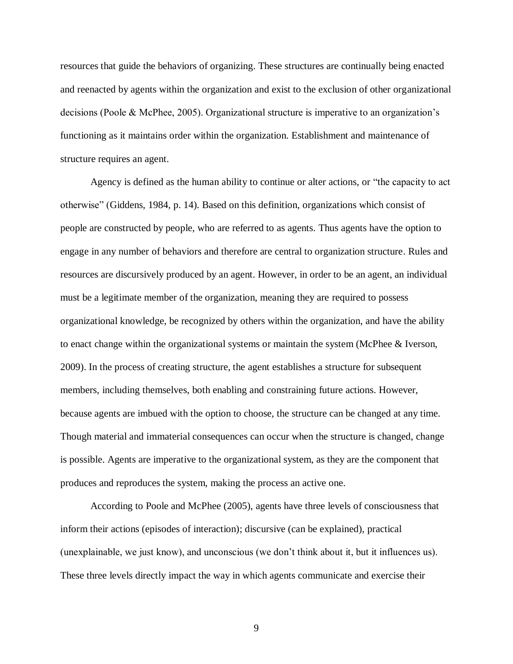resources that guide the behaviors of organizing. These structures are continually being enacted and reenacted by agents within the organization and exist to the exclusion of other organizational decisions (Poole & McPhee, 2005). Organizational structure is imperative to an organization's functioning as it maintains order within the organization. Establishment and maintenance of structure requires an agent.

 Agency is defined as the human ability to continue or alter actions, or "the capacity to act otherwise" (Giddens, 1984, p. 14). Based on this definition, organizations which consist of people are constructed by people, who are referred to as agents. Thus agents have the option to engage in any number of behaviors and therefore are central to organization structure. Rules and resources are discursively produced by an agent. However, in order to be an agent, an individual must be a legitimate member of the organization, meaning they are required to possess organizational knowledge, be recognized by others within the organization, and have the ability to enact change within the organizational systems or maintain the system (McPhee & Iverson, 2009). In the process of creating structure, the agent establishes a structure for subsequent members, including themselves, both enabling and constraining future actions. However, because agents are imbued with the option to choose, the structure can be changed at any time. Though material and immaterial consequences can occur when the structure is changed, change is possible. Agents are imperative to the organizational system, as they are the component that produces and reproduces the system, making the process an active one.

 According to Poole and McPhee (2005), agents have three levels of consciousness that inform their actions (episodes of interaction); discursive (can be explained), practical (unexplainable, we just know), and unconscious (we don"t think about it, but it influences us). These three levels directly impact the way in which agents communicate and exercise their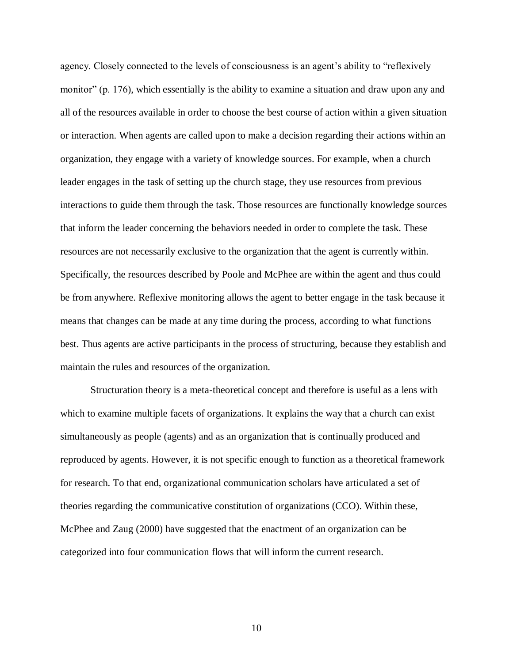agency. Closely connected to the levels of consciousness is an agent"s ability to "reflexively monitor" (p. 176), which essentially is the ability to examine a situation and draw upon any and all of the resources available in order to choose the best course of action within a given situation or interaction. When agents are called upon to make a decision regarding their actions within an organization, they engage with a variety of knowledge sources. For example, when a church leader engages in the task of setting up the church stage, they use resources from previous interactions to guide them through the task. Those resources are functionally knowledge sources that inform the leader concerning the behaviors needed in order to complete the task. These resources are not necessarily exclusive to the organization that the agent is currently within. Specifically, the resources described by Poole and McPhee are within the agent and thus could be from anywhere. Reflexive monitoring allows the agent to better engage in the task because it means that changes can be made at any time during the process, according to what functions best. Thus agents are active participants in the process of structuring, because they establish and maintain the rules and resources of the organization.

 Structuration theory is a meta-theoretical concept and therefore is useful as a lens with which to examine multiple facets of organizations. It explains the way that a church can exist simultaneously as people (agents) and as an organization that is continually produced and reproduced by agents. However, it is not specific enough to function as a theoretical framework for research. To that end, organizational communication scholars have articulated a set of theories regarding the communicative constitution of organizations (CCO). Within these, McPhee and Zaug (2000) have suggested that the enactment of an organization can be categorized into four communication flows that will inform the current research.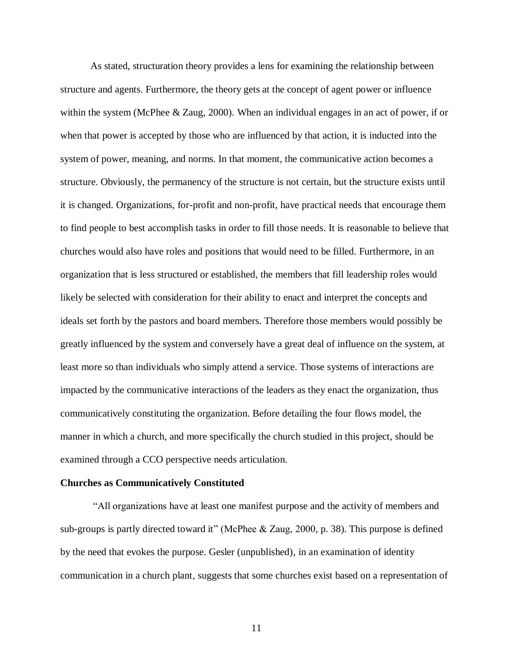As stated, structuration theory provides a lens for examining the relationship between structure and agents. Furthermore, the theory gets at the concept of agent power or influence within the system (McPhee & Zaug, 2000). When an individual engages in an act of power, if or when that power is accepted by those who are influenced by that action, it is inducted into the system of power, meaning, and norms. In that moment, the communicative action becomes a structure. Obviously, the permanency of the structure is not certain, but the structure exists until it is changed. Organizations, for-profit and non-profit, have practical needs that encourage them to find people to best accomplish tasks in order to fill those needs. It is reasonable to believe that churches would also have roles and positions that would need to be filled. Furthermore, in an organization that is less structured or established, the members that fill leadership roles would likely be selected with consideration for their ability to enact and interpret the concepts and ideals set forth by the pastors and board members. Therefore those members would possibly be greatly influenced by the system and conversely have a great deal of influence on the system, at least more so than individuals who simply attend a service. Those systems of interactions are impacted by the communicative interactions of the leaders as they enact the organization, thus communicatively constituting the organization. Before detailing the four flows model, the manner in which a church, and more specifically the church studied in this project, should be examined through a CCO perspective needs articulation.

#### **Churches as Communicatively Constituted**

 "All organizations have at least one manifest purpose and the activity of members and sub-groups is partly directed toward it" (McPhee & Zaug, 2000, p. 38). This purpose is defined by the need that evokes the purpose. Gesler (unpublished), in an examination of identity communication in a church plant, suggests that some churches exist based on a representation of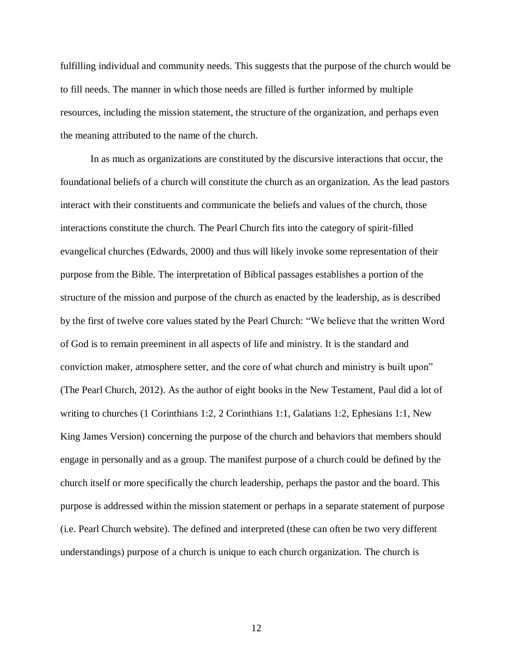fulfilling individual and community needs. This suggests that the purpose of the church would be to fill needs. The manner in which those needs are filled is further informed by multiple resources, including the mission statement, the structure of the organization, and perhaps even the meaning attributed to the name of the church.

 In as much as organizations are constituted by the discursive interactions that occur, the foundational beliefs of a church will constitute the church as an organization. As the lead pastors interact with their constituents and communicate the beliefs and values of the church, those interactions constitute the church. The Pearl Church fits into the category of spirit-filled evangelical churches (Edwards, 2000) and thus will likely invoke some representation of their purpose from the Bible. The interpretation of Biblical passages establishes a portion of the structure of the mission and purpose of the church as enacted by the leadership, as is described by the first of twelve core values stated by the Pearl Church: "We believe that the written Word of God is to remain preeminent in all aspects of life and ministry. It is the standard and conviction maker, atmosphere setter, and the core of what church and ministry is built upon" (The Pearl Church, 2012). As the author of eight books in the New Testament, Paul did a lot of writing to churches (1 Corinthians 1:2, 2 Corinthians 1:1, Galatians 1:2, Ephesians 1:1, New King James Version) concerning the purpose of the church and behaviors that members should engage in personally and as a group. The manifest purpose of a church could be defined by the church itself or more specifically the church leadership, perhaps the pastor and the board. This purpose is addressed within the mission statement or perhaps in a separate statement of purpose (i.e. Pearl Church website). The defined and interpreted (these can often be two very different understandings) purpose of a church is unique to each church organization. The church is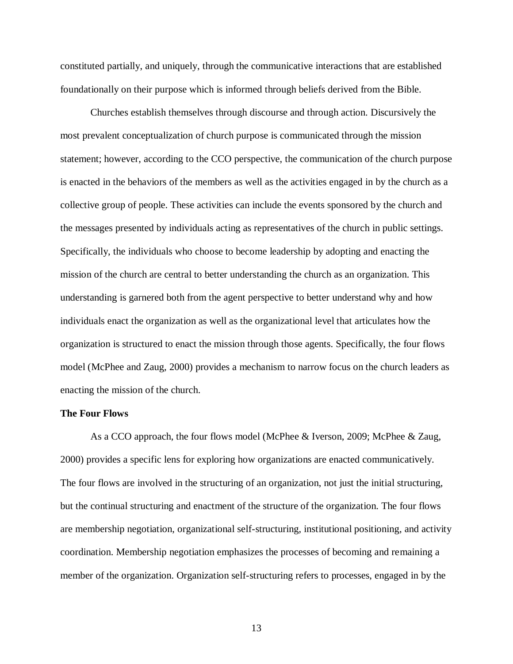constituted partially, and uniquely, through the communicative interactions that are established foundationally on their purpose which is informed through beliefs derived from the Bible.

 Churches establish themselves through discourse and through action. Discursively the most prevalent conceptualization of church purpose is communicated through the mission statement; however, according to the CCO perspective, the communication of the church purpose is enacted in the behaviors of the members as well as the activities engaged in by the church as a collective group of people. These activities can include the events sponsored by the church and the messages presented by individuals acting as representatives of the church in public settings. Specifically, the individuals who choose to become leadership by adopting and enacting the mission of the church are central to better understanding the church as an organization. This understanding is garnered both from the agent perspective to better understand why and how individuals enact the organization as well as the organizational level that articulates how the organization is structured to enact the mission through those agents. Specifically, the four flows model (McPhee and Zaug, 2000) provides a mechanism to narrow focus on the church leaders as enacting the mission of the church.

## **The Four Flows**

 As a CCO approach, the four flows model (McPhee & Iverson, 2009; McPhee & Zaug, 2000) provides a specific lens for exploring how organizations are enacted communicatively. The four flows are involved in the structuring of an organization, not just the initial structuring, but the continual structuring and enactment of the structure of the organization. The four flows are membership negotiation, organizational self-structuring, institutional positioning, and activity coordination. Membership negotiation emphasizes the processes of becoming and remaining a member of the organization. Organization self-structuring refers to processes, engaged in by the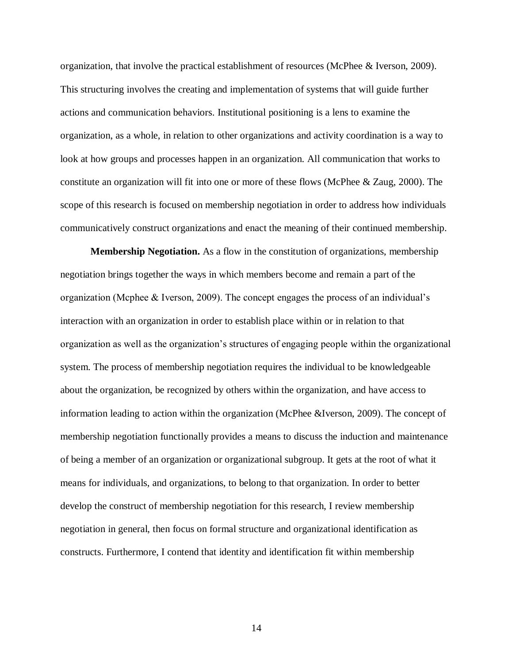organization, that involve the practical establishment of resources (McPhee & Iverson, 2009). This structuring involves the creating and implementation of systems that will guide further actions and communication behaviors. Institutional positioning is a lens to examine the organization, as a whole, in relation to other organizations and activity coordination is a way to look at how groups and processes happen in an organization. All communication that works to constitute an organization will fit into one or more of these flows (McPhee & Zaug, 2000). The scope of this research is focused on membership negotiation in order to address how individuals communicatively construct organizations and enact the meaning of their continued membership.

 **Membership Negotiation.** As a flow in the constitution of organizations, membership negotiation brings together the ways in which members become and remain a part of the organization (Mcphee & Iverson, 2009). The concept engages the process of an individual"s interaction with an organization in order to establish place within or in relation to that organization as well as the organization's structures of engaging people within the organizational system. The process of membership negotiation requires the individual to be knowledgeable about the organization, be recognized by others within the organization, and have access to information leading to action within the organization (McPhee &Iverson, 2009). The concept of membership negotiation functionally provides a means to discuss the induction and maintenance of being a member of an organization or organizational subgroup. It gets at the root of what it means for individuals, and organizations, to belong to that organization. In order to better develop the construct of membership negotiation for this research, I review membership negotiation in general, then focus on formal structure and organizational identification as constructs. Furthermore, I contend that identity and identification fit within membership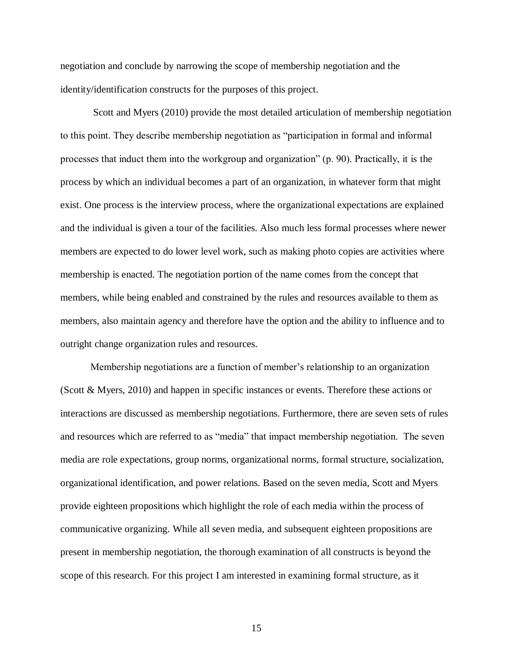negotiation and conclude by narrowing the scope of membership negotiation and the identity/identification constructs for the purposes of this project.

 Scott and Myers (2010) provide the most detailed articulation of membership negotiation to this point. They describe membership negotiation as "participation in formal and informal processes that induct them into the workgroup and organization" (p. 90). Practically, it is the process by which an individual becomes a part of an organization, in whatever form that might exist. One process is the interview process, where the organizational expectations are explained and the individual is given a tour of the facilities. Also much less formal processes where newer members are expected to do lower level work, such as making photo copies are activities where membership is enacted. The negotiation portion of the name comes from the concept that members, while being enabled and constrained by the rules and resources available to them as members, also maintain agency and therefore have the option and the ability to influence and to outright change organization rules and resources.

 Membership negotiations are a function of member"s relationship to an organization (Scott & Myers, 2010) and happen in specific instances or events. Therefore these actions or interactions are discussed as membership negotiations. Furthermore, there are seven sets of rules and resources which are referred to as "media" that impact membership negotiation. The seven media are role expectations, group norms, organizational norms, formal structure, socialization, organizational identification, and power relations. Based on the seven media, Scott and Myers provide eighteen propositions which highlight the role of each media within the process of communicative organizing. While all seven media, and subsequent eighteen propositions are present in membership negotiation, the thorough examination of all constructs is beyond the scope of this research. For this project I am interested in examining formal structure, as it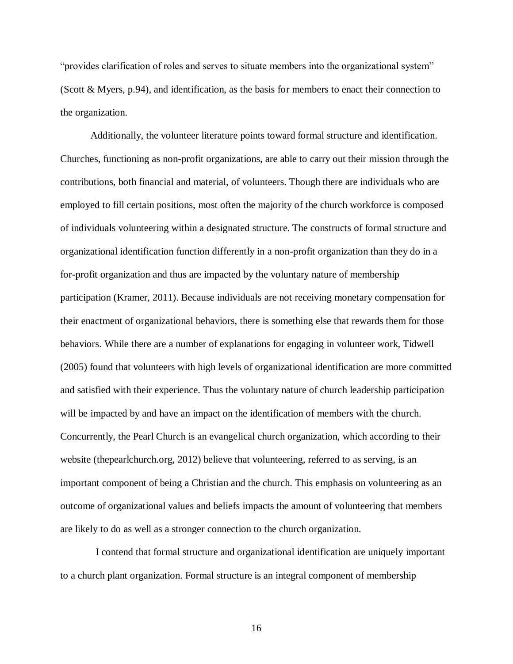"provides clarification of roles and serves to situate members into the organizational system" (Scott & Myers, p.94), and identification, as the basis for members to enact their connection to the organization.

 Additionally, the volunteer literature points toward formal structure and identification. Churches, functioning as non-profit organizations, are able to carry out their mission through the contributions, both financial and material, of volunteers. Though there are individuals who are employed to fill certain positions, most often the majority of the church workforce is composed of individuals volunteering within a designated structure. The constructs of formal structure and organizational identification function differently in a non-profit organization than they do in a for-profit organization and thus are impacted by the voluntary nature of membership participation (Kramer, 2011). Because individuals are not receiving monetary compensation for their enactment of organizational behaviors, there is something else that rewards them for those behaviors. While there are a number of explanations for engaging in volunteer work, Tidwell (2005) found that volunteers with high levels of organizational identification are more committed and satisfied with their experience. Thus the voluntary nature of church leadership participation will be impacted by and have an impact on the identification of members with the church. Concurrently, the Pearl Church is an evangelical church organization, which according to their website (thepearlchurch.org, 2012) believe that volunteering, referred to as serving, is an important component of being a Christian and the church. This emphasis on volunteering as an outcome of organizational values and beliefs impacts the amount of volunteering that members are likely to do as well as a stronger connection to the church organization.

 to a church plant organization. Formal structure is an integral component of membership I contend that formal structure and organizational identification are uniquely important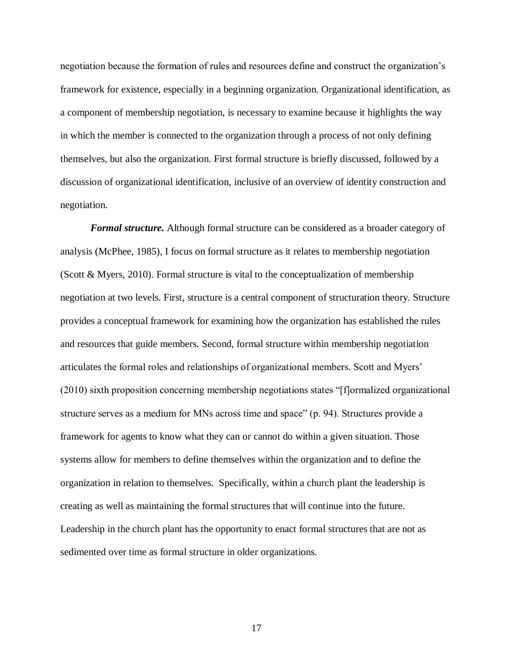negotiation because the formation of rules and resources define and construct the organization"s framework for existence, especially in a beginning organization. Organizational identification, as a component of membership negotiation, is necessary to examine because it highlights the way in which the member is connected to the organization through a process of not only defining themselves, but also the organization. First formal structure is briefly discussed, followed by a discussion of organizational identification, inclusive of an overview of identity construction and negotiation.

 *Formal structure.* Although formal structure can be considered as a broader category of analysis (McPhee, 1985), I focus on formal structure as it relates to membership negotiation (Scott & Myers, 2010). Formal structure is vital to the conceptualization of membership negotiation at two levels. First, structure is a central component of structuration theory. Structure provides a conceptual framework for examining how the organization has established the rules and resources that guide members. Second, formal structure within membership negotiation articulates the formal roles and relationships of organizational members. Scott and Myers" (2010) sixth proposition concerning membership negotiations states "[f]ormalized organizational structure serves as a medium for MNs across time and space" (p. 94). Structures provide a framework for agents to know what they can or cannot do within a given situation. Those systems allow for members to define themselves within the organization and to define the organization in relation to themselves. Specifically, within a church plant the leadership is creating as well as maintaining the formal structures that will continue into the future. Leadership in the church plant has the opportunity to enact formal structures that are not as sedimented over time as formal structure in older organizations.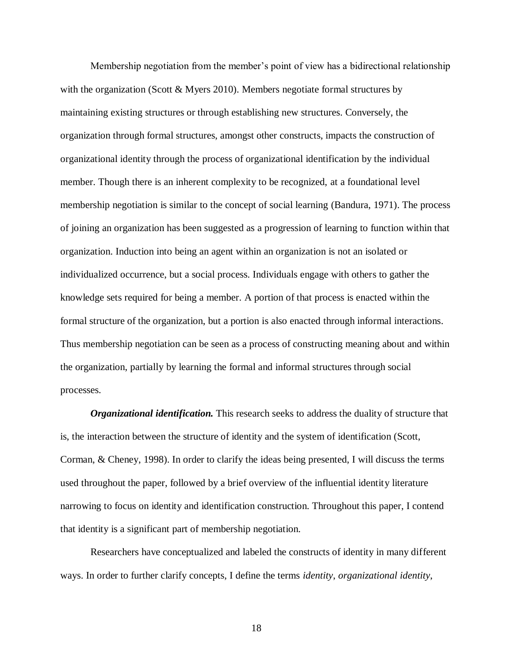Membership negotiation from the member"s point of view has a bidirectional relationship with the organization (Scott & Myers 2010). Members negotiate formal structures by maintaining existing structures or through establishing new structures. Conversely, the organization through formal structures, amongst other constructs, impacts the construction of organizational identity through the process of organizational identification by the individual member. Though there is an inherent complexity to be recognized, at a foundational level membership negotiation is similar to the concept of social learning (Bandura, 1971). The process of joining an organization has been suggested as a progression of learning to function within that organization. Induction into being an agent within an organization is not an isolated or individualized occurrence, but a social process. Individuals engage with others to gather the knowledge sets required for being a member. A portion of that process is enacted within the formal structure of the organization, but a portion is also enacted through informal interactions. Thus membership negotiation can be seen as a process of constructing meaning about and within the organization, partially by learning the formal and informal structures through social processes.

 *Organizational identification.* This research seeks to address the duality of structure that is, the interaction between the structure of identity and the system of identification (Scott, Corman, & Cheney, 1998). In order to clarify the ideas being presented, I will discuss the terms used throughout the paper, followed by a brief overview of the influential identity literature narrowing to focus on identity and identification construction. Throughout this paper, I contend that identity is a significant part of membership negotiation.

 Researchers have conceptualized and labeled the constructs of identity in many different ways. In order to further clarify concepts, I define the terms *identity*, *organizational identity*,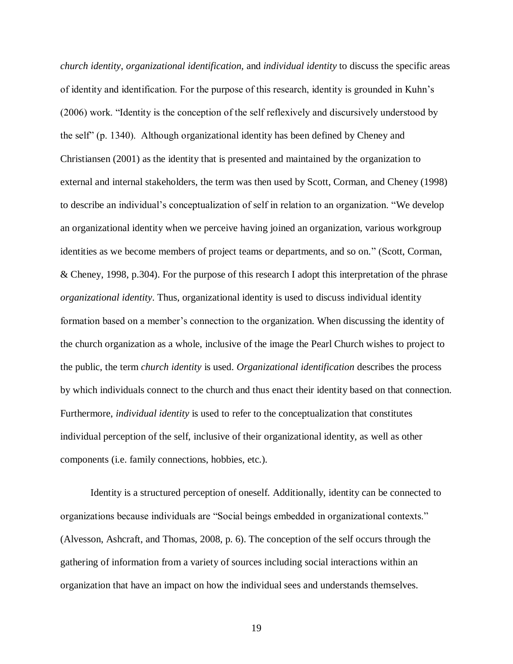*church identity*, *organizational identification,* and *individual identity* to discuss the specific areas of identity and identification. For the purpose of this research, identity is grounded in Kuhn"s (2006) work. "Identity is the conception of the self reflexively and discursively understood by the self" (p. 1340). Although organizational identity has been defined by Cheney and Christiansen (2001) as the identity that is presented and maintained by the organization to external and internal stakeholders, the term was then used by Scott, Corman, and Cheney (1998) to describe an individual"s conceptualization of self in relation to an organization. "We develop an organizational identity when we perceive having joined an organization, various workgroup identities as we become members of project teams or departments, and so on." (Scott, Corman, & Cheney, 1998, p.304). For the purpose of this research I adopt this interpretation of the phrase *organizational identity*. Thus, organizational identity is used to discuss individual identity formation based on a member's connection to the organization. When discussing the identity of the church organization as a whole, inclusive of the image the Pearl Church wishes to project to the public, the term *church identity* is used. *Organizational identification* describes the process by which individuals connect to the church and thus enact their identity based on that connection.  Furthermore, *individual identity* is used to refer to the conceptualization that constitutes individual perception of the self, inclusive of their organizational identity, as well as other components (i.e. family connections, hobbies, etc.).

 Identity is a structured perception of oneself. Additionally, identity can be connected to organizations because individuals are "Social beings embedded in organizational contexts." (Alvesson, Ashcraft, and Thomas, 2008, p. 6). The conception of the self occurs through the gathering of information from a variety of sources including social interactions within an organization that have an impact on how the individual sees and understands themselves.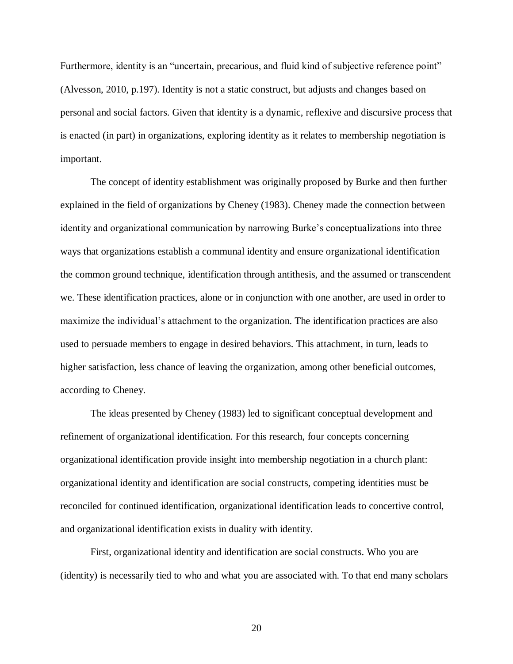Furthermore, identity is an "uncertain, precarious, and fluid kind of subjective reference point" (Alvesson, 2010, p.197). Identity is not a static construct, but adjusts and changes based on personal and social factors. Given that identity is a dynamic, reflexive and discursive process that is enacted (in part) in organizations, exploring identity as it relates to membership negotiation is important.

 The concept of identity establishment was originally proposed by Burke and then further explained in the field of organizations by Cheney (1983). Cheney made the connection between identity and organizational communication by narrowing Burke's conceptualizations into three ways that organizations establish a communal identity and ensure organizational identification the common ground technique, identification through antithesis, and the assumed or transcendent we. These identification practices, alone or in conjunction with one another, are used in order to maximize the individual's attachment to the organization. The identification practices are also used to persuade members to engage in desired behaviors. This attachment, in turn, leads to higher satisfaction, less chance of leaving the organization, among other beneficial outcomes, according to Cheney.

 The ideas presented by Cheney (1983) led to significant conceptual development and refinement of organizational identification. For this research, four concepts concerning organizational identification provide insight into membership negotiation in a church plant: organizational identity and identification are social constructs, competing identities must be reconciled for continued identification, organizational identification leads to concertive control, and organizational identification exists in duality with identity.

 First, organizational identity and identification are social constructs. Who you are (identity) is necessarily tied to who and what you are associated with. To that end many scholars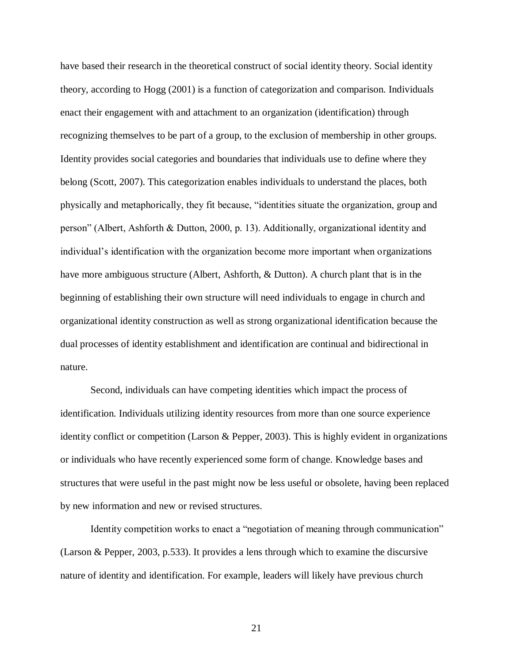have based their research in the theoretical construct of social identity theory. Social identity theory, according to Hogg (2001) is a function of categorization and comparison. Individuals enact their engagement with and attachment to an organization (identification) through recognizing themselves to be part of a group, to the exclusion of membership in other groups. Identity provides social categories and boundaries that individuals use to define where they belong (Scott, 2007). This categorization enables individuals to understand the places, both physically and metaphorically, they fit because, "identities situate the organization, group and person" (Albert, Ashforth & Dutton, 2000, p. 13). Additionally, organizational identity and individual"s identification with the organization become more important when organizations have more ambiguous structure (Albert, Ashforth, & Dutton). A church plant that is in the beginning of establishing their own structure will need individuals to engage in church and organizational identity construction as well as strong organizational identification because the dual processes of identity establishment and identification are continual and bidirectional in nature.

 Second, individuals can have competing identities which impact the process of identification. Individuals utilizing identity resources from more than one source experience identity conflict or competition (Larson & Pepper, 2003). This is highly evident in organizations or individuals who have recently experienced some form of change. Knowledge bases and structures that were useful in the past might now be less useful or obsolete, having been replaced by new information and new or revised structures.

 Identity competition works to enact a "negotiation of meaning through communication" (Larson & Pepper, 2003, p.533). It provides a lens through which to examine the discursive nature of identity and identification. For example, leaders will likely have previous church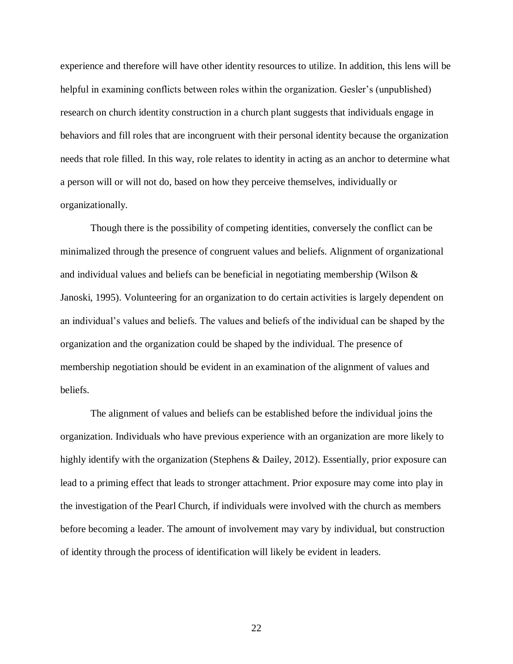experience and therefore will have other identity resources to utilize. In addition, this lens will be helpful in examining conflicts between roles within the organization. Gesler's (unpublished) research on church identity construction in a church plant suggests that individuals engage in behaviors and fill roles that are incongruent with their personal identity because the organization needs that role filled. In this way, role relates to identity in acting as an anchor to determine what a person will or will not do, based on how they perceive themselves, individually or organizationally. organizationally. Though there is the possibility of competing identities, conversely the conflict can be

 minimalized through the presence of congruent values and beliefs. Alignment of organizational and individual values and beliefs can be beneficial in negotiating membership (Wilson & Janoski, 1995). Volunteering for an organization to do certain activities is largely dependent on an individual"s values and beliefs. The values and beliefs of the individual can be shaped by the organization and the organization could be shaped by the individual. The presence of membership negotiation should be evident in an examination of the alignment of values and beliefs.

 organization. Individuals who have previous experience with an organization are more likely to highly identify with the organization (Stephens & Dailey, 2012). Essentially, prior exposure can lead to a priming effect that leads to stronger attachment. Prior exposure may come into play in the investigation of the Pearl Church, if individuals were involved with the church as members before becoming a leader. The amount of involvement may vary by individual, but construction of identity through the process of identification will likely be evident in leaders. The alignment of values and beliefs can be established before the individual joins the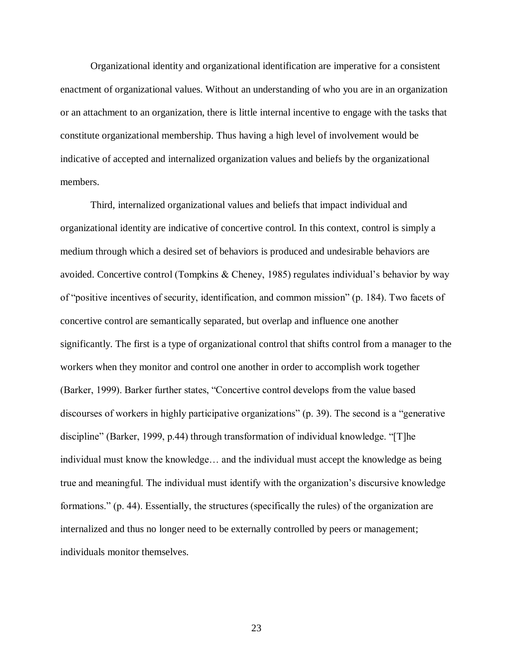Organizational identity and organizational identification are imperative for a consistent enactment of organizational values. Without an understanding of who you are in an organization or an attachment to an organization, there is little internal incentive to engage with the tasks that constitute organizational membership. Thus having a high level of involvement would be indicative of accepted and internalized organization values and beliefs by the organizational members.

 Third, internalized organizational values and beliefs that impact individual and organizational identity are indicative of concertive control. In this context, control is simply a medium through which a desired set of behaviors is produced and undesirable behaviors are avoided. Concertive control (Tompkins & Cheney, 1985) regulates individual"s behavior by way of "positive incentives of security, identification, and common mission" (p. 184). Two facets of concertive control are semantically separated, but overlap and influence one another significantly. The first is a type of organizational control that shifts control from a manager to the workers when they monitor and control one another in order to accomplish work together (Barker, 1999). Barker further states, "Concertive control develops from the value based discourses of workers in highly participative organizations" (p. 39). The second is a "generative discipline" (Barker, 1999, p.44) through transformation of individual knowledge. "[T]he individual must know the knowledge… and the individual must accept the knowledge as being true and meaningful. The individual must identify with the organization's discursive knowledge formations." (p. 44). Essentially, the structures (specifically the rules) of the organization are internalized and thus no longer need to be externally controlled by peers or management; individuals monitor themselves.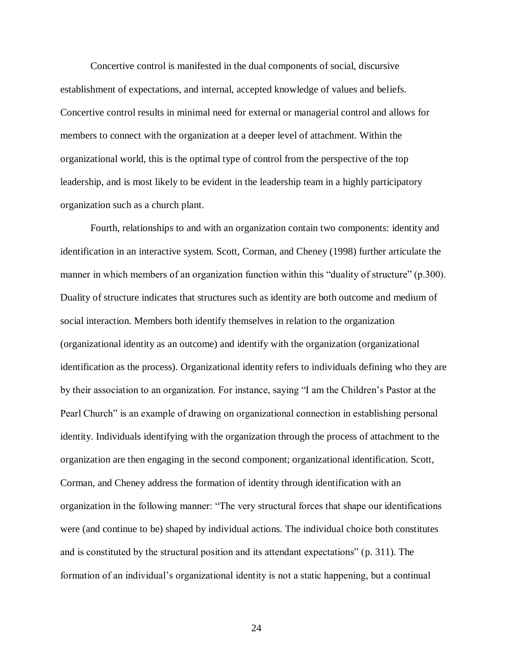Concertive control is manifested in the dual components of social, discursive establishment of expectations, and internal, accepted knowledge of values and beliefs. Concertive control results in minimal need for external or managerial control and allows for members to connect with the organization at a deeper level of attachment. Within the organizational world, this is the optimal type of control from the perspective of the top leadership, and is most likely to be evident in the leadership team in a highly participatory organization such as a church plant.

 Fourth, relationships to and with an organization contain two components: identity and identification in an interactive system. Scott, Corman, and Cheney (1998) further articulate the manner in which members of an organization function within this "duality of structure" (p.300). Duality of structure indicates that structures such as identity are both outcome and medium of social interaction. Members both identify themselves in relation to the organization (organizational identity as an outcome) and identify with the organization (organizational identification as the process). Organizational identity refers to individuals defining who they are by their association to an organization. For instance, saying "I am the Children"s Pastor at the Pearl Church" is an example of drawing on organizational connection in establishing personal identity. Individuals identifying with the organization through the process of attachment to the organization are then engaging in the second component; organizational identification. Scott, Corman, and Cheney address the formation of identity through identification with an organization in the following manner: "The very structural forces that shape our identifications were (and continue to be) shaped by individual actions. The individual choice both constitutes and is constituted by the structural position and its attendant expectations" (p. 311). The formation of an individual's organizational identity is not a static happening, but a continual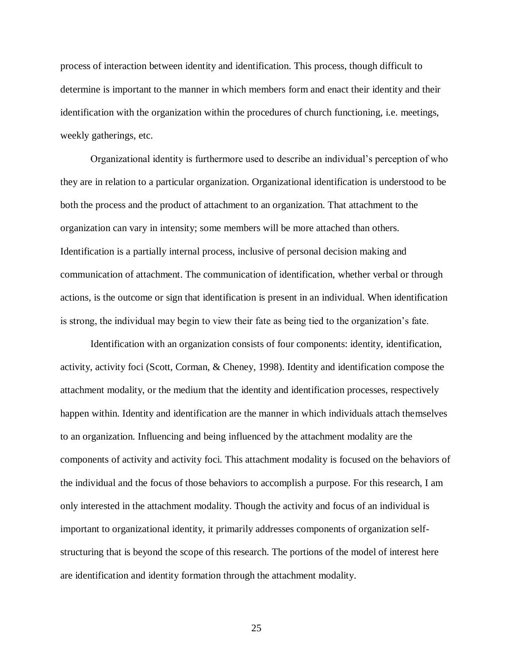process of interaction between identity and identification. This process, though difficult to determine is important to the manner in which members form and enact their identity and their identification with the organization within the procedures of church functioning, i.e. meetings, weekly gatherings, etc.

 Organizational identity is furthermore used to describe an individual"s perception of who they are in relation to a particular organization. Organizational identification is understood to be both the process and the product of attachment to an organization. That attachment to the organization can vary in intensity; some members will be more attached than others. Identification is a partially internal process, inclusive of personal decision making and communication of attachment. The communication of identification, whether verbal or through actions, is the outcome or sign that identification is present in an individual. When identification is strong, the individual may begin to view their fate as being tied to the organization"s fate.

 Identification with an organization consists of four components: identity, identification, activity, activity foci (Scott, Corman, & Cheney, 1998). Identity and identification compose the attachment modality, or the medium that the identity and identification processes, respectively happen within. Identity and identification are the manner in which individuals attach themselves to an organization. Influencing and being influenced by the attachment modality are the components of activity and activity foci. This attachment modality is focused on the behaviors of the individual and the focus of those behaviors to accomplish a purpose. For this research, I am only interested in the attachment modality. Though the activity and focus of an individual is important to organizational identity, it primarily addresses components of organization self- structuring that is beyond the scope of this research. The portions of the model of interest here are identification and identity formation through the attachment modality.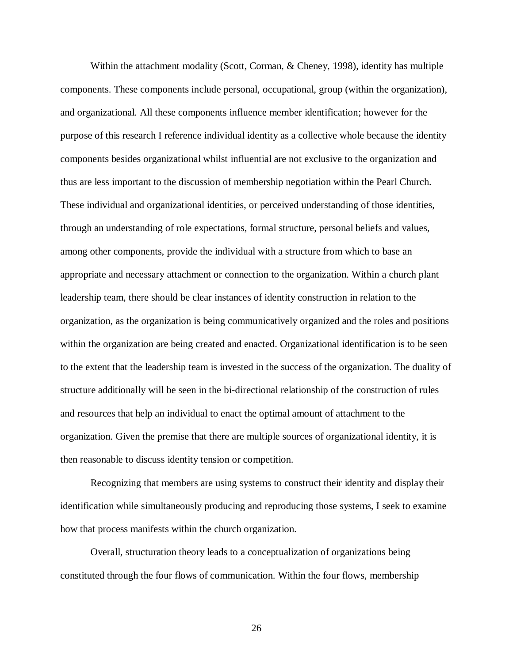Within the attachment modality (Scott, Corman, & Cheney, 1998), identity has multiple components. These components include personal, occupational, group (within the organization), and organizational. All these components influence member identification; however for the purpose of this research I reference individual identity as a collective whole because the identity components besides organizational whilst influential are not exclusive to the organization and thus are less important to the discussion of membership negotiation within the Pearl Church. These individual and organizational identities, or perceived understanding of those identities, through an understanding of role expectations, formal structure, personal beliefs and values, among other components, provide the individual with a structure from which to base an appropriate and necessary attachment or connection to the organization. Within a church plant leadership team, there should be clear instances of identity construction in relation to the organization, as the organization is being communicatively organized and the roles and positions within the organization are being created and enacted. Organizational identification is to be seen to the extent that the leadership team is invested in the success of the organization. The duality of structure additionally will be seen in the bi-directional relationship of the construction of rules and resources that help an individual to enact the optimal amount of attachment to the organization. Given the premise that there are multiple sources of organizational identity, it is then reasonable to discuss identity tension or competition.

 Recognizing that members are using systems to construct their identity and display their identification while simultaneously producing and reproducing those systems, I seek to examine how that process manifests within the church organization.

 Overall, structuration theory leads to a conceptualization of organizations being constituted through the four flows of communication. Within the four flows, membership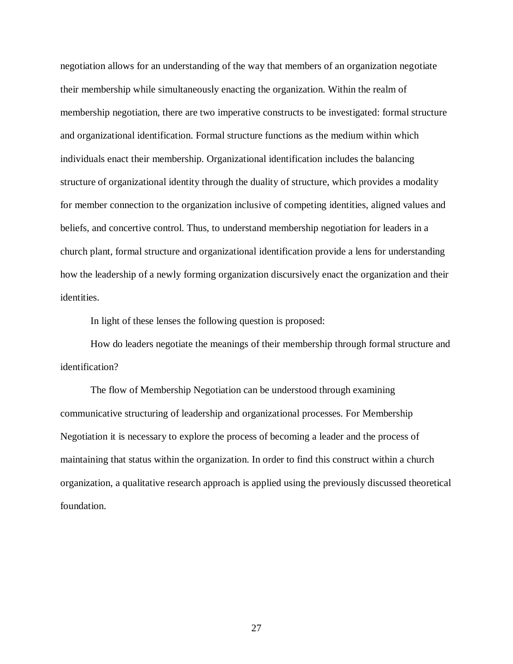negotiation allows for an understanding of the way that members of an organization negotiate their membership while simultaneously enacting the organization. Within the realm of membership negotiation, there are two imperative constructs to be investigated: formal structure and organizational identification. Formal structure functions as the medium within which individuals enact their membership. Organizational identification includes the balancing structure of organizational identity through the duality of structure, which provides a modality for member connection to the organization inclusive of competing identities, aligned values and beliefs, and concertive control. Thus, to understand membership negotiation for leaders in a church plant, formal structure and organizational identification provide a lens for understanding how the leadership of a newly forming organization discursively enact the organization and their identities.

In light of these lenses the following question is proposed:

 How do leaders negotiate the meanings of their membership through formal structure and identification?

 communicative structuring of leadership and organizational processes. For Membership Negotiation it is necessary to explore the process of becoming a leader and the process of maintaining that status within the organization. In order to find this construct within a church organization, a qualitative research approach is applied using the previously discussed theoretical The flow of Membership Negotiation can be understood through examining foundation.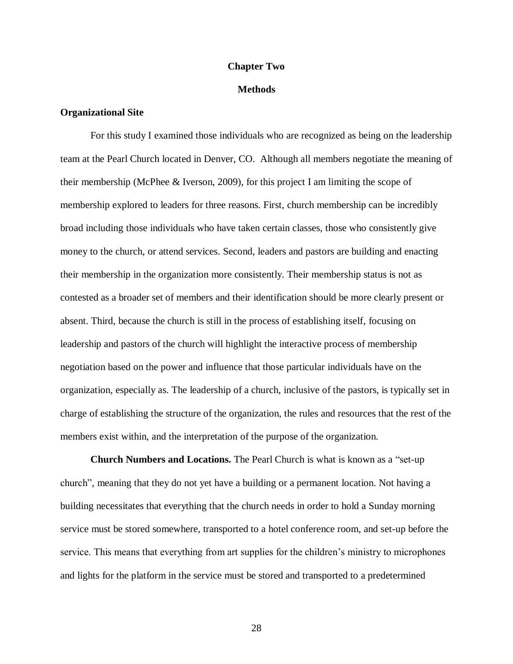## **Chapter Two**

## **Methods**

## **Organizational Site**

 For this study I examined those individuals who are recognized as being on the leadership team at the Pearl Church located in Denver, CO. Although all members negotiate the meaning of their membership (McPhee & Iverson, 2009), for this project I am limiting the scope of membership explored to leaders for three reasons. First, church membership can be incredibly broad including those individuals who have taken certain classes, those who consistently give money to the church, or attend services. Second, leaders and pastors are building and enacting their membership in the organization more consistently. Their membership status is not as contested as a broader set of members and their identification should be more clearly present or absent. Third, because the church is still in the process of establishing itself, focusing on leadership and pastors of the church will highlight the interactive process of membership negotiation based on the power and influence that those particular individuals have on the organization, especially as. The leadership of a church, inclusive of the pastors, is typically set in charge of establishing the structure of the organization, the rules and resources that the rest of the members exist within, and the interpretation of the purpose of the organization.

**Church Numbers and Locations.** The Pearl Church is what is known as a "set-up" church", meaning that they do not yet have a building or a permanent location. Not having a building necessitates that everything that the church needs in order to hold a Sunday morning service must be stored somewhere, transported to a hotel conference room, and set-up before the service. This means that everything from art supplies for the children's ministry to microphones and lights for the platform in the service must be stored and transported to a predetermined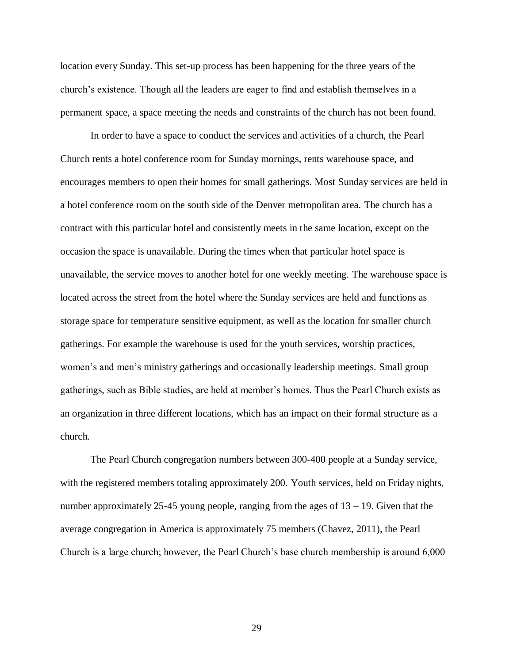location every Sunday. This set-up process has been happening for the three years of the church"s existence. Though all the leaders are eager to find and establish themselves in a permanent space, a space meeting the needs and constraints of the church has not been found.

 In order to have a space to conduct the services and activities of a church, the Pearl Church rents a hotel conference room for Sunday mornings, rents warehouse space, and encourages members to open their homes for small gatherings. Most Sunday services are held in a hotel conference room on the south side of the Denver metropolitan area. The church has a contract with this particular hotel and consistently meets in the same location, except on the occasion the space is unavailable. During the times when that particular hotel space is unavailable, the service moves to another hotel for one weekly meeting. The warehouse space is located across the street from the hotel where the Sunday services are held and functions as storage space for temperature sensitive equipment, as well as the location for smaller church gatherings. For example the warehouse is used for the youth services, worship practices, women's and men's ministry gatherings and occasionally leadership meetings. Small group gatherings, such as Bible studies, are held at member"s homes. Thus the Pearl Church exists as an organization in three different locations, which has an impact on their formal structure as a church.

 The Pearl Church congregation numbers between 300-400 people at a Sunday service, with the registered members totaling approximately 200. Youth services, held on Friday nights, number approximately 25-45 young people, ranging from the ages of 13 – 19. Given that the average congregation in America is approximately 75 members (Chavez, 2011), the Pearl Church is a large church; however, the Pearl Church"s base church membership is around 6,000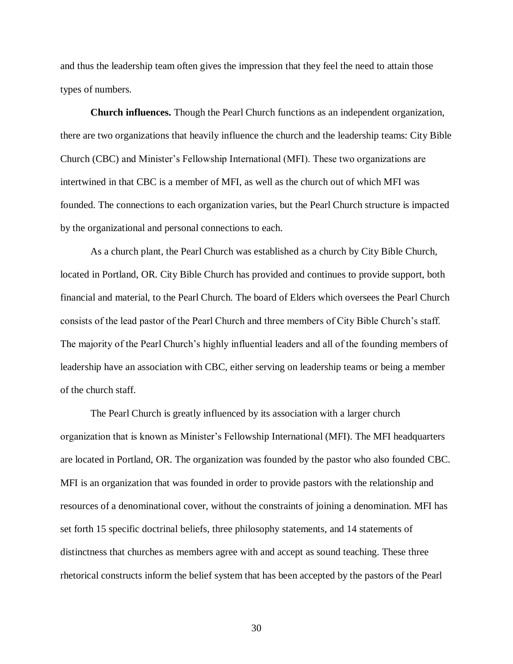and thus the leadership team often gives the impression that they feel the need to attain those types of numbers.

 **Church influences.** Though the Pearl Church functions as an independent organization, there are two organizations that heavily influence the church and the leadership teams: City Bible Church (CBC) and Minister"s Fellowship International (MFI). These two organizations are intertwined in that CBC is a member of MFI, as well as the church out of which MFI was founded. The connections to each organization varies, but the Pearl Church structure is impacted by the organizational and personal connections to each.

 As a church plant, the Pearl Church was established as a church by City Bible Church, located in Portland, OR. City Bible Church has provided and continues to provide support, both financial and material, to the Pearl Church. The board of Elders which oversees the Pearl Church consists of the lead pastor of the Pearl Church and three members of City Bible Church"s staff. The majority of the Pearl Church's highly influential leaders and all of the founding members of leadership have an association with CBC, either serving on leadership teams or being a member of the church staff.

 The Pearl Church is greatly influenced by its association with a larger church organization that is known as Minister"s Fellowship International (MFI). The MFI headquarters are located in Portland, OR. The organization was founded by the pastor who also founded CBC. MFI is an organization that was founded in order to provide pastors with the relationship and resources of a denominational cover, without the constraints of joining a denomination. MFI has set forth 15 specific doctrinal beliefs, three philosophy statements, and 14 statements of distinctness that churches as members agree with and accept as sound teaching. These three rhetorical constructs inform the belief system that has been accepted by the pastors of the Pearl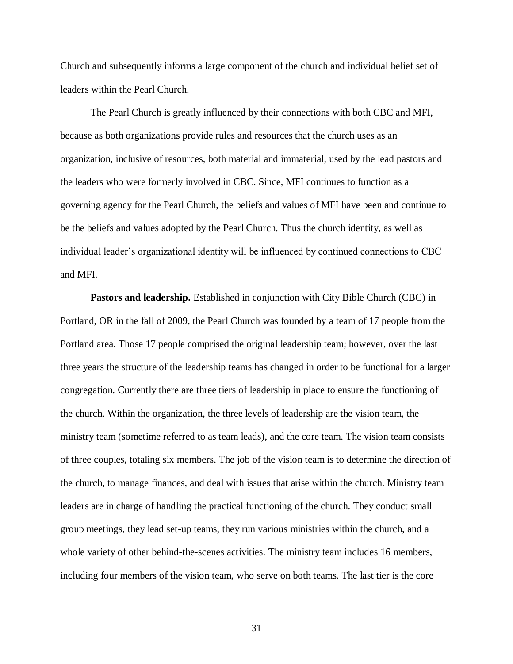Church and subsequently informs a large component of the church and individual belief set of leaders within the Pearl Church.

 The Pearl Church is greatly influenced by their connections with both CBC and MFI, because as both organizations provide rules and resources that the church uses as an organization, inclusive of resources, both material and immaterial, used by the lead pastors and the leaders who were formerly involved in CBC. Since, MFI continues to function as a governing agency for the Pearl Church, the beliefs and values of MFI have been and continue to be the beliefs and values adopted by the Pearl Church. Thus the church identity, as well as individual leader"s organizational identity will be influenced by continued connections to CBC and MFI.

Pastors and leadership. Established in conjunction with City Bible Church (CBC) in Portland, OR in the fall of 2009, the Pearl Church was founded by a team of 17 people from the Portland area. Those 17 people comprised the original leadership team; however, over the last three years the structure of the leadership teams has changed in order to be functional for a larger congregation. Currently there are three tiers of leadership in place to ensure the functioning of the church. Within the organization, the three levels of leadership are the vision team, the ministry team (sometime referred to as team leads), and the core team. The vision team consists of three couples, totaling six members. The job of the vision team is to determine the direction of the church, to manage finances, and deal with issues that arise within the church. Ministry team leaders are in charge of handling the practical functioning of the church. They conduct small group meetings, they lead set-up teams, they run various ministries within the church, and a whole variety of other behind-the-scenes activities. The ministry team includes 16 members, including four members of the vision team, who serve on both teams. The last tier is the core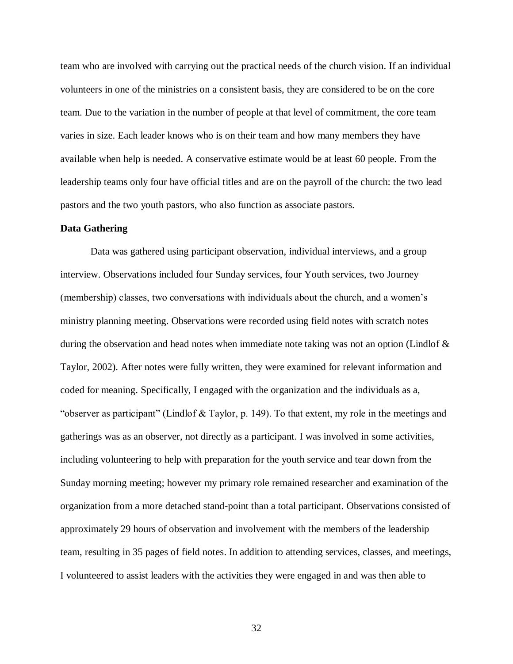team who are involved with carrying out the practical needs of the church vision. If an individual volunteers in one of the ministries on a consistent basis, they are considered to be on the core team. Due to the variation in the number of people at that level of commitment, the core team varies in size. Each leader knows who is on their team and how many members they have available when help is needed. A conservative estimate would be at least 60 people. From the leadership teams only four have official titles and are on the payroll of the church: the two lead pastors and the two youth pastors, who also function as associate pastors.

### **Data Gathering**

 Data was gathered using participant observation, individual interviews, and a group interview. Observations included four Sunday services, four Youth services, two Journey (membership) classes, two conversations with individuals about the church, and a women"s ministry planning meeting. Observations were recorded using field notes with scratch notes during the observation and head notes when immediate note taking was not an option (Lindlof & Taylor, 2002). After notes were fully written, they were examined for relevant information and coded for meaning. Specifically, I engaged with the organization and the individuals as a, "observer as participant" (Lindlof & Taylor, p. 149). To that extent, my role in the meetings and gatherings was as an observer, not directly as a participant. I was involved in some activities, including volunteering to help with preparation for the youth service and tear down from the Sunday morning meeting; however my primary role remained researcher and examination of the organization from a more detached stand-point than a total participant. Observations consisted of approximately 29 hours of observation and involvement with the members of the leadership team, resulting in 35 pages of field notes. In addition to attending services, classes, and meetings, I volunteered to assist leaders with the activities they were engaged in and was then able to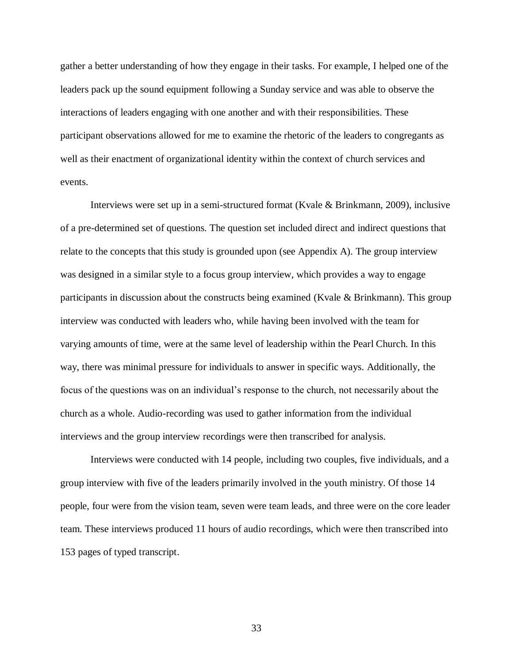gather a better understanding of how they engage in their tasks. For example, I helped one of the leaders pack up the sound equipment following a Sunday service and was able to observe the interactions of leaders engaging with one another and with their responsibilities. These participant observations allowed for me to examine the rhetoric of the leaders to congregants as well as their enactment of organizational identity within the context of church services and events.

 Interviews were set up in a semi-structured format (Kvale & Brinkmann, 2009), inclusive of a pre-determined set of questions. The question set included direct and indirect questions that relate to the concepts that this study is grounded upon (see Appendix A). The group interview was designed in a similar style to a focus group interview, which provides a way to engage participants in discussion about the constructs being examined (Kvale & Brinkmann). This group interview was conducted with leaders who, while having been involved with the team for varying amounts of time, were at the same level of leadership within the Pearl Church. In this way, there was minimal pressure for individuals to answer in specific ways. Additionally, the focus of the questions was on an individual"s response to the church, not necessarily about the church as a whole. Audio-recording was used to gather information from the individual interviews and the group interview recordings were then transcribed for analysis.

 Interviews were conducted with 14 people, including two couples, five individuals, and a group interview with five of the leaders primarily involved in the youth ministry. Of those 14 people, four were from the vision team, seven were team leads, and three were on the core leader team. These interviews produced 11 hours of audio recordings, which were then transcribed into 153 pages of typed transcript.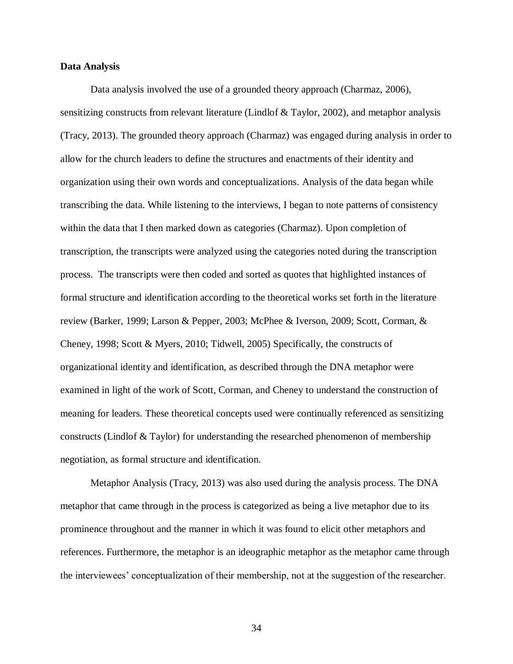#### **Data Analysis**

 Data analysis involved the use of a grounded theory approach (Charmaz, 2006), sensitizing constructs from relevant literature (Lindlof & Taylor, 2002), and metaphor analysis (Tracy, 2013). The grounded theory approach (Charmaz) was engaged during analysis in order to allow for the church leaders to define the structures and enactments of their identity and organization using their own words and conceptualizations. Analysis of the data began while transcribing the data. While listening to the interviews, I began to note patterns of consistency within the data that I then marked down as categories (Charmaz). Upon completion of transcription, the transcripts were analyzed using the categories noted during the transcription process. The transcripts were then coded and sorted as quotes that highlighted instances of formal structure and identification according to the theoretical works set forth in the literature review (Barker, 1999; Larson & Pepper, 2003; McPhee & Iverson, 2009; Scott, Corman, & Cheney, 1998; Scott & Myers, 2010; Tidwell, 2005) Specifically, the constructs of organizational identity and identification, as described through the DNA metaphor were examined in light of the work of Scott, Corman, and Cheney to understand the construction of meaning for leaders. These theoretical concepts used were continually referenced as sensitizing constructs (Lindlof & Taylor) for understanding the researched phenomenon of membership negotiation, as formal structure and identification.

 Metaphor Analysis (Tracy, 2013) was also used during the analysis process. The DNA metaphor that came through in the process is categorized as being a live metaphor due to its prominence throughout and the manner in which it was found to elicit other metaphors and references. Furthermore, the metaphor is an ideographic metaphor as the metaphor came through the interviewees' conceptualization of their membership, not at the suggestion of the researcher.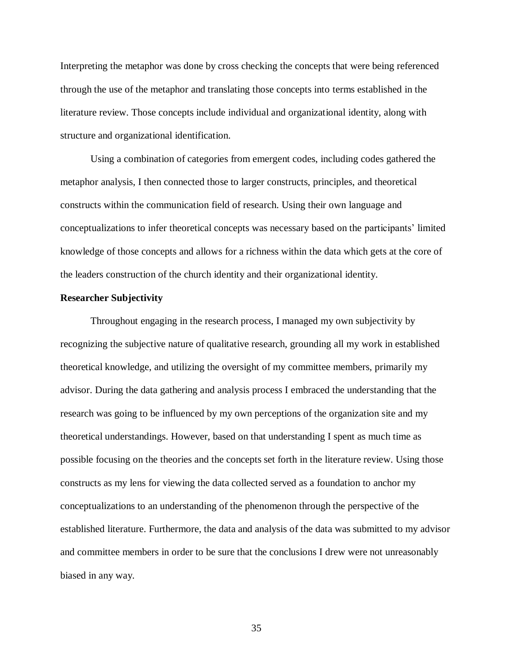Interpreting the metaphor was done by cross checking the concepts that were being referenced through the use of the metaphor and translating those concepts into terms established in the literature review. Those concepts include individual and organizational identity, along with structure and organizational identification.

 Using a combination of categories from emergent codes, including codes gathered the metaphor analysis, I then connected those to larger constructs, principles, and theoretical constructs within the communication field of research. Using their own language and conceptualizations to infer theoretical concepts was necessary based on the participants' limited knowledge of those concepts and allows for a richness within the data which gets at the core of the leaders construction of the church identity and their organizational identity.

## **Researcher Subjectivity**

 Throughout engaging in the research process, I managed my own subjectivity by recognizing the subjective nature of qualitative research, grounding all my work in established theoretical knowledge, and utilizing the oversight of my committee members, primarily my advisor. During the data gathering and analysis process I embraced the understanding that the research was going to be influenced by my own perceptions of the organization site and my theoretical understandings. However, based on that understanding I spent as much time as possible focusing on the theories and the concepts set forth in the literature review. Using those constructs as my lens for viewing the data collected served as a foundation to anchor my conceptualizations to an understanding of the phenomenon through the perspective of the established literature. Furthermore, the data and analysis of the data was submitted to my advisor and committee members in order to be sure that the conclusions I drew were not unreasonably biased in any way.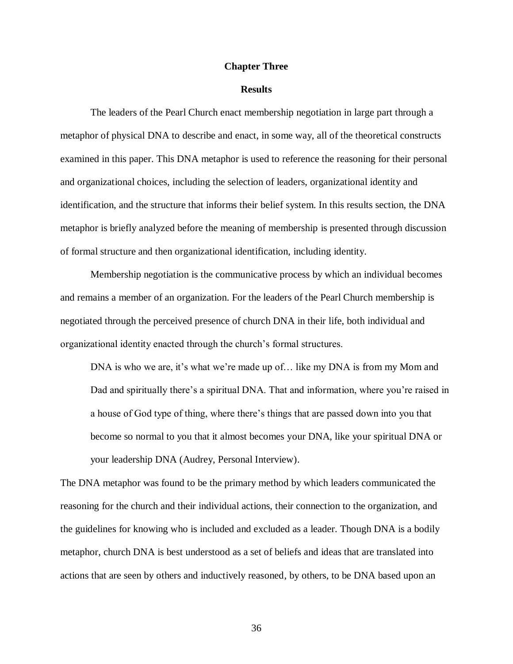## **Chapter Three**

### **Results**

 metaphor of physical DNA to describe and enact, in some way, all of the theoretical constructs examined in this paper. This DNA metaphor is used to reference the reasoning for their personal and organizational choices, including the selection of leaders, organizational identity and identification, and the structure that informs their belief system. In this results section, the DNA metaphor is briefly analyzed before the meaning of membership is presented through discussion of formal structure and then organizational identification, including identity. The leaders of the Pearl Church enact membership negotiation in large part through a

 Membership negotiation is the communicative process by which an individual becomes and remains a member of an organization. For the leaders of the Pearl Church membership is negotiated through the perceived presence of church DNA in their life, both individual and organizational identity enacted through the church's formal structures.

DNA is who we are, it's what we're made up of... like my DNA is from my Mom and Dad and spiritually there's a spiritual DNA. That and information, where you're raised in a house of God type of thing, where there"s things that are passed down into you that become so normal to you that it almost becomes your DNA, like your spiritual DNA or your leadership DNA (Audrey, Personal Interview).

 The DNA metaphor was found to be the primary method by which leaders communicated the reasoning for the church and their individual actions, their connection to the organization, and the guidelines for knowing who is included and excluded as a leader. Though DNA is a bodily metaphor, church DNA is best understood as a set of beliefs and ideas that are translated into actions that are seen by others and inductively reasoned, by others, to be DNA based upon an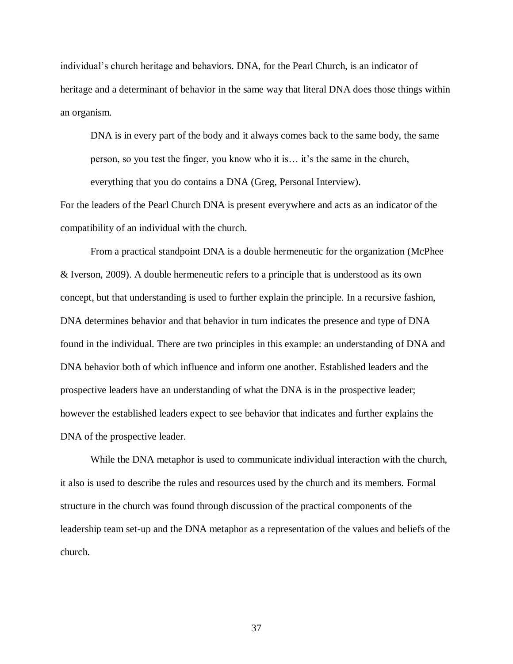individual"s church heritage and behaviors. DNA, for the Pearl Church, is an indicator of heritage and a determinant of behavior in the same way that literal DNA does those things within an organism.

 DNA is in every part of the body and it always comes back to the same body, the same person, so you test the finger, you know who it is… it"s the same in the church, everything that you do contains a DNA (Greg, Personal Interview).

 For the leaders of the Pearl Church DNA is present everywhere and acts as an indicator of the compatibility of an individual with the church.

 From a practical standpoint DNA is a double hermeneutic for the organization (McPhee & Iverson, 2009). A double hermeneutic refers to a principle that is understood as its own concept, but that understanding is used to further explain the principle. In a recursive fashion, DNA determines behavior and that behavior in turn indicates the presence and type of DNA found in the individual. There are two principles in this example: an understanding of DNA and DNA behavior both of which influence and inform one another. Established leaders and the prospective leaders have an understanding of what the DNA is in the prospective leader; however the established leaders expect to see behavior that indicates and further explains the DNA of the prospective leader.

 While the DNA metaphor is used to communicate individual interaction with the church, it also is used to describe the rules and resources used by the church and its members. Formal structure in the church was found through discussion of the practical components of the leadership team set-up and the DNA metaphor as a representation of the values and beliefs of the church. church.<br>37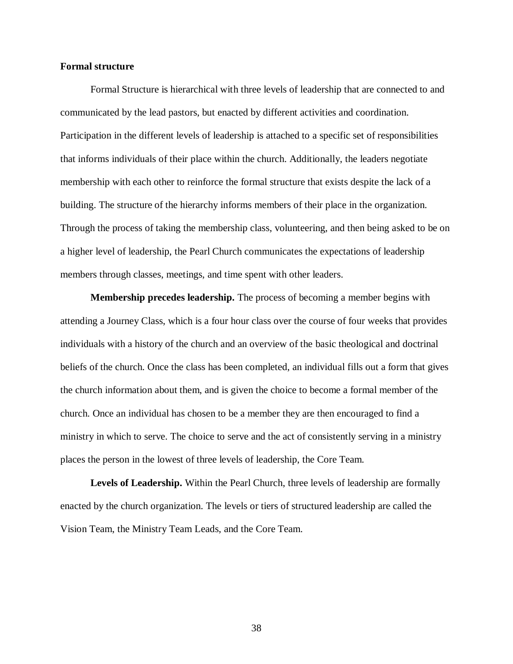# **Formal structure**

 Formal Structure is hierarchical with three levels of leadership that are connected to and communicated by the lead pastors, but enacted by different activities and coordination. Participation in the different levels of leadership is attached to a specific set of responsibilities that informs individuals of their place within the church. Additionally, the leaders negotiate membership with each other to reinforce the formal structure that exists despite the lack of a building. The structure of the hierarchy informs members of their place in the organization. Through the process of taking the membership class, volunteering, and then being asked to be on a higher level of leadership, the Pearl Church communicates the expectations of leadership members through classes, meetings, and time spent with other leaders.

 **Membership precedes leadership.** The process of becoming a member begins with attending a Journey Class, which is a four hour class over the course of four weeks that provides individuals with a history of the church and an overview of the basic theological and doctrinal beliefs of the church. Once the class has been completed, an individual fills out a form that gives the church information about them, and is given the choice to become a formal member of the church. Once an individual has chosen to be a member they are then encouraged to find a ministry in which to serve. The choice to serve and the act of consistently serving in a ministry places the person in the lowest of three levels of leadership, the Core Team.

Levels of Leadership. Within the Pearl Church, three levels of leadership are formally enacted by the church organization. The levels or tiers of structured leadership are called the Vision Team, the Ministry Team Leads, and the Core Team.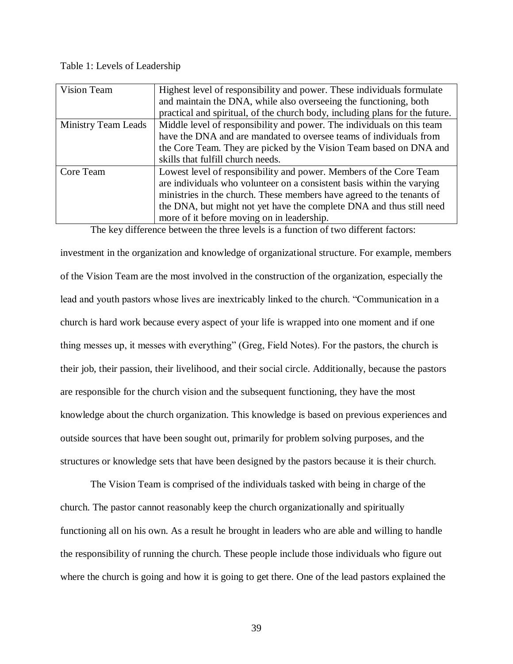## Table 1: Levels of Leadership

| Vision Team                | Highest level of responsibility and power. These individuals formulate       |
|----------------------------|------------------------------------------------------------------------------|
|                            | and maintain the DNA, while also overseeing the functioning, both            |
|                            | practical and spiritual, of the church body, including plans for the future. |
| <b>Ministry Team Leads</b> | Middle level of responsibility and power. The individuals on this team       |
|                            | have the DNA and are mandated to oversee teams of individuals from           |
|                            | the Core Team. They are picked by the Vision Team based on DNA and           |
|                            | skills that fulfill church needs.                                            |
| Core Team                  | Lowest level of responsibility and power. Members of the Core Team           |
|                            | are individuals who volunteer on a consistent basis within the varying       |
|                            | ministries in the church. These members have agreed to the tenants of        |
|                            | the DNA, but might not yet have the complete DNA and thus still need         |
|                            | more of it before moving on in leadership.                                   |

The key difference between the three levels is a function of two different factors:

 investment in the organization and knowledge of organizational structure. For example, members of the Vision Team are the most involved in the construction of the organization, especially the lead and youth pastors whose lives are inextricably linked to the church. "Communication in a church is hard work because every aspect of your life is wrapped into one moment and if one thing messes up, it messes with everything" (Greg, Field Notes). For the pastors, the church is their job, their passion, their livelihood, and their social circle. Additionally, because the pastors are responsible for the church vision and the subsequent functioning, they have the most knowledge about the church organization. This knowledge is based on previous experiences and outside sources that have been sought out, primarily for problem solving purposes, and the structures or knowledge sets that have been designed by the pastors because it is their church.

 The Vision Team is comprised of the individuals tasked with being in charge of the church. The pastor cannot reasonably keep the church organizationally and spiritually functioning all on his own. As a result he brought in leaders who are able and willing to handle the responsibility of running the church. These people include those individuals who figure out where the church is going and how it is going to get there. One of the lead pastors explained the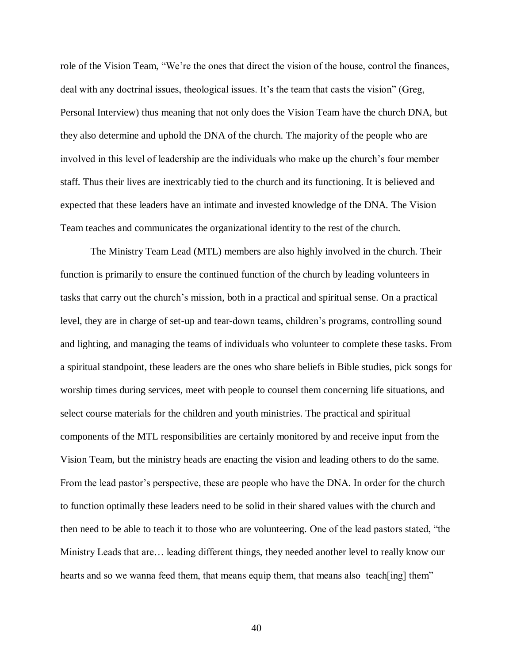role of the Vision Team, "We"re the ones that direct the vision of the house, control the finances, deal with any doctrinal issues, theological issues. It's the team that casts the vision" (Greg, Personal Interview) thus meaning that not only does the Vision Team have the church DNA, but they also determine and uphold the DNA of the church. The majority of the people who are involved in this level of leadership are the individuals who make up the church"s four member staff. Thus their lives are inextricably tied to the church and its functioning. It is believed and expected that these leaders have an intimate and invested knowledge of the DNA. The Vision Team teaches and communicates the organizational identity to the rest of the church.

 The Ministry Team Lead (MTL) members are also highly involved in the church. Their function is primarily to ensure the continued function of the church by leading volunteers in tasks that carry out the church"s mission, both in a practical and spiritual sense. On a practical level, they are in charge of set-up and tear-down teams, children"s programs, controlling sound and lighting, and managing the teams of individuals who volunteer to complete these tasks. From a spiritual standpoint, these leaders are the ones who share beliefs in Bible studies, pick songs for worship times during services, meet with people to counsel them concerning life situations, and select course materials for the children and youth ministries. The practical and spiritual components of the MTL responsibilities are certainly monitored by and receive input from the Vision Team, but the ministry heads are enacting the vision and leading others to do the same. From the lead pastor's perspective, these are people who have the DNA. In order for the church to function optimally these leaders need to be solid in their shared values with the church and then need to be able to teach it to those who are volunteering. One of the lead pastors stated, "the Ministry Leads that are… leading different things, they needed another level to really know our hearts and so we wanna feed them, that means equip them, that means also teach [ing] them"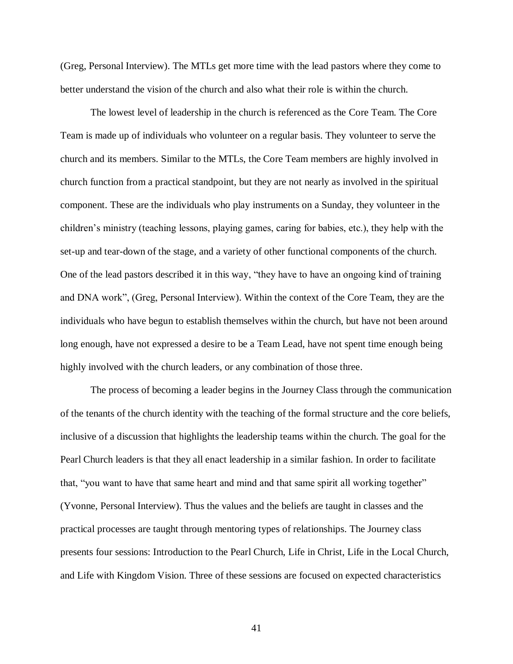(Greg, Personal Interview). The MTLs get more time with the lead pastors where they come to better understand the vision of the church and also what their role is within the church.

 The lowest level of leadership in the church is referenced as the Core Team. The Core Team is made up of individuals who volunteer on a regular basis. They volunteer to serve the church and its members. Similar to the MTLs, the Core Team members are highly involved in church function from a practical standpoint, but they are not nearly as involved in the spiritual component. These are the individuals who play instruments on a Sunday, they volunteer in the children"s ministry (teaching lessons, playing games, caring for babies, etc.), they help with the set-up and tear-down of the stage, and a variety of other functional components of the church. One of the lead pastors described it in this way, "they have to have an ongoing kind of training and DNA work", (Greg, Personal Interview). Within the context of the Core Team, they are the individuals who have begun to establish themselves within the church, but have not been around long enough, have not expressed a desire to be a Team Lead, have not spent time enough being highly involved with the church leaders, or any combination of those three.

 The process of becoming a leader begins in the Journey Class through the communication of the tenants of the church identity with the teaching of the formal structure and the core beliefs, inclusive of a discussion that highlights the leadership teams within the church. The goal for the Pearl Church leaders is that they all enact leadership in a similar fashion. In order to facilitate that, "you want to have that same heart and mind and that same spirit all working together" (Yvonne, Personal Interview). Thus the values and the beliefs are taught in classes and the practical processes are taught through mentoring types of relationships. The Journey class presents four sessions: Introduction to the Pearl Church, Life in Christ, Life in the Local Church, and Life with Kingdom Vision. Three of these sessions are focused on expected characteristics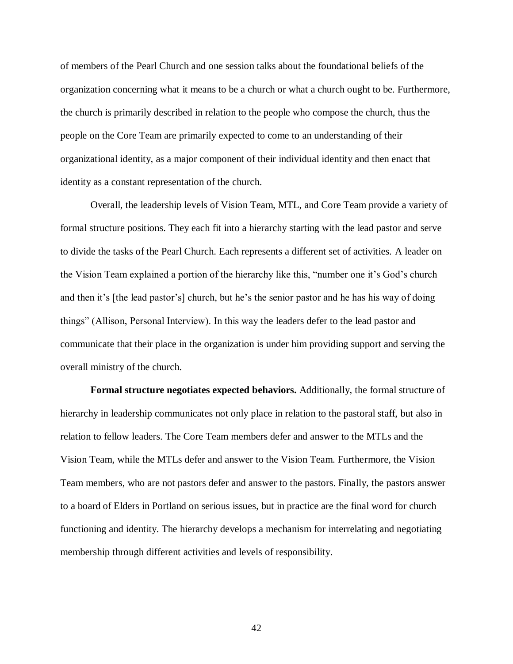of members of the Pearl Church and one session talks about the foundational beliefs of the organization concerning what it means to be a church or what a church ought to be. Furthermore, the church is primarily described in relation to the people who compose the church, thus the people on the Core Team are primarily expected to come to an understanding of their organizational identity, as a major component of their individual identity and then enact that identity as a constant representation of the church.

 Overall, the leadership levels of Vision Team, MTL, and Core Team provide a variety of formal structure positions. They each fit into a hierarchy starting with the lead pastor and serve to divide the tasks of the Pearl Church. Each represents a different set of activities. A leader on the Vision Team explained a portion of the hierarchy like this, "number one it's God's church and then it's [the lead pastor's] church, but he's the senior pastor and he has his way of doing things" (Allison, Personal Interview). In this way the leaders defer to the lead pastor and communicate that their place in the organization is under him providing support and serving the overall ministry of the church.

 **Formal structure negotiates expected behaviors.** Additionally, the formal structure of hierarchy in leadership communicates not only place in relation to the pastoral staff, but also in relation to fellow leaders. The Core Team members defer and answer to the MTLs and the Vision Team, while the MTLs defer and answer to the Vision Team. Furthermore, the Vision Team members, who are not pastors defer and answer to the pastors. Finally, the pastors answer to a board of Elders in Portland on serious issues, but in practice are the final word for church functioning and identity. The hierarchy develops a mechanism for interrelating and negotiating membership through different activities and levels of responsibility.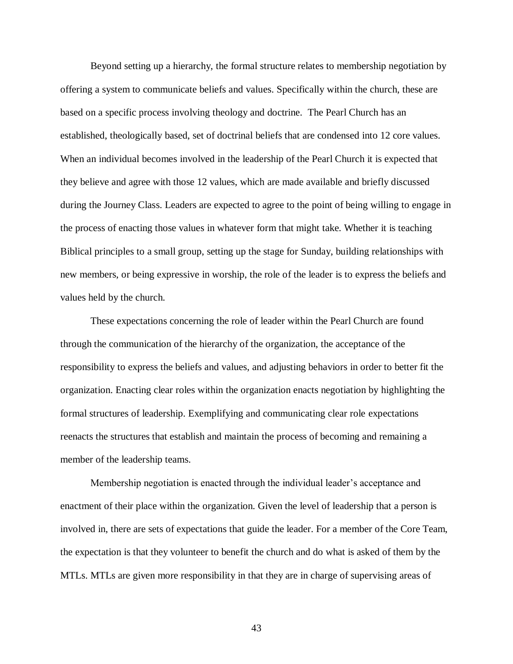Beyond setting up a hierarchy, the formal structure relates to membership negotiation by offering a system to communicate beliefs and values. Specifically within the church, these are based on a specific process involving theology and doctrine. The Pearl Church has an established, theologically based, set of doctrinal beliefs that are condensed into 12 core values. When an individual becomes involved in the leadership of the Pearl Church it is expected that they believe and agree with those 12 values, which are made available and briefly discussed during the Journey Class. Leaders are expected to agree to the point of being willing to engage in the process of enacting those values in whatever form that might take. Whether it is teaching Biblical principles to a small group, setting up the stage for Sunday, building relationships with new members, or being expressive in worship, the role of the leader is to express the beliefs and values held by the church.

 These expectations concerning the role of leader within the Pearl Church are found through the communication of the hierarchy of the organization, the acceptance of the responsibility to express the beliefs and values, and adjusting behaviors in order to better fit the organization. Enacting clear roles within the organization enacts negotiation by highlighting the formal structures of leadership. Exemplifying and communicating clear role expectations reenacts the structures that establish and maintain the process of becoming and remaining a member of the leadership teams.

 Membership negotiation is enacted through the individual leader"s acceptance and enactment of their place within the organization. Given the level of leadership that a person is involved in, there are sets of expectations that guide the leader. For a member of the Core Team, the expectation is that they volunteer to benefit the church and do what is asked of them by the MTLs. MTLs are given more responsibility in that they are in charge of supervising areas of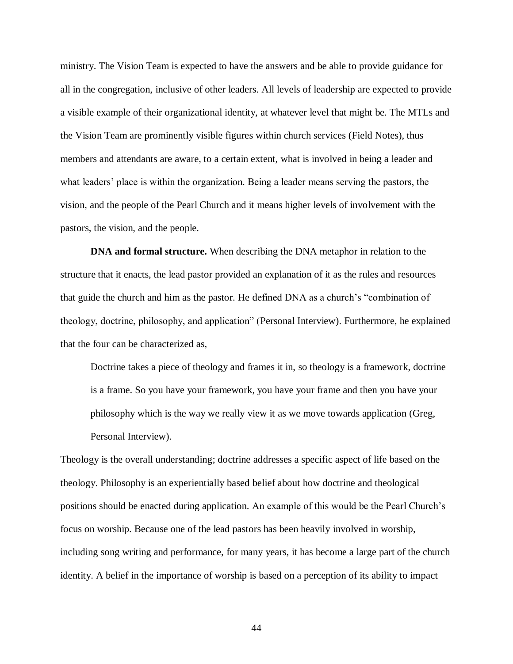ministry. The Vision Team is expected to have the answers and be able to provide guidance for all in the congregation, inclusive of other leaders. All levels of leadership are expected to provide a visible example of their organizational identity, at whatever level that might be. The MTLs and the Vision Team are prominently visible figures within church services (Field Notes), thus members and attendants are aware, to a certain extent, what is involved in being a leader and what leaders' place is within the organization. Being a leader means serving the pastors, the vision, and the people of the Pearl Church and it means higher levels of involvement with the pastors, the vision, and the people.

 **DNA and formal structure.** When describing the DNA metaphor in relation to the structure that it enacts, the lead pastor provided an explanation of it as the rules and resources that guide the church and him as the pastor. He defined DNA as a church"s "combination of theology, doctrine, philosophy, and application" (Personal Interview). Furthermore, he explained that the four can be characterized as,

 Doctrine takes a piece of theology and frames it in, so theology is a framework, doctrine is a frame. So you have your framework, you have your frame and then you have your philosophy which is the way we really view it as we move towards application (Greg, Personal Interview).

 Theology is the overall understanding; doctrine addresses a specific aspect of life based on the theology. Philosophy is an experientially based belief about how doctrine and theological positions should be enacted during application. An example of this would be the Pearl Church"s focus on worship. Because one of the lead pastors has been heavily involved in worship, including song writing and performance, for many years, it has become a large part of the church identity. A belief in the importance of worship is based on a perception of its ability to impact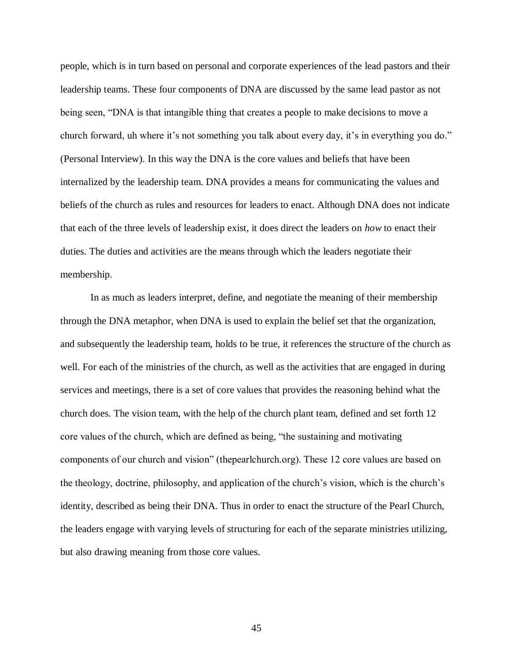people, which is in turn based on personal and corporate experiences of the lead pastors and their leadership teams. These four components of DNA are discussed by the same lead pastor as not being seen, "DNA is that intangible thing that creates a people to make decisions to move a church forward, uh where it's not something you talk about every day, it's in everything you do." (Personal Interview). In this way the DNA is the core values and beliefs that have been internalized by the leadership team. DNA provides a means for communicating the values and beliefs of the church as rules and resources for leaders to enact. Although DNA does not indicate that each of the three levels of leadership exist, it does direct the leaders on *how* to enact their duties. The duties and activities are the means through which the leaders negotiate their membership.

 In as much as leaders interpret, define, and negotiate the meaning of their membership through the DNA metaphor, when DNA is used to explain the belief set that the organization, and subsequently the leadership team, holds to be true, it references the structure of the church as well. For each of the ministries of the church, as well as the activities that are engaged in during services and meetings, there is a set of core values that provides the reasoning behind what the church does. The vision team, with the help of the church plant team, defined and set forth 12 core values of the church, which are defined as being, "the sustaining and motivating components of our church and vision" (thepearlchurch.org). These 12 core values are based on the theology, doctrine, philosophy, and application of the church"s vision, which is the church"s identity, described as being their DNA. Thus in order to enact the structure of the Pearl Church, the leaders engage with varying levels of structuring for each of the separate ministries utilizing, but also drawing meaning from those core values.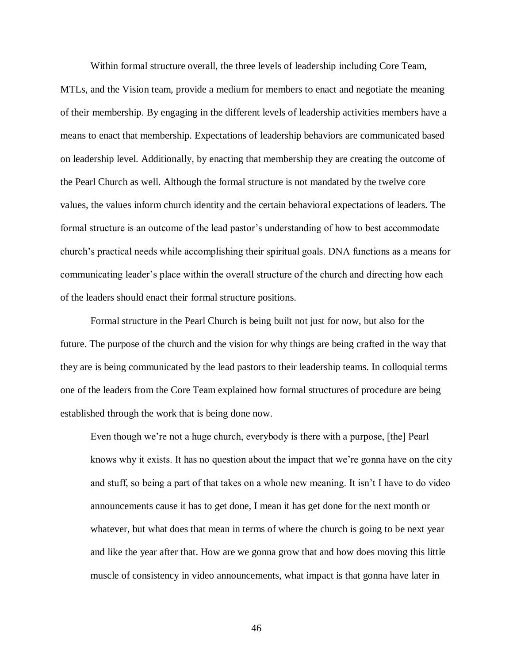Within formal structure overall, the three levels of leadership including Core Team,

 MTLs, and the Vision team, provide a medium for members to enact and negotiate the meaning of their membership. By engaging in the different levels of leadership activities members have a means to enact that membership. Expectations of leadership behaviors are communicated based on leadership level. Additionally, by enacting that membership they are creating the outcome of the Pearl Church as well. Although the formal structure is not mandated by the twelve core values, the values inform church identity and the certain behavioral expectations of leaders. The formal structure is an outcome of the lead pastor's understanding of how to best accommodate church"s practical needs while accomplishing their spiritual goals. DNA functions as a means for communicating leader"s place within the overall structure of the church and directing how each of the leaders should enact their formal structure positions.

 Formal structure in the Pearl Church is being built not just for now, but also for the future. The purpose of the church and the vision for why things are being crafted in the way that they are is being communicated by the lead pastors to their leadership teams. In colloquial terms one of the leaders from the Core Team explained how formal structures of procedure are being established through the work that is being done now.

Even though we're not a huge church, everybody is there with a purpose, [the] Pearl knows why it exists. It has no question about the impact that we"re gonna have on the city and stuff, so being a part of that takes on a whole new meaning. It isn"t I have to do video announcements cause it has to get done, I mean it has get done for the next month or whatever, but what does that mean in terms of where the church is going to be next year and like the year after that. How are we gonna grow that and how does moving this little muscle of consistency in video announcements, what impact is that gonna have later in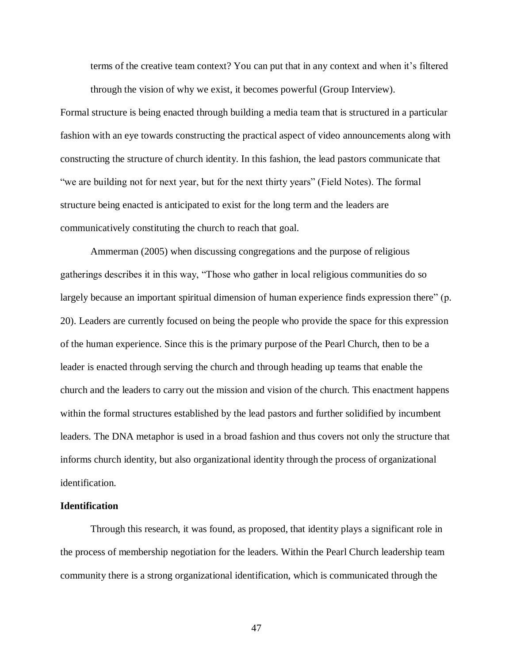terms of the creative team context? You can put that in any context and when it's filtered through the vision of why we exist, it becomes powerful (Group Interview).

 Formal structure is being enacted through building a media team that is structured in a particular fashion with an eye towards constructing the practical aspect of video announcements along with constructing the structure of church identity. In this fashion, the lead pastors communicate that "we are building not for next year, but for the next thirty years" (Field Notes). The formal structure being enacted is anticipated to exist for the long term and the leaders are communicatively constituting the church to reach that goal.

 Ammerman (2005) when discussing congregations and the purpose of religious gatherings describes it in this way, "Those who gather in local religious communities do so largely because an important spiritual dimension of human experience finds expression there" (p. 20). Leaders are currently focused on being the people who provide the space for this expression of the human experience. Since this is the primary purpose of the Pearl Church, then to be a leader is enacted through serving the church and through heading up teams that enable the church and the leaders to carry out the mission and vision of the church. This enactment happens within the formal structures established by the lead pastors and further solidified by incumbent leaders. The DNA metaphor is used in a broad fashion and thus covers not only the structure that informs church identity, but also organizational identity through the process of organizational identification.

## **Identification**

 Through this research, it was found, as proposed, that identity plays a significant role in the process of membership negotiation for the leaders. Within the Pearl Church leadership team community there is a strong organizational identification, which is communicated through the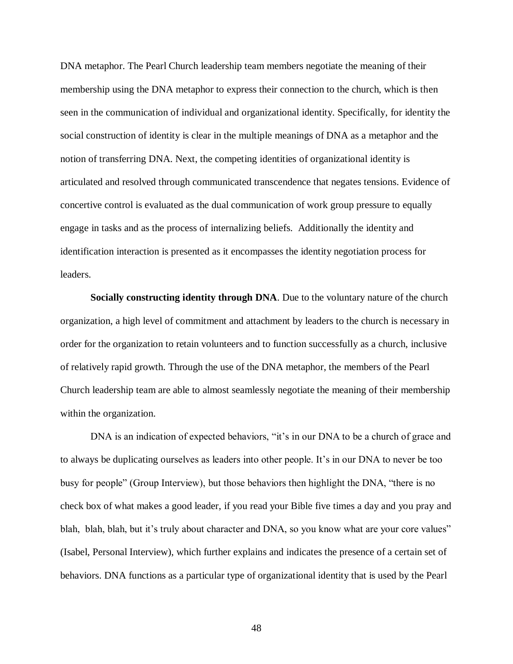DNA metaphor. The Pearl Church leadership team members negotiate the meaning of their membership using the DNA metaphor to express their connection to the church, which is then seen in the communication of individual and organizational identity. Specifically, for identity the social construction of identity is clear in the multiple meanings of DNA as a metaphor and the notion of transferring DNA. Next, the competing identities of organizational identity is articulated and resolved through communicated transcendence that negates tensions. Evidence of concertive control is evaluated as the dual communication of work group pressure to equally engage in tasks and as the process of internalizing beliefs. Additionally the identity and identification interaction is presented as it encompasses the identity negotiation process for leaders.

 **Socially constructing identity through DNA**. Due to the voluntary nature of the church organization, a high level of commitment and attachment by leaders to the church is necessary in order for the organization to retain volunteers and to function successfully as a church, inclusive of relatively rapid growth. Through the use of the DNA metaphor, the members of the Pearl Church leadership team are able to almost seamlessly negotiate the meaning of their membership within the organization.

DNA is an indication of expected behaviors, "it's in our DNA to be a church of grace and to always be duplicating ourselves as leaders into other people. It"s in our DNA to never be too busy for people" (Group Interview), but those behaviors then highlight the DNA, "there is no check box of what makes a good leader, if you read your Bible five times a day and you pray and blah, blah, blah, but it's truly about character and DNA, so you know what are your core values" (Isabel, Personal Interview), which further explains and indicates the presence of a certain set of behaviors. DNA functions as a particular type of organizational identity that is used by the Pearl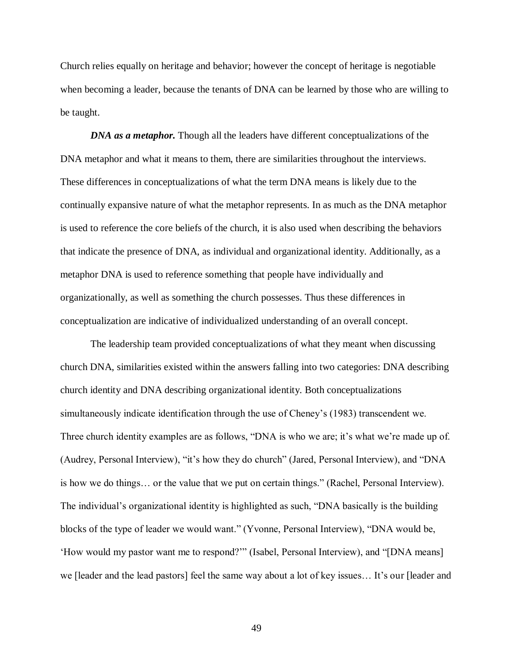Church relies equally on heritage and behavior; however the concept of heritage is negotiable when becoming a leader, because the tenants of DNA can be learned by those who are willing to be taught.

**DNA as a metaphor.** Though all the leaders have different conceptualizations of the DNA metaphor and what it means to them, there are similarities throughout the interviews. These differences in conceptualizations of what the term DNA means is likely due to the continually expansive nature of what the metaphor represents. In as much as the DNA metaphor is used to reference the core beliefs of the church, it is also used when describing the behaviors that indicate the presence of DNA, as individual and organizational identity. Additionally, as a metaphor DNA is used to reference something that people have individually and organizationally, as well as something the church possesses. Thus these differences in conceptualization are indicative of individualized understanding of an overall concept.

 The leadership team provided conceptualizations of what they meant when discussing church DNA, similarities existed within the answers falling into two categories: DNA describing church identity and DNA describing organizational identity. Both conceptualizations simultaneously indicate identification through the use of Cheney"s (1983) transcendent we. Three church identity examples are as follows, "DNA is who we are; it's what we're made up of. (Audrey, Personal Interview), "it"s how they do church" (Jared, Personal Interview), and "DNA is how we do things… or the value that we put on certain things." (Rachel, Personal Interview). The individual's organizational identity is highlighted as such, "DNA basically is the building blocks of the type of leader we would want." (Yvonne, Personal Interview), "DNA would be, "How would my pastor want me to respond?"" (Isabel, Personal Interview), and "[DNA means] we [leader and the lead pastors] feel the same way about a lot of key issues... It's our [leader and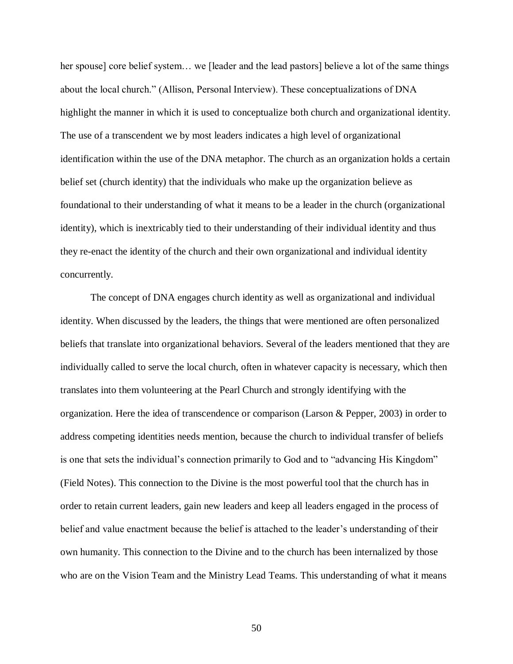her spouse] core belief system… we [leader and the lead pastors] believe a lot of the same things about the local church." (Allison, Personal Interview). These conceptualizations of DNA highlight the manner in which it is used to conceptualize both church and organizational identity. The use of a transcendent we by most leaders indicates a high level of organizational identification within the use of the DNA metaphor. The church as an organization holds a certain belief set (church identity) that the individuals who make up the organization believe as foundational to their understanding of what it means to be a leader in the church (organizational identity), which is inextricably tied to their understanding of their individual identity and thus they re-enact the identity of the church and their own organizational and individual identity concurrently.

 The concept of DNA engages church identity as well as organizational and individual identity. When discussed by the leaders, the things that were mentioned are often personalized beliefs that translate into organizational behaviors. Several of the leaders mentioned that they are individually called to serve the local church, often in whatever capacity is necessary, which then translates into them volunteering at the Pearl Church and strongly identifying with the organization. Here the idea of transcendence or comparison (Larson & Pepper, 2003) in order to address competing identities needs mention, because the church to individual transfer of beliefs is one that sets the individual's connection primarily to God and to "advancing His Kingdom" (Field Notes). This connection to the Divine is the most powerful tool that the church has in order to retain current leaders, gain new leaders and keep all leaders engaged in the process of belief and value enactment because the belief is attached to the leader's understanding of their own humanity. This connection to the Divine and to the church has been internalized by those who are on the Vision Team and the Ministry Lead Teams. This understanding of what it means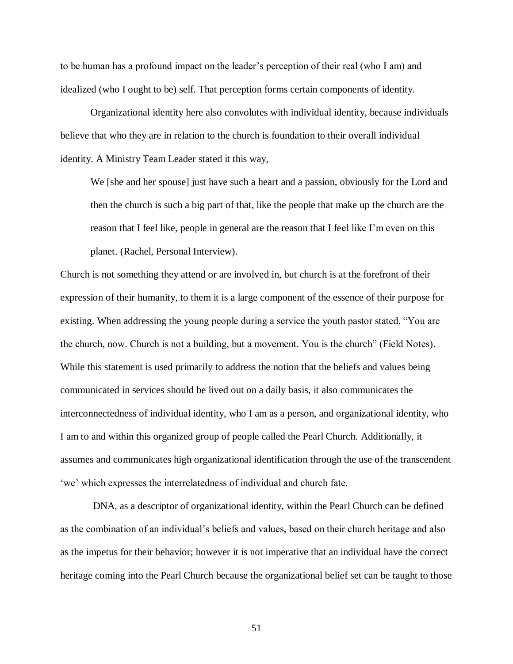to be human has a profound impact on the leader"s perception of their real (who I am) and idealized (who I ought to be) self. That perception forms certain components of identity.

 Organizational identity here also convolutes with individual identity, because individuals believe that who they are in relation to the church is foundation to their overall individual identity. A Ministry Team Leader stated it this way,

 We [she and her spouse] just have such a heart and a passion, obviously for the Lord and then the church is such a big part of that, like the people that make up the church are the reason that I feel like, people in general are the reason that I feel like I"m even on this planet. (Rachel, Personal Interview).

 Church is not something they attend or are involved in, but church is at the forefront of their expression of their humanity, to them it is a large component of the essence of their purpose for existing. When addressing the young people during a service the youth pastor stated, "You are the church, now. Church is not a building, but a movement. You is the church" (Field Notes). While this statement is used primarily to address the notion that the beliefs and values being communicated in services should be lived out on a daily basis, it also communicates the interconnectedness of individual identity, who I am as a person, and organizational identity, who I am to and within this organized group of people called the Pearl Church. Additionally, it assumes and communicates high organizational identification through the use of the transcendent 'we' which expresses the interrelatedness of individual and church fate.

 DNA, as a descriptor of organizational identity, within the Pearl Church can be defined as the combination of an individual"s beliefs and values, based on their church heritage and also as the impetus for their behavior; however it is not imperative that an individual have the correct heritage coming into the Pearl Church because the organizational belief set can be taught to those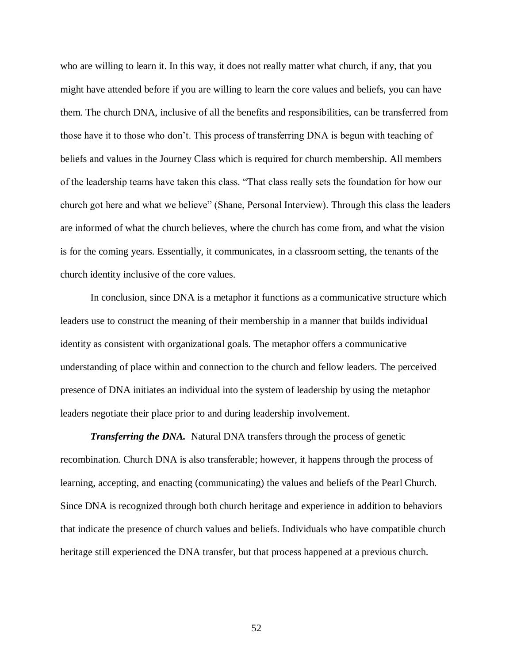who are willing to learn it. In this way, it does not really matter what church, if any, that you might have attended before if you are willing to learn the core values and beliefs, you can have them. The church DNA, inclusive of all the benefits and responsibilities, can be transferred from those have it to those who don"t. This process of transferring DNA is begun with teaching of beliefs and values in the Journey Class which is required for church membership. All members of the leadership teams have taken this class. "That class really sets the foundation for how our church got here and what we believe" (Shane, Personal Interview). Through this class the leaders are informed of what the church believes, where the church has come from, and what the vision is for the coming years. Essentially, it communicates, in a classroom setting, the tenants of the church identity inclusive of the core values.

 In conclusion, since DNA is a metaphor it functions as a communicative structure which leaders use to construct the meaning of their membership in a manner that builds individual identity as consistent with organizational goals. The metaphor offers a communicative understanding of place within and connection to the church and fellow leaders. The perceived presence of DNA initiates an individual into the system of leadership by using the metaphor leaders negotiate their place prior to and during leadership involvement.

*Transferring the DNA.* Natural DNA transfers through the process of genetic recombination. Church DNA is also transferable; however, it happens through the process of learning, accepting, and enacting (communicating) the values and beliefs of the Pearl Church. Since DNA is recognized through both church heritage and experience in addition to behaviors that indicate the presence of church values and beliefs. Individuals who have compatible church heritage still experienced the DNA transfer, but that process happened at a previous church.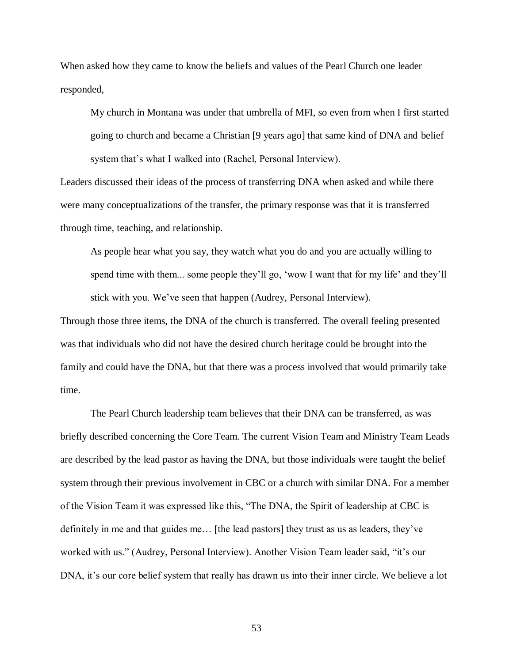When asked how they came to know the beliefs and values of the Pearl Church one leader responded,

 My church in Montana was under that umbrella of MFI, so even from when I first started going to church and became a Christian [9 years ago] that same kind of DNA and belief system that's what I walked into (Rachel, Personal Interview).

 Leaders discussed their ideas of the process of transferring DNA when asked and while there were many conceptualizations of the transfer, the primary response was that it is transferred through time, teaching, and relationship.

 As people hear what you say, they watch what you do and you are actually willing to spend time with them... some people they'll go, 'wow I want that for my life' and they'll stick with you. We've seen that happen (Audrey, Personal Interview).

 Through those three items, the DNA of the church is transferred. The overall feeling presented was that individuals who did not have the desired church heritage could be brought into the family and could have the DNA, but that there was a process involved that would primarily take time.

 The Pearl Church leadership team believes that their DNA can be transferred, as was briefly described concerning the Core Team. The current Vision Team and Ministry Team Leads are described by the lead pastor as having the DNA, but those individuals were taught the belief system through their previous involvement in CBC or a church with similar DNA. For a member of the Vision Team it was expressed like this, "The DNA, the Spirit of leadership at CBC is definitely in me and that guides me… [the lead pastors] they trust as us as leaders, they"ve worked with us." (Audrey, Personal Interview). Another Vision Team leader said, "it"s our DNA, it's our core belief system that really has drawn us into their inner circle. We believe a lot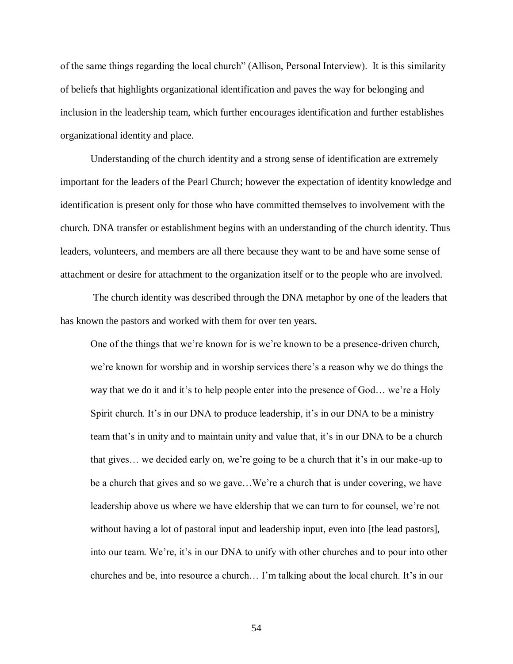of the same things regarding the local church" (Allison, Personal Interview). It is this similarity of beliefs that highlights organizational identification and paves the way for belonging and inclusion in the leadership team, which further encourages identification and further establishes organizational identity and place.

 Understanding of the church identity and a strong sense of identification are extremely important for the leaders of the Pearl Church; however the expectation of identity knowledge and identification is present only for those who have committed themselves to involvement with the church. DNA transfer or establishment begins with an understanding of the church identity. Thus leaders, volunteers, and members are all there because they want to be and have some sense of attachment or desire for attachment to the organization itself or to the people who are involved.

 The church identity was described through the DNA metaphor by one of the leaders that has known the pastors and worked with them for over ten years.

 One of the things that we"re known for is we"re known to be a presence-driven church, we're known for worship and in worship services there's a reason why we do things the way that we do it and it's to help people enter into the presence of God... we're a Holy Spirit church. It's in our DNA to produce leadership, it's in our DNA to be a ministry team that's in unity and to maintain unity and value that, it's in our DNA to be a church that gives... we decided early on, we're going to be a church that it's in our make-up to be a church that gives and so we gave...We're a church that is under covering, we have leadership above us where we have eldership that we can turn to for counsel, we're not without having a lot of pastoral input and leadership input, even into [the lead pastors], into our team. We're, it's in our DNA to unify with other churches and to pour into other churches and be, into resource a church… I"m talking about the local church. It"s in our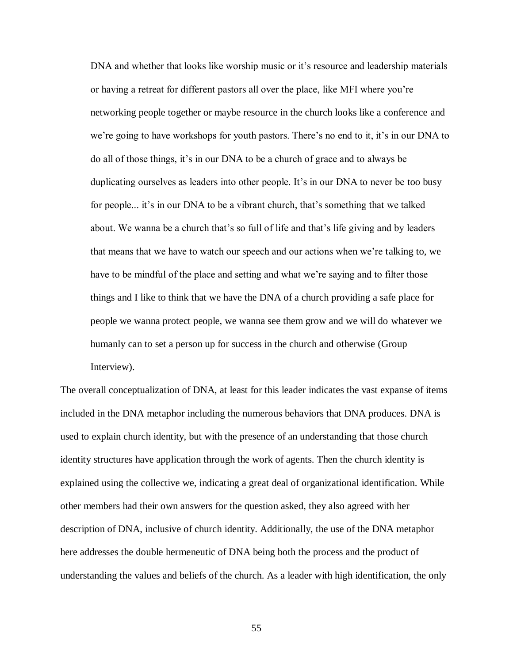DNA and whether that looks like worship music or it's resource and leadership materials or having a retreat for different pastors all over the place, like MFI where you"re networking people together or maybe resource in the church looks like a conference and we're going to have workshops for youth pastors. There's no end to it, it's in our DNA to do all of those things, it"s in our DNA to be a church of grace and to always be duplicating ourselves as leaders into other people. It's in our DNA to never be too busy for people... it's in our DNA to be a vibrant church, that's something that we talked about. We wanna be a church that's so full of life and that's life giving and by leaders that means that we have to watch our speech and our actions when we"re talking to, we have to be mindful of the place and setting and what we're saying and to filter those things and I like to think that we have the DNA of a church providing a safe place for people we wanna protect people, we wanna see them grow and we will do whatever we humanly can to set a person up for success in the church and otherwise (Group Interview).

 The overall conceptualization of DNA, at least for this leader indicates the vast expanse of items included in the DNA metaphor including the numerous behaviors that DNA produces. DNA is used to explain church identity, but with the presence of an understanding that those church identity structures have application through the work of agents. Then the church identity is explained using the collective we, indicating a great deal of organizational identification. While other members had their own answers for the question asked, they also agreed with her description of DNA, inclusive of church identity. Additionally, the use of the DNA metaphor here addresses the double hermeneutic of DNA being both the process and the product of understanding the values and beliefs of the church. As a leader with high identification, the only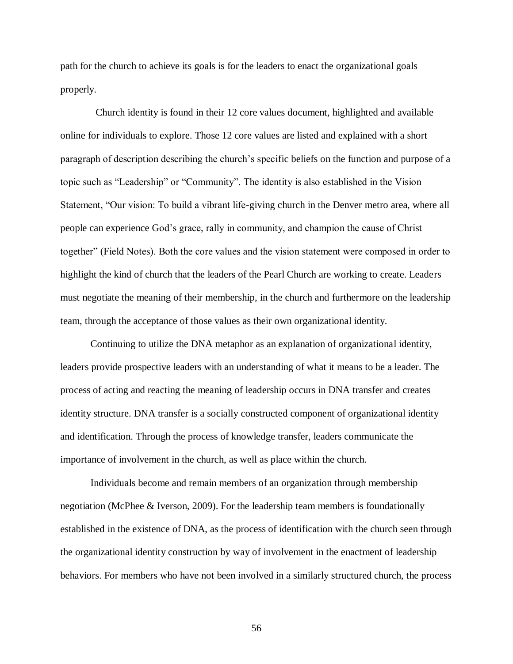path for the church to achieve its goals is for the leaders to enact the organizational goals properly.

 online for individuals to explore. Those 12 core values are listed and explained with a short paragraph of description describing the church's specific beliefs on the function and purpose of a topic such as "Leadership" or "Community". The identity is also established in the Vision Statement, "Our vision: To build a vibrant life-giving church in the Denver metro area, where all people can experience God"s grace, rally in community, and champion the cause of Christ together" (Field Notes). Both the core values and the vision statement were composed in order to highlight the kind of church that the leaders of the Pearl Church are working to create. Leaders must negotiate the meaning of their membership, in the church and furthermore on the leadership team, through the acceptance of those values as their own organizational identity. Church identity is found in their 12 core values document, highlighted and available

 Continuing to utilize the DNA metaphor as an explanation of organizational identity, leaders provide prospective leaders with an understanding of what it means to be a leader. The process of acting and reacting the meaning of leadership occurs in DNA transfer and creates identity structure. DNA transfer is a socially constructed component of organizational identity and identification. Through the process of knowledge transfer, leaders communicate the importance of involvement in the church, as well as place within the church.

 Individuals become and remain members of an organization through membership negotiation (McPhee & Iverson, 2009). For the leadership team members is foundationally established in the existence of DNA, as the process of identification with the church seen through the organizational identity construction by way of involvement in the enactment of leadership behaviors. For members who have not been involved in a similarly structured church, the process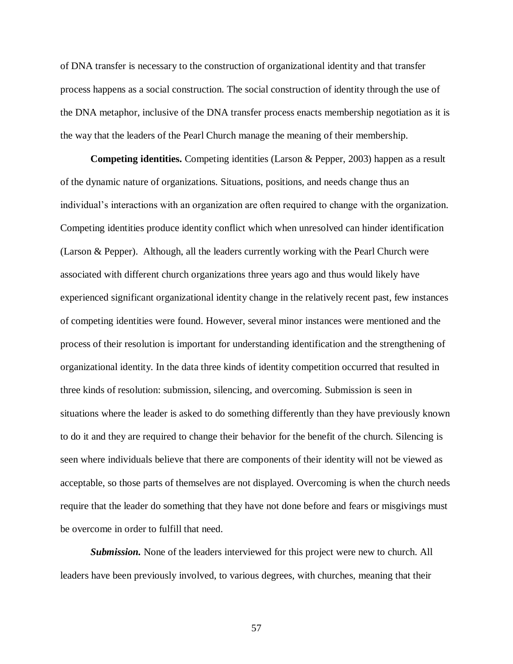of DNA transfer is necessary to the construction of organizational identity and that transfer process happens as a social construction. The social construction of identity through the use of the DNA metaphor, inclusive of the DNA transfer process enacts membership negotiation as it is the way that the leaders of the Pearl Church manage the meaning of their membership.

 **Competing identities.** Competing identities (Larson & Pepper, 2003) happen as a result of the dynamic nature of organizations. Situations, positions, and needs change thus an individual"s interactions with an organization are often required to change with the organization. Competing identities produce identity conflict which when unresolved can hinder identification (Larson & Pepper). Although, all the leaders currently working with the Pearl Church were associated with different church organizations three years ago and thus would likely have experienced significant organizational identity change in the relatively recent past, few instances of competing identities were found. However, several minor instances were mentioned and the process of their resolution is important for understanding identification and the strengthening of organizational identity. In the data three kinds of identity competition occurred that resulted in three kinds of resolution: submission, silencing, and overcoming. Submission is seen in situations where the leader is asked to do something differently than they have previously known to do it and they are required to change their behavior for the benefit of the church. Silencing is seen where individuals believe that there are components of their identity will not be viewed as acceptable, so those parts of themselves are not displayed. Overcoming is when the church needs require that the leader do something that they have not done before and fears or misgivings must be overcome in order to fulfill that need.

 *Submission.* None of the leaders interviewed for this project were new to church. All leaders have been previously involved, to various degrees, with churches, meaning that their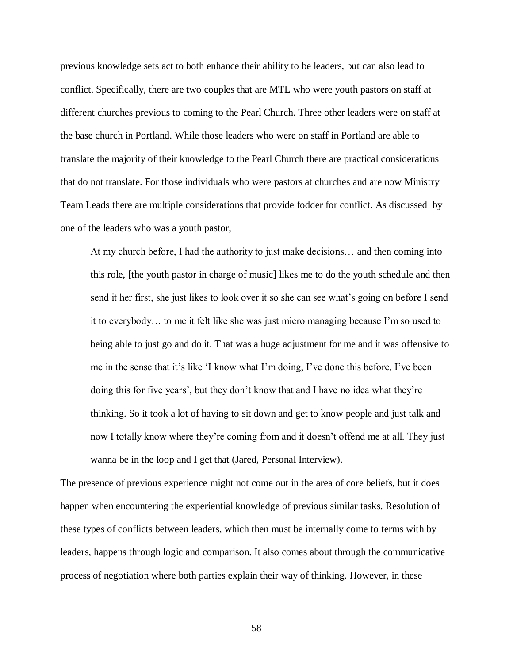previous knowledge sets act to both enhance their ability to be leaders, but can also lead to conflict. Specifically, there are two couples that are MTL who were youth pastors on staff at different churches previous to coming to the Pearl Church. Three other leaders were on staff at the base church in Portland. While those leaders who were on staff in Portland are able to translate the majority of their knowledge to the Pearl Church there are practical considerations that do not translate. For those individuals who were pastors at churches and are now Ministry Team Leads there are multiple considerations that provide fodder for conflict. As discussed by one of the leaders who was a youth pastor,

 At my church before, I had the authority to just make decisions… and then coming into this role, [the youth pastor in charge of music] likes me to do the youth schedule and then send it her first, she just likes to look over it so she can see what's going on before I send it to everybody… to me it felt like she was just micro managing because I"m so used to being able to just go and do it. That was a huge adjustment for me and it was offensive to me in the sense that it's like 'I know what I'm doing, I've done this before, I've been doing this for five years", but they don"t know that and I have no idea what they"re thinking. So it took a lot of having to sit down and get to know people and just talk and now I totally know where they"re coming from and it doesn"t offend me at all. They just wanna be in the loop and I get that (Jared, Personal Interview).

 The presence of previous experience might not come out in the area of core beliefs, but it does happen when encountering the experiential knowledge of previous similar tasks. Resolution of these types of conflicts between leaders, which then must be internally come to terms with by leaders, happens through logic and comparison. It also comes about through the communicative process of negotiation where both parties explain their way of thinking. However, in these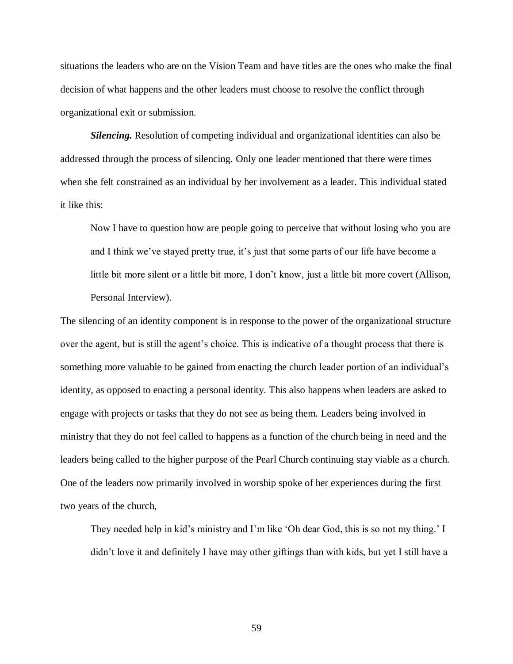situations the leaders who are on the Vision Team and have titles are the ones who make the final decision of what happens and the other leaders must choose to resolve the conflict through organizational exit or submission.

 *Silencing.* Resolution of competing individual and organizational identities can also be addressed through the process of silencing. Only one leader mentioned that there were times when she felt constrained as an individual by her involvement as a leader. This individual stated it like this:

 Now I have to question how are people going to perceive that without losing who you are and I think we've stayed pretty true, it's just that some parts of our life have become a little bit more silent or a little bit more, I don"t know, just a little bit more covert (Allison, Personal Interview).

 The silencing of an identity component is in response to the power of the organizational structure over the agent, but is still the agent's choice. This is indicative of a thought process that there is something more valuable to be gained from enacting the church leader portion of an individual's identity, as opposed to enacting a personal identity. This also happens when leaders are asked to engage with projects or tasks that they do not see as being them. Leaders being involved in ministry that they do not feel called to happens as a function of the church being in need and the leaders being called to the higher purpose of the Pearl Church continuing stay viable as a church. One of the leaders now primarily involved in worship spoke of her experiences during the first two years of the church,

They needed help in kid's ministry and I'm like 'Oh dear God, this is so not my thing.' I didn"t love it and definitely I have may other giftings than with kids, but yet I still have a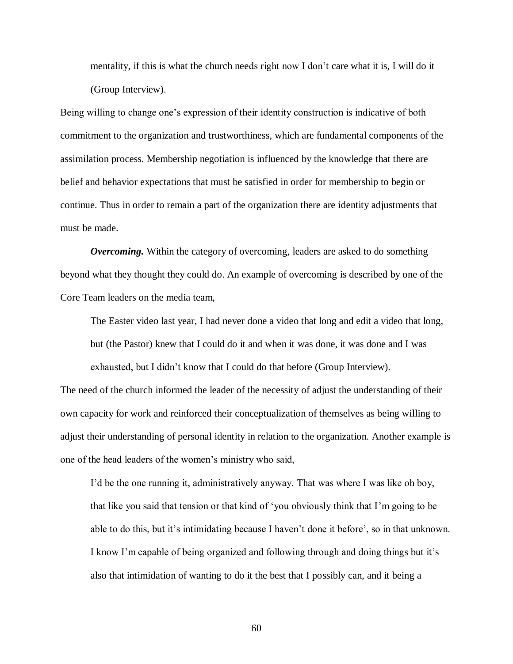mentality, if this is what the church needs right now I don"t care what it is, I will do it (Group Interview).

 (Group Interview). Being willing to change one"s expression of their identity construction is indicative of both commitment to the organization and trustworthiness, which are fundamental components of the assimilation process. Membership negotiation is influenced by the knowledge that there are belief and behavior expectations that must be satisfied in order for membership to begin or continue. Thus in order to remain a part of the organization there are identity adjustments that must be made.

 *Overcoming.* Within the category of overcoming, leaders are asked to do something beyond what they thought they could do. An example of overcoming is described by one of the Core Team leaders on the media team,

 The Easter video last year, I had never done a video that long and edit a video that long, but (the Pastor) knew that I could do it and when it was done, it was done and I was exhausted, but I didn't know that I could do that before (Group Interview).

 The need of the church informed the leader of the necessity of adjust the understanding of their own capacity for work and reinforced their conceptualization of themselves as being willing to adjust their understanding of personal identity in relation to the organization. Another example is one of the head leaders of the women"s ministry who said,

I'd be the one running it, administratively anyway. That was where I was like oh boy, that like you said that tension or that kind of "you obviously think that I"m going to be able to do this, but it's intimidating because I haven't done it before', so in that unknown. I know I'm capable of being organized and following through and doing things but it's also that intimidation of wanting to do it the best that I possibly can, and it being a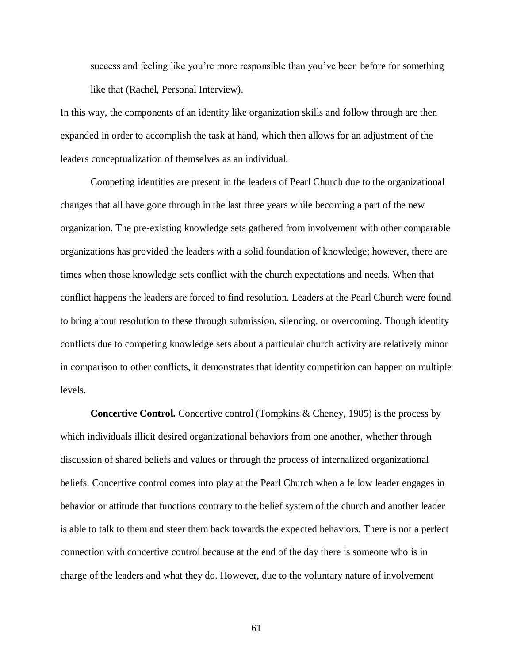success and feeling like you're more responsible than you've been before for something like that (Rachel, Personal Interview).

 In this way, the components of an identity like organization skills and follow through are then expanded in order to accomplish the task at hand, which then allows for an adjustment of the leaders conceptualization of themselves as an individual.

 Competing identities are present in the leaders of Pearl Church due to the organizational changes that all have gone through in the last three years while becoming a part of the new organization. The pre-existing knowledge sets gathered from involvement with other comparable organizations has provided the leaders with a solid foundation of knowledge; however, there are times when those knowledge sets conflict with the church expectations and needs. When that conflict happens the leaders are forced to find resolution. Leaders at the Pearl Church were found to bring about resolution to these through submission, silencing, or overcoming. Though identity conflicts due to competing knowledge sets about a particular church activity are relatively minor in comparison to other conflicts, it demonstrates that identity competition can happen on multiple levels.

 **Concertive Control.** Concertive control (Tompkins & Cheney, 1985) is the process by which individuals illicit desired organizational behaviors from one another, whether through discussion of shared beliefs and values or through the process of internalized organizational beliefs. Concertive control comes into play at the Pearl Church when a fellow leader engages in behavior or attitude that functions contrary to the belief system of the church and another leader is able to talk to them and steer them back towards the expected behaviors. There is not a perfect connection with concertive control because at the end of the day there is someone who is in charge of the leaders and what they do. However, due to the voluntary nature of involvement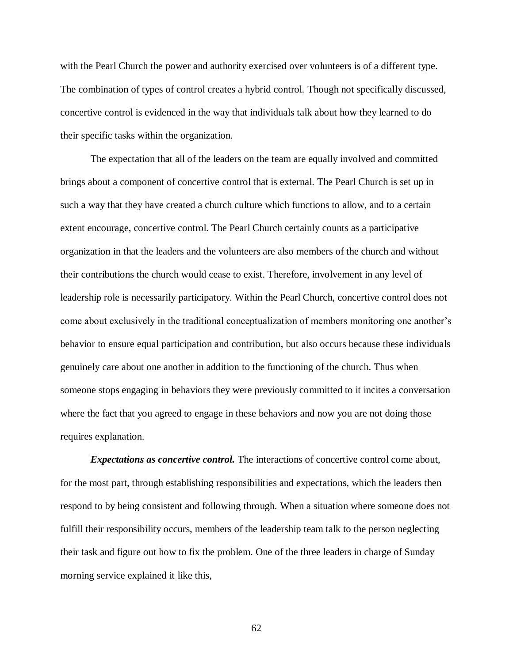with the Pearl Church the power and authority exercised over volunteers is of a different type. The combination of types of control creates a hybrid control. Though not specifically discussed, concertive control is evidenced in the way that individuals talk about how they learned to do their specific tasks within the organization.

 The expectation that all of the leaders on the team are equally involved and committed brings about a component of concertive control that is external. The Pearl Church is set up in such a way that they have created a church culture which functions to allow, and to a certain extent encourage, concertive control. The Pearl Church certainly counts as a participative organization in that the leaders and the volunteers are also members of the church and without their contributions the church would cease to exist. Therefore, involvement in any level of leadership role is necessarily participatory. Within the Pearl Church, concertive control does not come about exclusively in the traditional conceptualization of members monitoring one another"s behavior to ensure equal participation and contribution, but also occurs because these individuals genuinely care about one another in addition to the functioning of the church. Thus when someone stops engaging in behaviors they were previously committed to it incites a conversation where the fact that you agreed to engage in these behaviors and now you are not doing those requires explanation.

**Expectations as concertive control.** The interactions of concertive control come about, for the most part, through establishing responsibilities and expectations, which the leaders then respond to by being consistent and following through. When a situation where someone does not fulfill their responsibility occurs, members of the leadership team talk to the person neglecting their task and figure out how to fix the problem. One of the three leaders in charge of Sunday morning service explained it like this,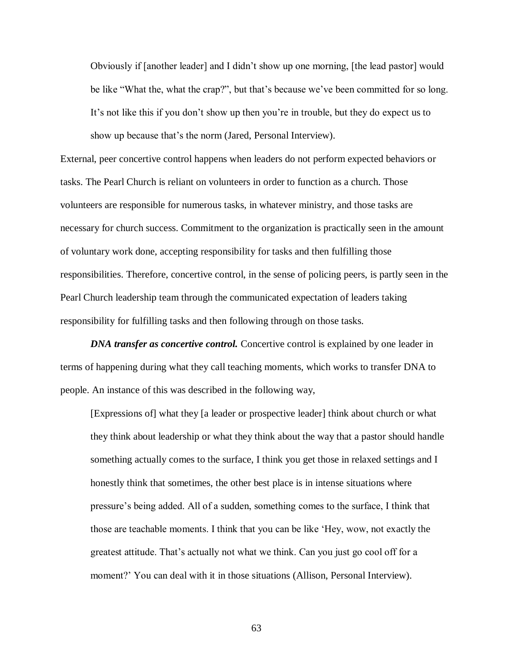Obviously if [another leader] and I didn"t show up one morning, [the lead pastor] would be like "What the, what the crap?", but that's because we've been committed for so long. It's not like this if you don't show up then you're in trouble, but they do expect us to show up because that's the norm (Jared, Personal Interview).

 External, peer concertive control happens when leaders do not perform expected behaviors or tasks. The Pearl Church is reliant on volunteers in order to function as a church. Those volunteers are responsible for numerous tasks, in whatever ministry, and those tasks are necessary for church success. Commitment to the organization is practically seen in the amount of voluntary work done, accepting responsibility for tasks and then fulfilling those responsibilities. Therefore, concertive control, in the sense of policing peers, is partly seen in the Pearl Church leadership team through the communicated expectation of leaders taking responsibility for fulfilling tasks and then following through on those tasks.

**DNA transfer as concertive control.** Concertive control is explained by one leader in terms of happening during what they call teaching moments, which works to transfer DNA to people. An instance of this was described in the following way,

 [Expressions of] what they [a leader or prospective leader] think about church or what they think about leadership or what they think about the way that a pastor should handle something actually comes to the surface, I think you get those in relaxed settings and I honestly think that sometimes, the other best place is in intense situations where pressure's being added. All of a sudden, something comes to the surface, I think that those are teachable moments. I think that you can be like "Hey, wow, not exactly the greatest attitude. That"s actually not what we think. Can you just go cool off for a moment?' You can deal with it in those situations (Allison, Personal Interview).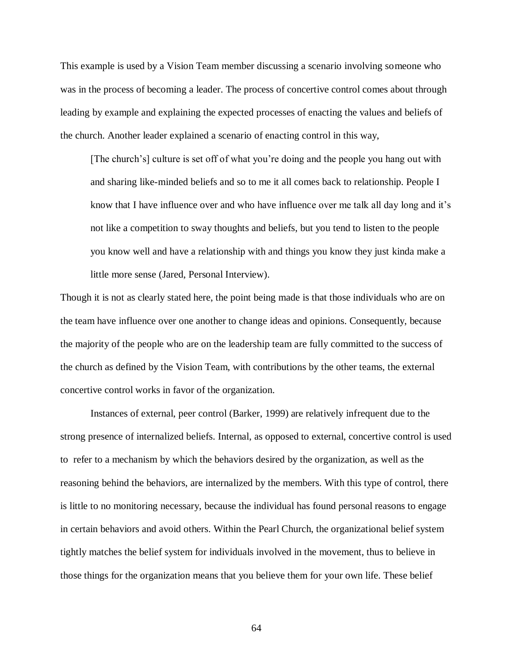This example is used by a Vision Team member discussing a scenario involving someone who was in the process of becoming a leader. The process of concertive control comes about through leading by example and explaining the expected processes of enacting the values and beliefs of the church. Another leader explained a scenario of enacting control in this way,

[The church's] culture is set off of what you're doing and the people you hang out with and sharing like-minded beliefs and so to me it all comes back to relationship. People I know that I have influence over and who have influence over me talk all day long and it's not like a competition to sway thoughts and beliefs, but you tend to listen to the people you know well and have a relationship with and things you know they just kinda make a little more sense (Jared, Personal Interview).

 Though it is not as clearly stated here, the point being made is that those individuals who are on the team have influence over one another to change ideas and opinions. Consequently, because the majority of the people who are on the leadership team are fully committed to the success of the church as defined by the Vision Team, with contributions by the other teams, the external concertive control works in favor of the organization.

 Instances of external, peer control (Barker, 1999) are relatively infrequent due to the strong presence of internalized beliefs. Internal, as opposed to external, concertive control is used to refer to a mechanism by which the behaviors desired by the organization, as well as the reasoning behind the behaviors, are internalized by the members. With this type of control, there is little to no monitoring necessary, because the individual has found personal reasons to engage in certain behaviors and avoid others. Within the Pearl Church, the organizational belief system tightly matches the belief system for individuals involved in the movement, thus to believe in those things for the organization means that you believe them for your own life. These belief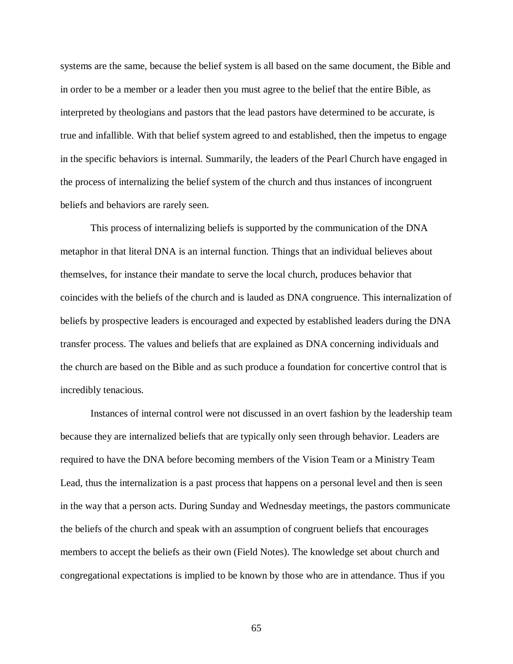systems are the same, because the belief system is all based on the same document, the Bible and in order to be a member or a leader then you must agree to the belief that the entire Bible, as interpreted by theologians and pastors that the lead pastors have determined to be accurate, is true and infallible. With that belief system agreed to and established, then the impetus to engage in the specific behaviors is internal. Summarily, the leaders of the Pearl Church have engaged in the process of internalizing the belief system of the church and thus instances of incongruent beliefs and behaviors are rarely seen.

 This process of internalizing beliefs is supported by the communication of the DNA metaphor in that literal DNA is an internal function. Things that an individual believes about themselves, for instance their mandate to serve the local church, produces behavior that coincides with the beliefs of the church and is lauded as DNA congruence. This internalization of beliefs by prospective leaders is encouraged and expected by established leaders during the DNA transfer process. The values and beliefs that are explained as DNA concerning individuals and the church are based on the Bible and as such produce a foundation for concertive control that is incredibly tenacious.

 Instances of internal control were not discussed in an overt fashion by the leadership team because they are internalized beliefs that are typically only seen through behavior. Leaders are required to have the DNA before becoming members of the Vision Team or a Ministry Team Lead, thus the internalization is a past process that happens on a personal level and then is seen in the way that a person acts. During Sunday and Wednesday meetings, the pastors communicate the beliefs of the church and speak with an assumption of congruent beliefs that encourages members to accept the beliefs as their own (Field Notes). The knowledge set about church and congregational expectations is implied to be known by those who are in attendance. Thus if you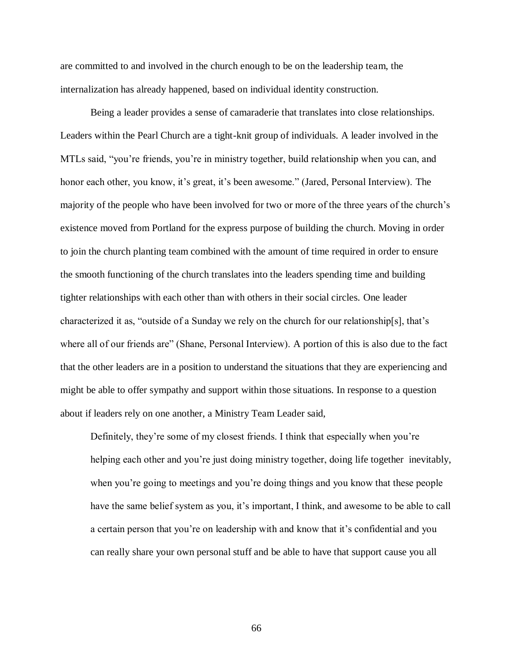are committed to and involved in the church enough to be on the leadership team, the internalization has already happened, based on individual identity construction.

 Being a leader provides a sense of camaraderie that translates into close relationships. Leaders within the Pearl Church are a tight-knit group of individuals. A leader involved in the MTLs said, "you"re friends, you"re in ministry together, build relationship when you can, and honor each other, you know, it's great, it's been awesome." (Jared, Personal Interview). The majority of the people who have been involved for two or more of the three years of the church"s existence moved from Portland for the express purpose of building the church. Moving in order to join the church planting team combined with the amount of time required in order to ensure the smooth functioning of the church translates into the leaders spending time and building tighter relationships with each other than with others in their social circles. One leader characterized it as, "outside of a Sunday we rely on the church for our relationship[s], that's where all of our friends are" (Shane, Personal Interview). A portion of this is also due to the fact that the other leaders are in a position to understand the situations that they are experiencing and might be able to offer sympathy and support within those situations. In response to a question about if leaders rely on one another, a Ministry Team Leader said,

Definitely, they're some of my closest friends. I think that especially when you're helping each other and you"re just doing ministry together, doing life together inevitably, when you're going to meetings and you're doing things and you know that these people have the same belief system as you, it's important, I think, and awesome to be able to call a certain person that you're on leadership with and know that it's confidential and you can really share your own personal stuff and be able to have that support cause you all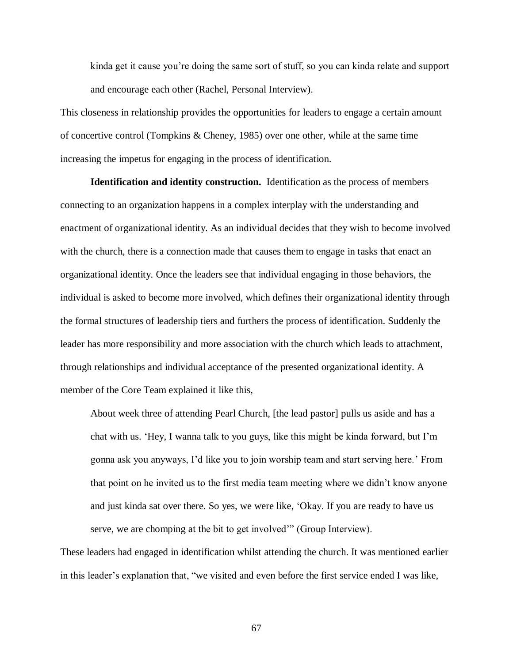kinda get it cause you"re doing the same sort of stuff, so you can kinda relate and support and encourage each other (Rachel, Personal Interview).

 This closeness in relationship provides the opportunities for leaders to engage a certain amount of concertive control (Tompkins & Cheney, 1985) over one other, while at the same time increasing the impetus for engaging in the process of identification.

 **Identification and identity construction.** Identification as the process of members connecting to an organization happens in a complex interplay with the understanding and enactment of organizational identity. As an individual decides that they wish to become involved with the church, there is a connection made that causes them to engage in tasks that enact an organizational identity. Once the leaders see that individual engaging in those behaviors, the individual is asked to become more involved, which defines their organizational identity through the formal structures of leadership tiers and furthers the process of identification. Suddenly the leader has more responsibility and more association with the church which leads to attachment, through relationships and individual acceptance of the presented organizational identity. A member of the Core Team explained it like this,

 About week three of attending Pearl Church, [the lead pastor] pulls us aside and has a chat with us. "Hey, I wanna talk to you guys, like this might be kinda forward, but I"m gonna ask you anyways, I"d like you to join worship team and start serving here." From that point on he invited us to the first media team meeting where we didn"t know anyone and just kinda sat over there. So yes, we were like, "Okay. If you are ready to have us serve, we are chomping at the bit to get involved" (Group Interview).

 These leaders had engaged in identification whilst attending the church. It was mentioned earlier in this leader"s explanation that, "we visited and even before the first service ended I was like,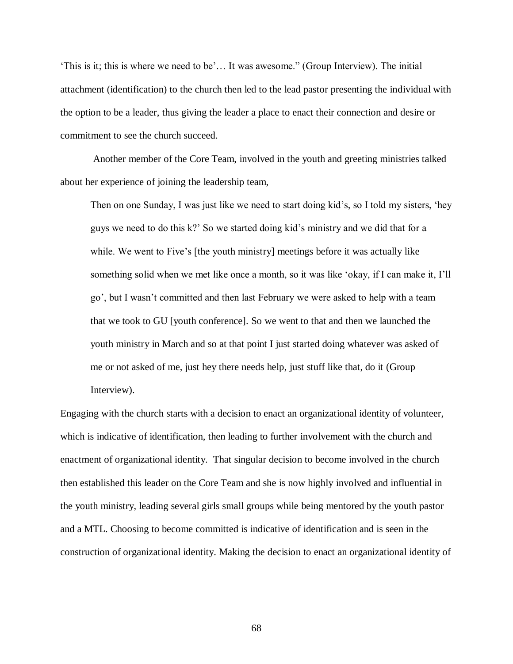"This is it; this is where we need to be'... It was awesome." (Group Interview). The initial attachment (identification) to the church then led to the lead pastor presenting the individual with the option to be a leader, thus giving the leader a place to enact their connection and desire or commitment to see the church succeed.

 Another member of the Core Team, involved in the youth and greeting ministries talked about her experience of joining the leadership team,

 Then on one Sunday, I was just like we need to start doing kid"s, so I told my sisters, "hey guys we need to do this k?" So we started doing kid"s ministry and we did that for a while. We went to Five's [the youth ministry] meetings before it was actually like something solid when we met like once a month, so it was like "okay, if I can make it, I"ll go", but I wasn"t committed and then last February we were asked to help with a team that we took to GU [youth conference]. So we went to that and then we launched the youth ministry in March and so at that point I just started doing whatever was asked of me or not asked of me, just hey there needs help, just stuff like that, do it (Group Interview). Interview). Engaging with the church starts with a decision to enact an organizational identity of volunteer,

 which is indicative of identification, then leading to further involvement with the church and enactment of organizational identity. That singular decision to become involved in the church then established this leader on the Core Team and she is now highly involved and influential in the youth ministry, leading several girls small groups while being mentored by the youth pastor and a MTL. Choosing to become committed is indicative of identification and is seen in the construction of organizational identity. Making the decision to enact an organizational identity of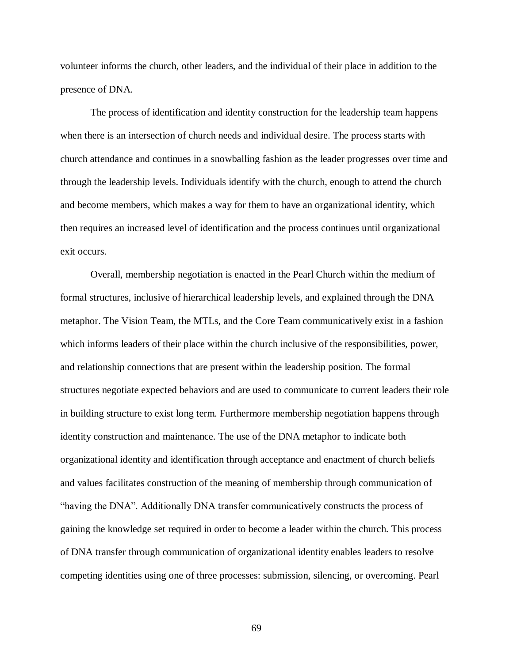volunteer informs the church, other leaders, and the individual of their place in addition to the presence of DNA.

 The process of identification and identity construction for the leadership team happens when there is an intersection of church needs and individual desire. The process starts with church attendance and continues in a snowballing fashion as the leader progresses over time and through the leadership levels. Individuals identify with the church, enough to attend the church and become members, which makes a way for them to have an organizational identity, which then requires an increased level of identification and the process continues until organizational exit occurs.

 Overall, membership negotiation is enacted in the Pearl Church within the medium of formal structures, inclusive of hierarchical leadership levels, and explained through the DNA metaphor. The Vision Team, the MTLs, and the Core Team communicatively exist in a fashion which informs leaders of their place within the church inclusive of the responsibilities, power, and relationship connections that are present within the leadership position. The formal structures negotiate expected behaviors and are used to communicate to current leaders their role in building structure to exist long term. Furthermore membership negotiation happens through identity construction and maintenance. The use of the DNA metaphor to indicate both organizational identity and identification through acceptance and enactment of church beliefs and values facilitates construction of the meaning of membership through communication of "having the DNA". Additionally DNA transfer communicatively constructs the process of gaining the knowledge set required in order to become a leader within the church. This process of DNA transfer through communication of organizational identity enables leaders to resolve competing identities using one of three processes: submission, silencing, or overcoming. Pearl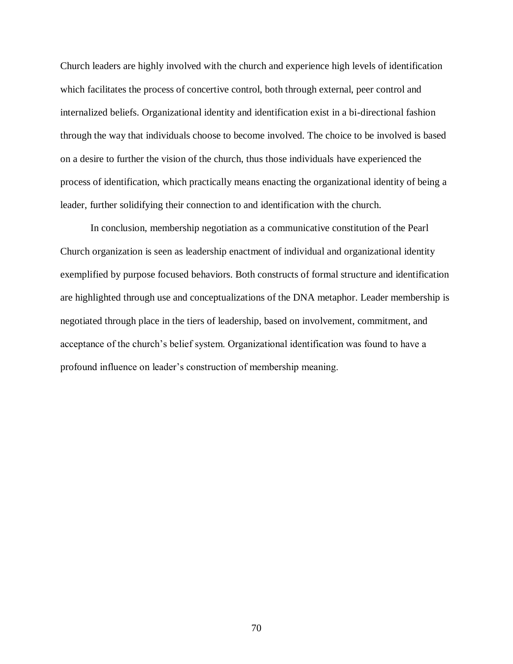Church leaders are highly involved with the church and experience high levels of identification which facilitates the process of concertive control, both through external, peer control and internalized beliefs. Organizational identity and identification exist in a bi-directional fashion through the way that individuals choose to become involved. The choice to be involved is based on a desire to further the vision of the church, thus those individuals have experienced the process of identification, which practically means enacting the organizational identity of being a leader, further solidifying their connection to and identification with the church.

 In conclusion, membership negotiation as a communicative constitution of the Pearl Church organization is seen as leadership enactment of individual and organizational identity exemplified by purpose focused behaviors. Both constructs of formal structure and identification are highlighted through use and conceptualizations of the DNA metaphor. Leader membership is negotiated through place in the tiers of leadership, based on involvement, commitment, and acceptance of the church's belief system. Organizational identification was found to have a profound influence on leader"s construction of membership meaning.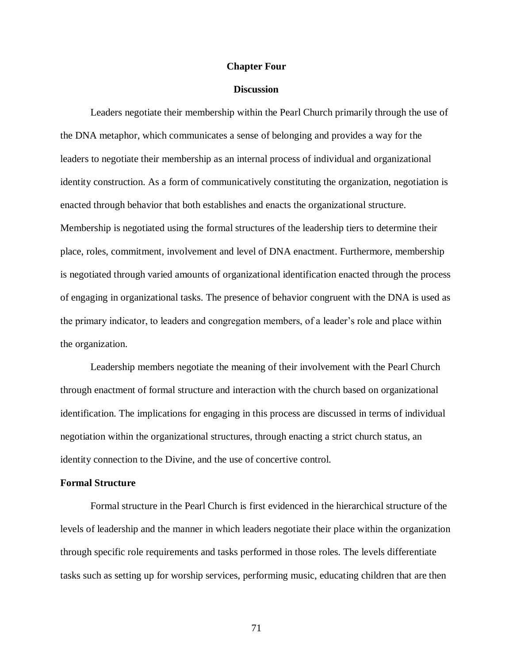# **Chapter Four**

### **Discussion**

 Leaders negotiate their membership within the Pearl Church primarily through the use of the DNA metaphor, which communicates a sense of belonging and provides a way for the leaders to negotiate their membership as an internal process of individual and organizational identity construction. As a form of communicatively constituting the organization, negotiation is enacted through behavior that both establishes and enacts the organizational structure. Membership is negotiated using the formal structures of the leadership tiers to determine their place, roles, commitment, involvement and level of DNA enactment. Furthermore, membership is negotiated through varied amounts of organizational identification enacted through the process of engaging in organizational tasks. The presence of behavior congruent with the DNA is used as the primary indicator, to leaders and congregation members, of a leader"s role and place within the organization.

 Leadership members negotiate the meaning of their involvement with the Pearl Church through enactment of formal structure and interaction with the church based on organizational identification. The implications for engaging in this process are discussed in terms of individual negotiation within the organizational structures, through enacting a strict church status, an identity connection to the Divine, and the use of concertive control.

#### **Formal Structure**

 Formal structure in the Pearl Church is first evidenced in the hierarchical structure of the levels of leadership and the manner in which leaders negotiate their place within the organization through specific role requirements and tasks performed in those roles. The levels differentiate tasks such as setting up for worship services, performing music, educating children that are then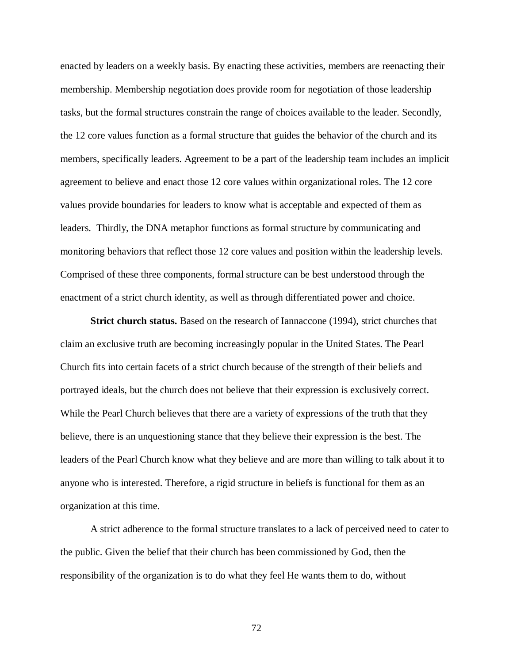enacted by leaders on a weekly basis. By enacting these activities, members are reenacting their membership. Membership negotiation does provide room for negotiation of those leadership tasks, but the formal structures constrain the range of choices available to the leader. Secondly, the 12 core values function as a formal structure that guides the behavior of the church and its members, specifically leaders. Agreement to be a part of the leadership team includes an implicit agreement to believe and enact those 12 core values within organizational roles. The 12 core values provide boundaries for leaders to know what is acceptable and expected of them as leaders. Thirdly, the DNA metaphor functions as formal structure by communicating and monitoring behaviors that reflect those 12 core values and position within the leadership levels. Comprised of these three components, formal structure can be best understood through the enactment of a strict church identity, as well as through differentiated power and choice.

Strict church status. Based on the research of Iannaccone (1994), strict churches that claim an exclusive truth are becoming increasingly popular in the United States. The Pearl Church fits into certain facets of a strict church because of the strength of their beliefs and portrayed ideals, but the church does not believe that their expression is exclusively correct. While the Pearl Church believes that there are a variety of expressions of the truth that they believe, there is an unquestioning stance that they believe their expression is the best. The leaders of the Pearl Church know what they believe and are more than willing to talk about it to anyone who is interested. Therefore, a rigid structure in beliefs is functional for them as an organization at this time.

 A strict adherence to the formal structure translates to a lack of perceived need to cater to the public. Given the belief that their church has been commissioned by God, then the responsibility of the organization is to do what they feel He wants them to do, without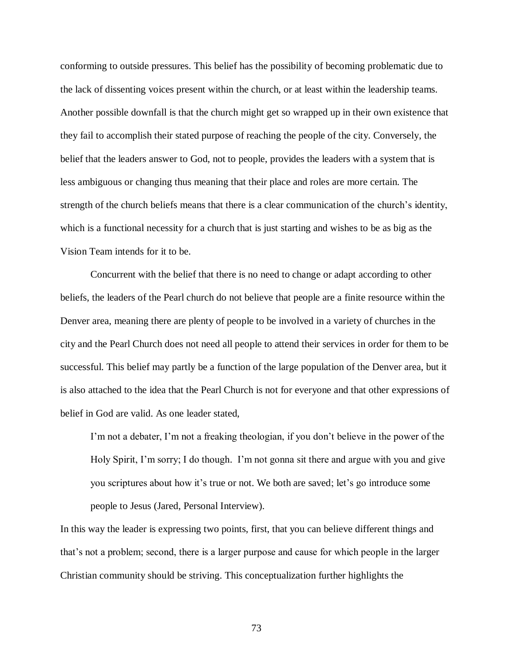conforming to outside pressures. This belief has the possibility of becoming problematic due to the lack of dissenting voices present within the church, or at least within the leadership teams. Another possible downfall is that the church might get so wrapped up in their own existence that they fail to accomplish their stated purpose of reaching the people of the city. Conversely, the belief that the leaders answer to God, not to people, provides the leaders with a system that is less ambiguous or changing thus meaning that their place and roles are more certain. The strength of the church beliefs means that there is a clear communication of the church's identity, which is a functional necessity for a church that is just starting and wishes to be as big as the Vision Team intends for it to be.

 Concurrent with the belief that there is no need to change or adapt according to other beliefs, the leaders of the Pearl church do not believe that people are a finite resource within the Denver area, meaning there are plenty of people to be involved in a variety of churches in the city and the Pearl Church does not need all people to attend their services in order for them to be successful. This belief may partly be a function of the large population of the Denver area, but it is also attached to the idea that the Pearl Church is not for everyone and that other expressions of belief in God are valid. As one leader stated,

I'm not a debater, I'm not a freaking theologian, if you don't believe in the power of the Holy Spirit, I'm sorry; I do though. I'm not gonna sit there and argue with you and give you scriptures about how it's true or not. We both are saved; let's go introduce some people to Jesus (Jared, Personal Interview).

 In this way the leader is expressing two points, first, that you can believe different things and that's not a problem; second, there is a larger purpose and cause for which people in the larger Christian community should be striving. This conceptualization further highlights the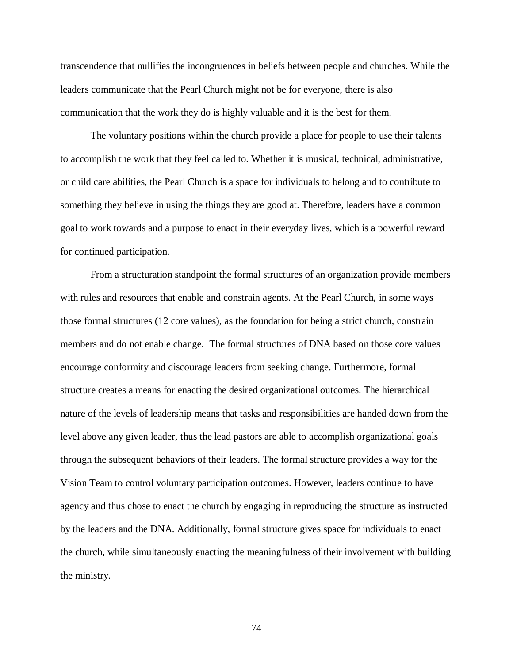transcendence that nullifies the incongruences in beliefs between people and churches. While the leaders communicate that the Pearl Church might not be for everyone, there is also communication that the work they do is highly valuable and it is the best for them.

 The voluntary positions within the church provide a place for people to use their talents to accomplish the work that they feel called to. Whether it is musical, technical, administrative, or child care abilities, the Pearl Church is a space for individuals to belong and to contribute to something they believe in using the things they are good at. Therefore, leaders have a common goal to work towards and a purpose to enact in their everyday lives, which is a powerful reward for continued participation.

 From a structuration standpoint the formal structures of an organization provide members with rules and resources that enable and constrain agents. At the Pearl Church, in some ways those formal structures (12 core values), as the foundation for being a strict church, constrain members and do not enable change. The formal structures of DNA based on those core values encourage conformity and discourage leaders from seeking change. Furthermore, formal structure creates a means for enacting the desired organizational outcomes. The hierarchical nature of the levels of leadership means that tasks and responsibilities are handed down from the level above any given leader, thus the lead pastors are able to accomplish organizational goals through the subsequent behaviors of their leaders. The formal structure provides a way for the Vision Team to control voluntary participation outcomes. However, leaders continue to have agency and thus chose to enact the church by engaging in reproducing the structure as instructed by the leaders and the DNA. Additionally, formal structure gives space for individuals to enact the church, while simultaneously enacting the meaningfulness of their involvement with building the ministry.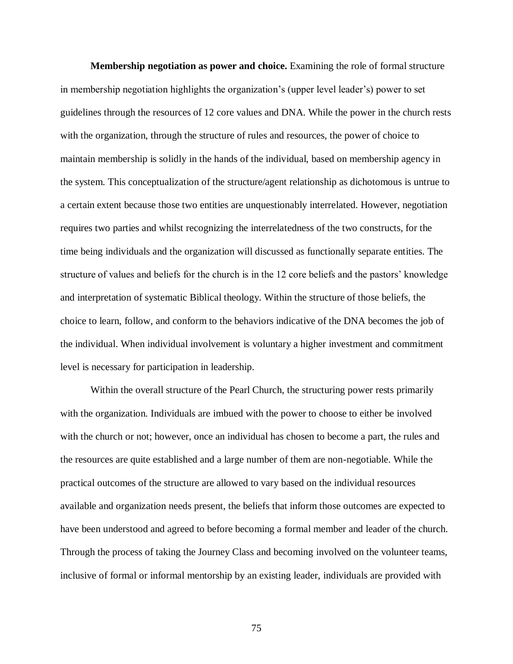**Membership negotiation as power and choice.** Examining the role of formal structure in membership negotiation highlights the organization"s (upper level leader"s) power to set guidelines through the resources of 12 core values and DNA. While the power in the church rests with the organization, through the structure of rules and resources, the power of choice to maintain membership is solidly in the hands of the individual, based on membership agency in the system. This conceptualization of the structure/agent relationship as dichotomous is untrue to a certain extent because those two entities are unquestionably interrelated. However, negotiation requires two parties and whilst recognizing the interrelatedness of the two constructs, for the time being individuals and the organization will discussed as functionally separate entities. The structure of values and beliefs for the church is in the 12 core beliefs and the pastors' knowledge and interpretation of systematic Biblical theology. Within the structure of those beliefs, the choice to learn, follow, and conform to the behaviors indicative of the DNA becomes the job of the individual. When individual involvement is voluntary a higher investment and commitment level is necessary for participation in leadership.

 Within the overall structure of the Pearl Church, the structuring power rests primarily with the organization. Individuals are imbued with the power to choose to either be involved with the church or not; however, once an individual has chosen to become a part, the rules and the resources are quite established and a large number of them are non-negotiable. While the practical outcomes of the structure are allowed to vary based on the individual resources available and organization needs present, the beliefs that inform those outcomes are expected to have been understood and agreed to before becoming a formal member and leader of the church. Through the process of taking the Journey Class and becoming involved on the volunteer teams, inclusive of formal or informal mentorship by an existing leader, individuals are provided with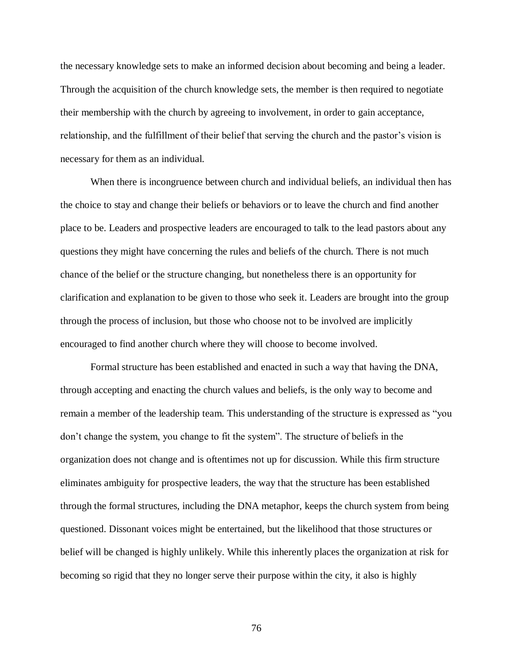the necessary knowledge sets to make an informed decision about becoming and being a leader. Through the acquisition of the church knowledge sets, the member is then required to negotiate their membership with the church by agreeing to involvement, in order to gain acceptance, relationship, and the fulfillment of their belief that serving the church and the pastor's vision is necessary for them as an individual.

 When there is incongruence between church and individual beliefs, an individual then has the choice to stay and change their beliefs or behaviors or to leave the church and find another place to be. Leaders and prospective leaders are encouraged to talk to the lead pastors about any questions they might have concerning the rules and beliefs of the church. There is not much chance of the belief or the structure changing, but nonetheless there is an opportunity for clarification and explanation to be given to those who seek it. Leaders are brought into the group through the process of inclusion, but those who choose not to be involved are implicitly encouraged to find another church where they will choose to become involved.

 Formal structure has been established and enacted in such a way that having the DNA, through accepting and enacting the church values and beliefs, is the only way to become and remain a member of the leadership team. This understanding of the structure is expressed as "you don"t change the system, you change to fit the system". The structure of beliefs in the organization does not change and is oftentimes not up for discussion. While this firm structure eliminates ambiguity for prospective leaders, the way that the structure has been established through the formal structures, including the DNA metaphor, keeps the church system from being questioned. Dissonant voices might be entertained, but the likelihood that those structures or belief will be changed is highly unlikely. While this inherently places the organization at risk for becoming so rigid that they no longer serve their purpose within the city, it also is highly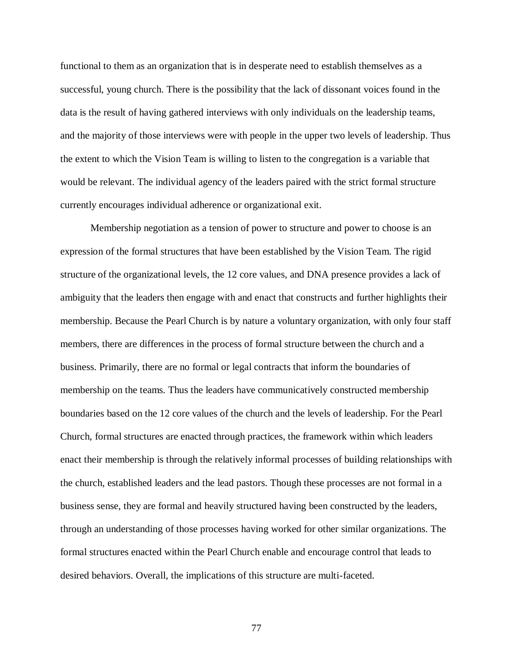functional to them as an organization that is in desperate need to establish themselves as a successful, young church. There is the possibility that the lack of dissonant voices found in the data is the result of having gathered interviews with only individuals on the leadership teams, and the majority of those interviews were with people in the upper two levels of leadership. Thus the extent to which the Vision Team is willing to listen to the congregation is a variable that would be relevant. The individual agency of the leaders paired with the strict formal structure currently encourages individual adherence or organizational exit.

 Membership negotiation as a tension of power to structure and power to choose is an expression of the formal structures that have been established by the Vision Team. The rigid structure of the organizational levels, the 12 core values, and DNA presence provides a lack of ambiguity that the leaders then engage with and enact that constructs and further highlights their membership. Because the Pearl Church is by nature a voluntary organization, with only four staff members, there are differences in the process of formal structure between the church and a business. Primarily, there are no formal or legal contracts that inform the boundaries of membership on the teams. Thus the leaders have communicatively constructed membership boundaries based on the 12 core values of the church and the levels of leadership. For the Pearl Church, formal structures are enacted through practices, the framework within which leaders enact their membership is through the relatively informal processes of building relationships with the church, established leaders and the lead pastors. Though these processes are not formal in a business sense, they are formal and heavily structured having been constructed by the leaders, through an understanding of those processes having worked for other similar organizations. The formal structures enacted within the Pearl Church enable and encourage control that leads to desired behaviors. Overall, the implications of this structure are multi-faceted.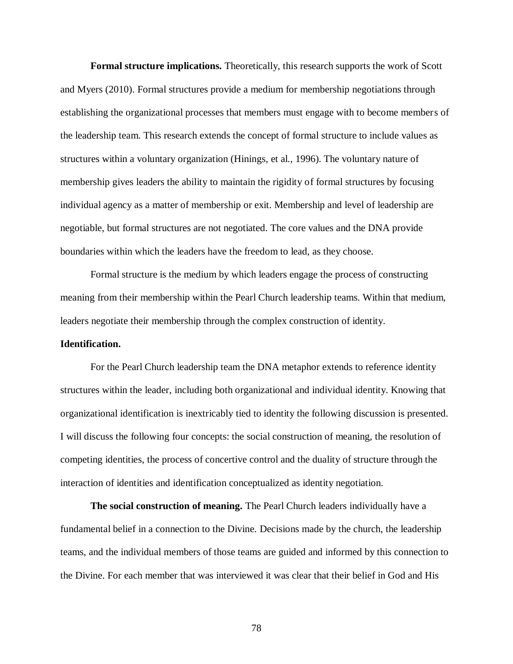**Formal structure implications.** Theoretically, this research supports the work of Scott and Myers (2010). Formal structures provide a medium for membership negotiations through establishing the organizational processes that members must engage with to become members of the leadership team. This research extends the concept of formal structure to include values as structures within a voluntary organization (Hinings, et al., 1996). The voluntary nature of membership gives leaders the ability to maintain the rigidity of formal structures by focusing individual agency as a matter of membership or exit. Membership and level of leadership are negotiable, but formal structures are not negotiated. The core values and the DNA provide boundaries within which the leaders have the freedom to lead, as they choose.

 Formal structure is the medium by which leaders engage the process of constructing meaning from their membership within the Pearl Church leadership teams. Within that medium, leaders negotiate their membership through the complex construction of identity.

### **Identification.**

 For the Pearl Church leadership team the DNA metaphor extends to reference identity structures within the leader, including both organizational and individual identity. Knowing that organizational identification is inextricably tied to identity the following discussion is presented. I will discuss the following four concepts: the social construction of meaning, the resolution of competing identities, the process of concertive control and the duality of structure through the interaction of identities and identification conceptualized as identity negotiation.

The social construction of meaning. The Pearl Church leaders individually have a fundamental belief in a connection to the Divine. Decisions made by the church, the leadership teams, and the individual members of those teams are guided and informed by this connection to the Divine. For each member that was interviewed it was clear that their belief in God and His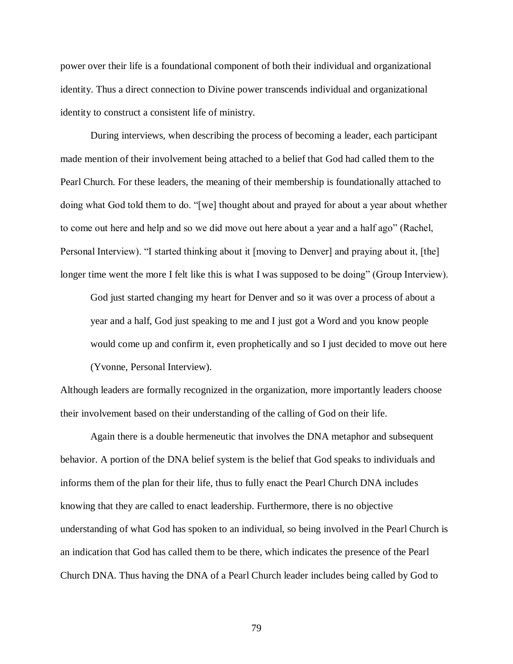power over their life is a foundational component of both their individual and organizational identity. Thus a direct connection to Divine power transcends individual and organizational identity to construct a consistent life of ministry.

 During interviews, when describing the process of becoming a leader, each participant made mention of their involvement being attached to a belief that God had called them to the Pearl Church. For these leaders, the meaning of their membership is foundationally attached to doing what God told them to do. "[we] thought about and prayed for about a year about whether to come out here and help and so we did move out here about a year and a half ago" (Rachel, Personal Interview). "I started thinking about it [moving to Denver] and praying about it, [the] longer time went the more I felt like this is what I was supposed to be doing" (Group Interview).

 God just started changing my heart for Denver and so it was over a process of about a year and a half, God just speaking to me and I just got a Word and you know people would come up and confirm it, even prophetically and so I just decided to move out here (Yvonne, Personal Interview).

 Although leaders are formally recognized in the organization, more importantly leaders choose their involvement based on their understanding of the calling of God on their life.

 Again there is a double hermeneutic that involves the DNA metaphor and subsequent behavior. A portion of the DNA belief system is the belief that God speaks to individuals and informs them of the plan for their life, thus to fully enact the Pearl Church DNA includes knowing that they are called to enact leadership. Furthermore, there is no objective understanding of what God has spoken to an individual, so being involved in the Pearl Church is an indication that God has called them to be there, which indicates the presence of the Pearl Church DNA. Thus having the DNA of a Pearl Church leader includes being called by God to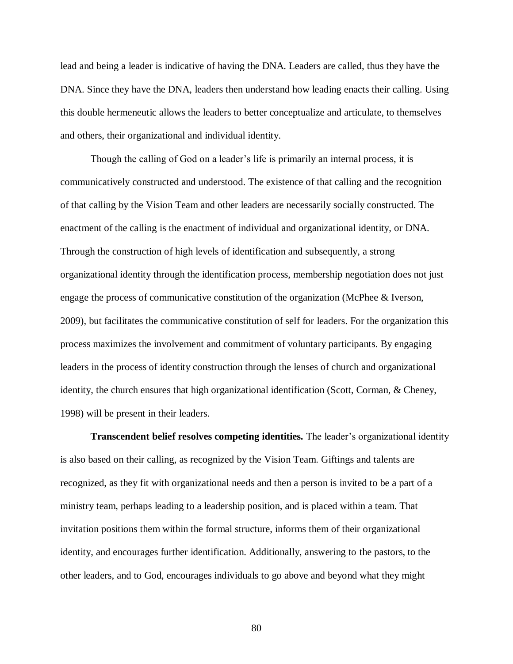lead and being a leader is indicative of having the DNA. Leaders are called, thus they have the DNA. Since they have the DNA, leaders then understand how leading enacts their calling. Using this double hermeneutic allows the leaders to better conceptualize and articulate, to themselves and others, their organizational and individual identity.

Though the calling of God on a leader's life is primarily an internal process, it is communicatively constructed and understood. The existence of that calling and the recognition of that calling by the Vision Team and other leaders are necessarily socially constructed. The enactment of the calling is the enactment of individual and organizational identity, or DNA. Through the construction of high levels of identification and subsequently, a strong organizational identity through the identification process, membership negotiation does not just engage the process of communicative constitution of the organization (McPhee & Iverson, 2009), but facilitates the communicative constitution of self for leaders. For the organization this process maximizes the involvement and commitment of voluntary participants. By engaging leaders in the process of identity construction through the lenses of church and organizational identity, the church ensures that high organizational identification (Scott, Corman, & Cheney, 1998) will be present in their leaders.

 **Transcendent belief resolves competing identities.** The leader"s organizational identity is also based on their calling, as recognized by the Vision Team. Giftings and talents are recognized, as they fit with organizational needs and then a person is invited to be a part of a ministry team, perhaps leading to a leadership position, and is placed within a team. That invitation positions them within the formal structure, informs them of their organizational identity, and encourages further identification. Additionally, answering to the pastors, to the other leaders, and to God, encourages individuals to go above and beyond what they might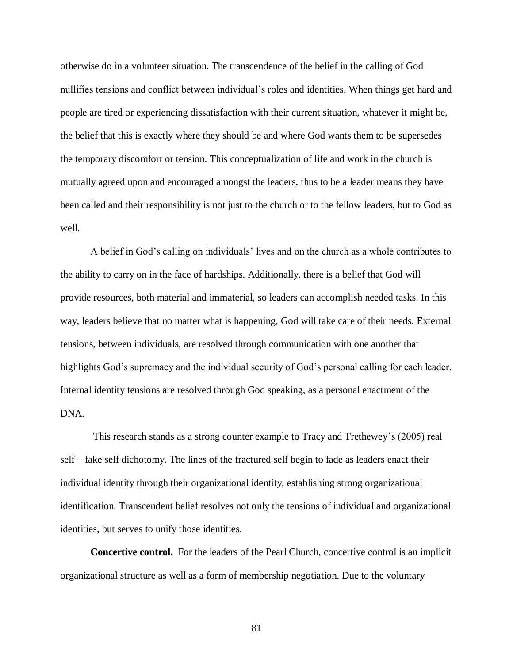otherwise do in a volunteer situation. The transcendence of the belief in the calling of God nullifies tensions and conflict between individual"s roles and identities. When things get hard and people are tired or experiencing dissatisfaction with their current situation, whatever it might be, the belief that this is exactly where they should be and where God wants them to be supersedes the temporary discomfort or tension. This conceptualization of life and work in the church is mutually agreed upon and encouraged amongst the leaders, thus to be a leader means they have been called and their responsibility is not just to the church or to the fellow leaders, but to God as well. well.<br>A belief in God's calling on individuals' lives and on the church as a whole contributes to

 the ability to carry on in the face of hardships. Additionally, there is a belief that God will provide resources, both material and immaterial, so leaders can accomplish needed tasks. In this way, leaders believe that no matter what is happening, God will take care of their needs. External tensions, between individuals, are resolved through communication with one another that highlights God's supremacy and the individual security of God's personal calling for each leader. Internal identity tensions are resolved through God speaking, as a personal enactment of the DNA.

 This research stands as a strong counter example to Tracy and Trethewey"s (2005) real self – fake self dichotomy. The lines of the fractured self begin to fade as leaders enact their individual identity through their organizational identity, establishing strong organizational identification. Transcendent belief resolves not only the tensions of individual and organizational identities, but serves to unify those identities.

 **Concertive control.** For the leaders of the Pearl Church, concertive control is an implicit organizational structure as well as a form of membership negotiation. Due to the voluntary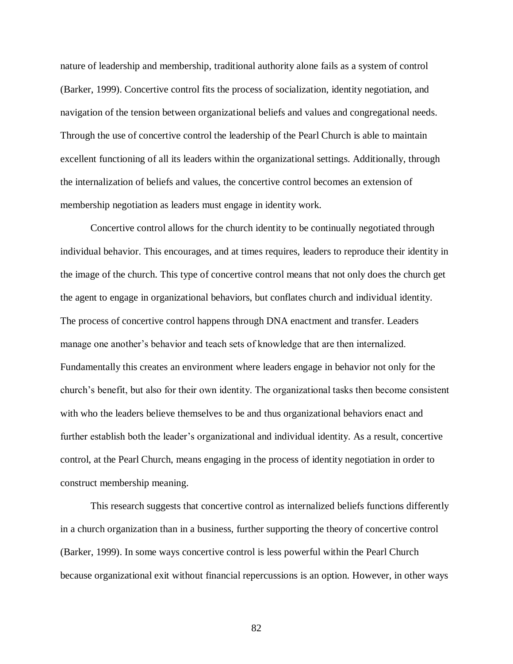nature of leadership and membership, traditional authority alone fails as a system of control (Barker, 1999). Concertive control fits the process of socialization, identity negotiation, and navigation of the tension between organizational beliefs and values and congregational needs. Through the use of concertive control the leadership of the Pearl Church is able to maintain excellent functioning of all its leaders within the organizational settings. Additionally, through the internalization of beliefs and values, the concertive control becomes an extension of membership negotiation as leaders must engage in identity work.

 Concertive control allows for the church identity to be continually negotiated through individual behavior. This encourages, and at times requires, leaders to reproduce their identity in the image of the church. This type of concertive control means that not only does the church get the agent to engage in organizational behaviors, but conflates church and individual identity. The process of concertive control happens through DNA enactment and transfer. Leaders manage one another's behavior and teach sets of knowledge that are then internalized. Fundamentally this creates an environment where leaders engage in behavior not only for the church"s benefit, but also for their own identity. The organizational tasks then become consistent with who the leaders believe themselves to be and thus organizational behaviors enact and further establish both the leader's organizational and individual identity. As a result, concertive control, at the Pearl Church, means engaging in the process of identity negotiation in order to construct membership meaning.

 This research suggests that concertive control as internalized beliefs functions differently in a church organization than in a business, further supporting the theory of concertive control (Barker, 1999). In some ways concertive control is less powerful within the Pearl Church because organizational exit without financial repercussions is an option. However, in other ways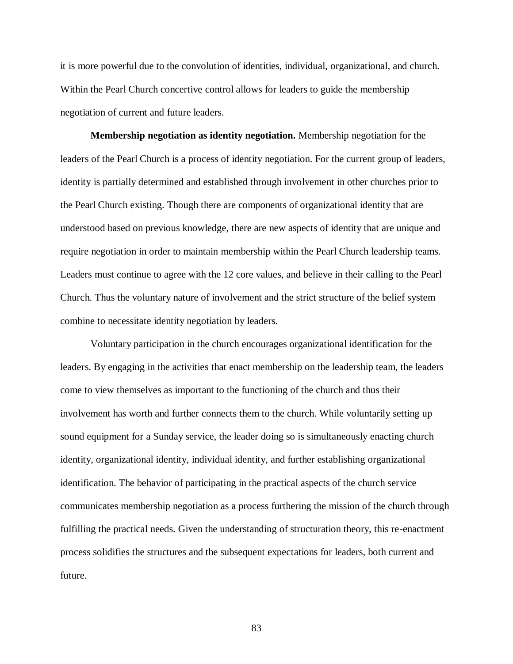it is more powerful due to the convolution of identities, individual, organizational, and church. Within the Pearl Church concertive control allows for leaders to guide the membership negotiation of current and future leaders.

 **Membership negotiation as identity negotiation.** Membership negotiation for the leaders of the Pearl Church is a process of identity negotiation. For the current group of leaders, identity is partially determined and established through involvement in other churches prior to the Pearl Church existing. Though there are components of organizational identity that are understood based on previous knowledge, there are new aspects of identity that are unique and require negotiation in order to maintain membership within the Pearl Church leadership teams. Leaders must continue to agree with the 12 core values, and believe in their calling to the Pearl Church. Thus the voluntary nature of involvement and the strict structure of the belief system combine to necessitate identity negotiation by leaders.

 Voluntary participation in the church encourages organizational identification for the leaders. By engaging in the activities that enact membership on the leadership team, the leaders come to view themselves as important to the functioning of the church and thus their involvement has worth and further connects them to the church. While voluntarily setting up sound equipment for a Sunday service, the leader doing so is simultaneously enacting church identity, organizational identity, individual identity, and further establishing organizational identification. The behavior of participating in the practical aspects of the church service communicates membership negotiation as a process furthering the mission of the church through fulfilling the practical needs. Given the understanding of structuration theory, this re-enactment process solidifies the structures and the subsequent expectations for leaders, both current and future.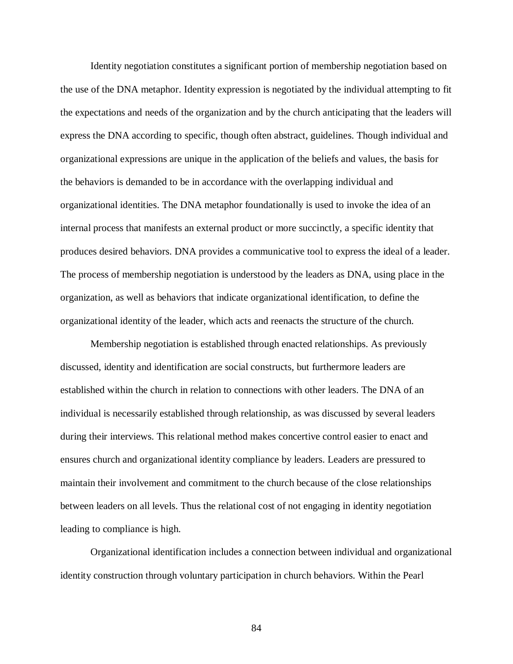Identity negotiation constitutes a significant portion of membership negotiation based on the use of the DNA metaphor. Identity expression is negotiated by the individual attempting to fit the expectations and needs of the organization and by the church anticipating that the leaders will express the DNA according to specific, though often abstract, guidelines. Though individual and organizational expressions are unique in the application of the beliefs and values, the basis for the behaviors is demanded to be in accordance with the overlapping individual and organizational identities. The DNA metaphor foundationally is used to invoke the idea of an internal process that manifests an external product or more succinctly, a specific identity that produces desired behaviors. DNA provides a communicative tool to express the ideal of a leader. The process of membership negotiation is understood by the leaders as DNA, using place in the organization, as well as behaviors that indicate organizational identification, to define the organizational identity of the leader, which acts and reenacts the structure of the church.

 Membership negotiation is established through enacted relationships. As previously discussed, identity and identification are social constructs, but furthermore leaders are established within the church in relation to connections with other leaders. The DNA of an individual is necessarily established through relationship, as was discussed by several leaders during their interviews. This relational method makes concertive control easier to enact and ensures church and organizational identity compliance by leaders. Leaders are pressured to maintain their involvement and commitment to the church because of the close relationships between leaders on all levels. Thus the relational cost of not engaging in identity negotiation leading to compliance is high.

 Organizational identification includes a connection between individual and organizational identity construction through voluntary participation in church behaviors. Within the Pearl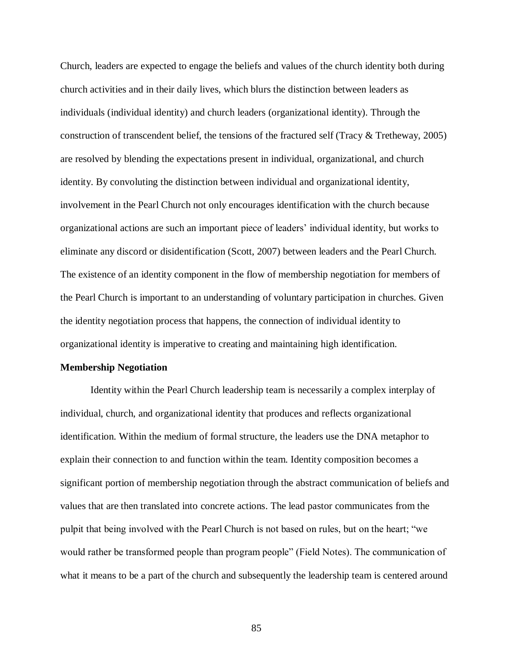Church, leaders are expected to engage the beliefs and values of the church identity both during church activities and in their daily lives, which blurs the distinction between leaders as individuals (individual identity) and church leaders (organizational identity). Through the construction of transcendent belief, the tensions of the fractured self (Tracy & Tretheway, 2005) are resolved by blending the expectations present in individual, organizational, and church identity. By convoluting the distinction between individual and organizational identity, involvement in the Pearl Church not only encourages identification with the church because organizational actions are such an important piece of leaders" individual identity, but works to eliminate any discord or disidentification (Scott, 2007) between leaders and the Pearl Church. The existence of an identity component in the flow of membership negotiation for members of the Pearl Church is important to an understanding of voluntary participation in churches. Given the identity negotiation process that happens, the connection of individual identity to organizational identity is imperative to creating and maintaining high identification.

#### **Membership Negotiation**

 Identity within the Pearl Church leadership team is necessarily a complex interplay of individual, church, and organizational identity that produces and reflects organizational identification. Within the medium of formal structure, the leaders use the DNA metaphor to explain their connection to and function within the team. Identity composition becomes a significant portion of membership negotiation through the abstract communication of beliefs and values that are then translated into concrete actions. The lead pastor communicates from the pulpit that being involved with the Pearl Church is not based on rules, but on the heart; "we would rather be transformed people than program people" (Field Notes). The communication of what it means to be a part of the church and subsequently the leadership team is centered around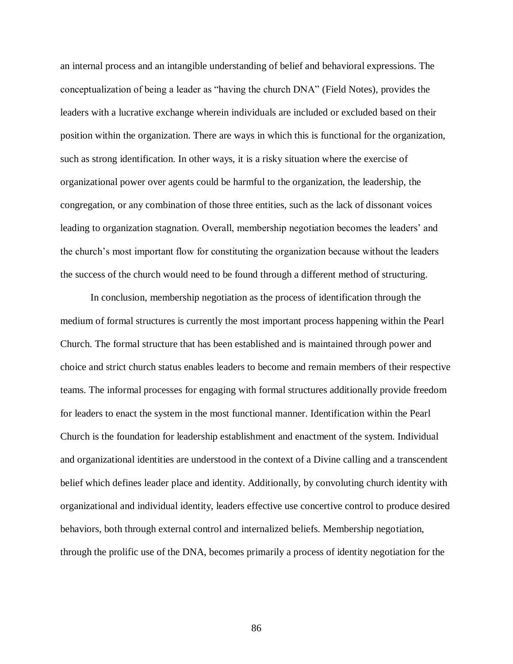an internal process and an intangible understanding of belief and behavioral expressions. The conceptualization of being a leader as "having the church DNA" (Field Notes), provides the leaders with a lucrative exchange wherein individuals are included or excluded based on their position within the organization. There are ways in which this is functional for the organization, such as strong identification. In other ways, it is a risky situation where the exercise of organizational power over agents could be harmful to the organization, the leadership, the congregation, or any combination of those three entities, such as the lack of dissonant voices leading to organization stagnation. Overall, membership negotiation becomes the leaders' and the church"s most important flow for constituting the organization because without the leaders the success of the church would need to be found through a different method of structuring.

 In conclusion, membership negotiation as the process of identification through the medium of formal structures is currently the most important process happening within the Pearl Church. The formal structure that has been established and is maintained through power and choice and strict church status enables leaders to become and remain members of their respective teams. The informal processes for engaging with formal structures additionally provide freedom for leaders to enact the system in the most functional manner. Identification within the Pearl Church is the foundation for leadership establishment and enactment of the system. Individual and organizational identities are understood in the context of a Divine calling and a transcendent belief which defines leader place and identity. Additionally, by convoluting church identity with organizational and individual identity, leaders effective use concertive control to produce desired behaviors, both through external control and internalized beliefs. Membership negotiation, through the prolific use of the DNA, becomes primarily a process of identity negotiation for the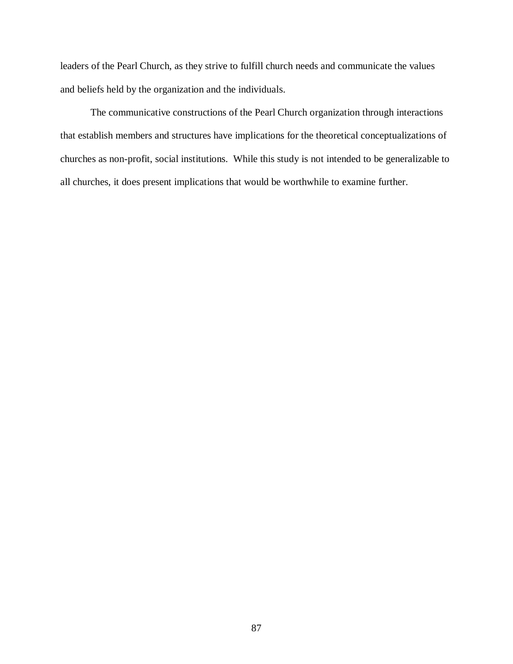leaders of the Pearl Church, as they strive to fulfill church needs and communicate the values and beliefs held by the organization and the individuals.

 The communicative constructions of the Pearl Church organization through interactions that establish members and structures have implications for the theoretical conceptualizations of churches as non-profit, social institutions. While this study is not intended to be generalizable to all churches, it does present implications that would be worthwhile to examine further.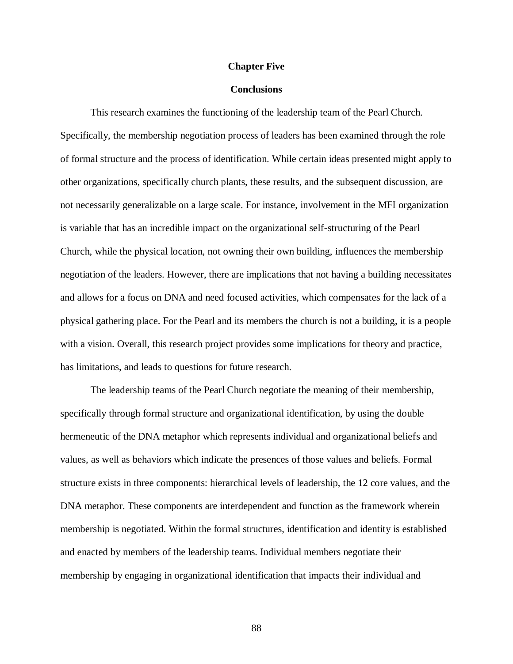#### **Chapter Five**

## **Conclusions**

 Specifically, the membership negotiation process of leaders has been examined through the role of formal structure and the process of identification. While certain ideas presented might apply to other organizations, specifically church plants, these results, and the subsequent discussion, are not necessarily generalizable on a large scale. For instance, involvement in the MFI organization is variable that has an incredible impact on the organizational self-structuring of the Pearl Church, while the physical location, not owning their own building, influences the membership negotiation of the leaders. However, there are implications that not having a building necessitates and allows for a focus on DNA and need focused activities, which compensates for the lack of a physical gathering place. For the Pearl and its members the church is not a building, it is a people with a vision. Overall, this research project provides some implications for theory and practice, has limitations, and leads to questions for future research. This research examines the functioning of the leadership team of the Pearl Church.

 The leadership teams of the Pearl Church negotiate the meaning of their membership, specifically through formal structure and organizational identification, by using the double hermeneutic of the DNA metaphor which represents individual and organizational beliefs and values, as well as behaviors which indicate the presences of those values and beliefs. Formal structure exists in three components: hierarchical levels of leadership, the 12 core values, and the DNA metaphor. These components are interdependent and function as the framework wherein membership is negotiated. Within the formal structures, identification and identity is established and enacted by members of the leadership teams. Individual members negotiate their membership by engaging in organizational identification that impacts their individual and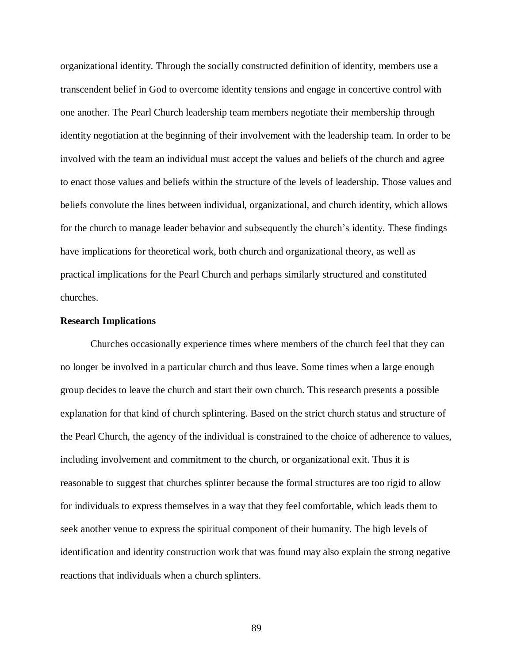organizational identity. Through the socially constructed definition of identity, members use a transcendent belief in God to overcome identity tensions and engage in concertive control with one another. The Pearl Church leadership team members negotiate their membership through identity negotiation at the beginning of their involvement with the leadership team. In order to be involved with the team an individual must accept the values and beliefs of the church and agree to enact those values and beliefs within the structure of the levels of leadership. Those values and beliefs convolute the lines between individual, organizational, and church identity, which allows for the church to manage leader behavior and subsequently the church's identity. These findings have implications for theoretical work, both church and organizational theory, as well as practical implications for the Pearl Church and perhaps similarly structured and constituted churches.

### **Research Implications**

 Churches occasionally experience times where members of the church feel that they can no longer be involved in a particular church and thus leave. Some times when a large enough group decides to leave the church and start their own church. This research presents a possible explanation for that kind of church splintering. Based on the strict church status and structure of the Pearl Church, the agency of the individual is constrained to the choice of adherence to values, including involvement and commitment to the church, or organizational exit. Thus it is reasonable to suggest that churches splinter because the formal structures are too rigid to allow for individuals to express themselves in a way that they feel comfortable, which leads them to seek another venue to express the spiritual component of their humanity. The high levels of identification and identity construction work that was found may also explain the strong negative reactions that individuals when a church splinters.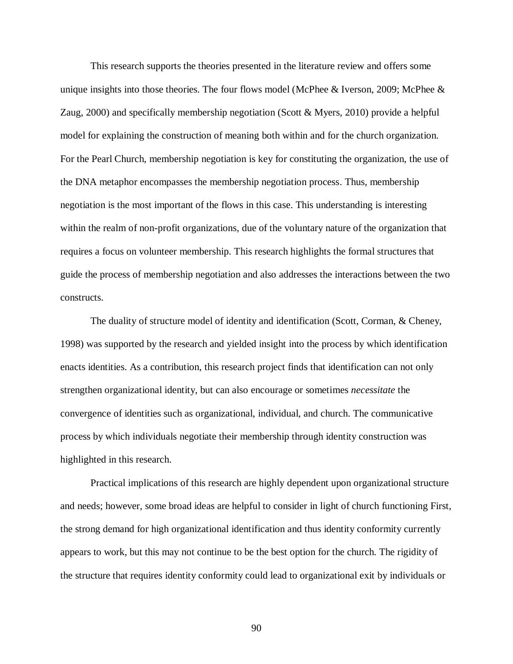This research supports the theories presented in the literature review and offers some unique insights into those theories. The four flows model (McPhee & Iverson, 2009; McPhee & Zaug, 2000) and specifically membership negotiation (Scott & Myers, 2010) provide a helpful model for explaining the construction of meaning both within and for the church organization. For the Pearl Church, membership negotiation is key for constituting the organization, the use of the DNA metaphor encompasses the membership negotiation process. Thus, membership negotiation is the most important of the flows in this case. This understanding is interesting within the realm of non-profit organizations, due of the voluntary nature of the organization that requires a focus on volunteer membership. This research highlights the formal structures that guide the process of membership negotiation and also addresses the interactions between the two constructs. constructs. The duality of structure model of identity and identification (Scott, Corman, & Cheney,

 1998) was supported by the research and yielded insight into the process by which identification enacts identities. As a contribution, this research project finds that identification can not only strengthen organizational identity, but can also encourage or sometimes *necessitate* the convergence of identities such as organizational, individual, and church. The communicative process by which individuals negotiate their membership through identity construction was highlighted in this research.

 Practical implications of this research are highly dependent upon organizational structure and needs; however, some broad ideas are helpful to consider in light of church functioning First, the strong demand for high organizational identification and thus identity conformity currently appears to work, but this may not continue to be the best option for the church. The rigidity of the structure that requires identity conformity could lead to organizational exit by individuals or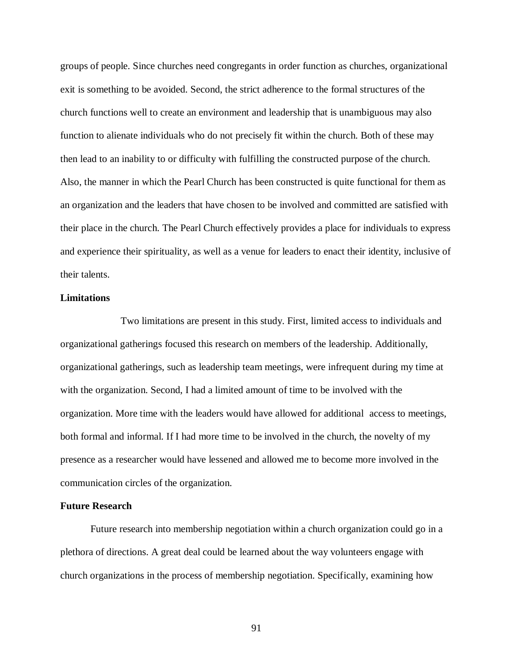groups of people. Since churches need congregants in order function as churches, organizational exit is something to be avoided. Second, the strict adherence to the formal structures of the church functions well to create an environment and leadership that is unambiguous may also function to alienate individuals who do not precisely fit within the church. Both of these may then lead to an inability to or difficulty with fulfilling the constructed purpose of the church. Also, the manner in which the Pearl Church has been constructed is quite functional for them as an organization and the leaders that have chosen to be involved and committed are satisfied with their place in the church. The Pearl Church effectively provides a place for individuals to express and experience their spirituality, as well as a venue for leaders to enact their identity, inclusive of their talents.

### **Limitations**

 Two limitations are present in this study. First, limited access to individuals and organizational gatherings focused this research on members of the leadership. Additionally, organizational gatherings, such as leadership team meetings, were infrequent during my time at with the organization. Second, I had a limited amount of time to be involved with the organization. More time with the leaders would have allowed for additional access to meetings, both formal and informal. If I had more time to be involved in the church, the novelty of my presence as a researcher would have lessened and allowed me to become more involved in the communication circles of the organization.

### **Future Research**

 Future research into membership negotiation within a church organization could go in a plethora of directions. A great deal could be learned about the way volunteers engage with church organizations in the process of membership negotiation. Specifically, examining how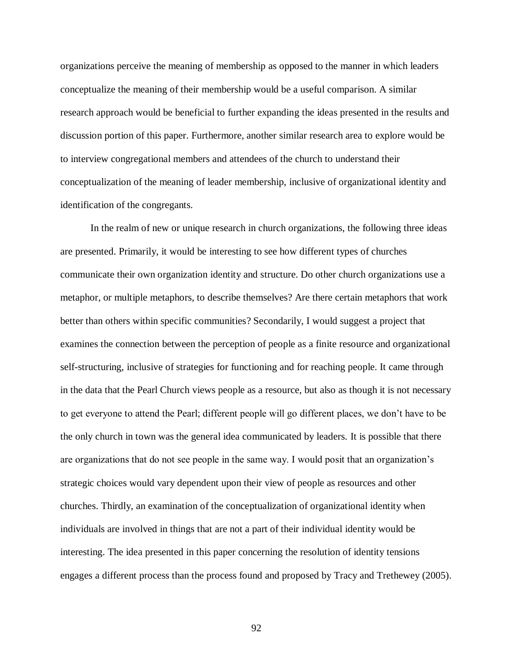organizations perceive the meaning of membership as opposed to the manner in which leaders conceptualize the meaning of their membership would be a useful comparison. A similar research approach would be beneficial to further expanding the ideas presented in the results and discussion portion of this paper. Furthermore, another similar research area to explore would be to interview congregational members and attendees of the church to understand their conceptualization of the meaning of leader membership, inclusive of organizational identity and identification of the congregants.

 In the realm of new or unique research in church organizations, the following three ideas are presented. Primarily, it would be interesting to see how different types of churches communicate their own organization identity and structure. Do other church organizations use a metaphor, or multiple metaphors, to describe themselves? Are there certain metaphors that work better than others within specific communities? Secondarily, I would suggest a project that examines the connection between the perception of people as a finite resource and organizational self-structuring, inclusive of strategies for functioning and for reaching people. It came through in the data that the Pearl Church views people as a resource, but also as though it is not necessary to get everyone to attend the Pearl; different people will go different places, we don"t have to be the only church in town was the general idea communicated by leaders. It is possible that there are organizations that do not see people in the same way. I would posit that an organization"s strategic choices would vary dependent upon their view of people as resources and other churches. Thirdly, an examination of the conceptualization of organizational identity when individuals are involved in things that are not a part of their individual identity would be interesting. The idea presented in this paper concerning the resolution of identity tensions engages a different process than the process found and proposed by Tracy and Trethewey (2005).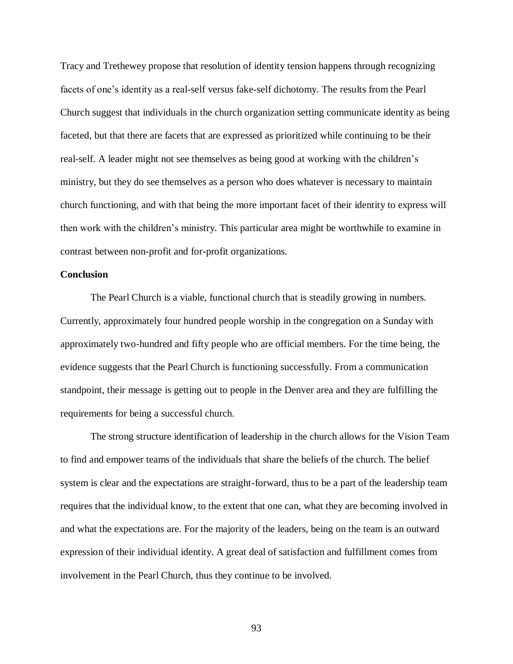Tracy and Trethewey propose that resolution of identity tension happens through recognizing facets of one's identity as a real-self versus fake-self dichotomy. The results from the Pearl Church suggest that individuals in the church organization setting communicate identity as being faceted, but that there are facets that are expressed as prioritized while continuing to be their real-self. A leader might not see themselves as being good at working with the children"s ministry, but they do see themselves as a person who does whatever is necessary to maintain church functioning, and with that being the more important facet of their identity to express will then work with the children"s ministry. This particular area might be worthwhile to examine in contrast between non-profit and for-profit organizations.

### **Conclusion**

 The Pearl Church is a viable, functional church that is steadily growing in numbers. Currently, approximately four hundred people worship in the congregation on a Sunday with approximately two-hundred and fifty people who are official members. For the time being, the evidence suggests that the Pearl Church is functioning successfully. From a communication standpoint, their message is getting out to people in the Denver area and they are fulfilling the requirements for being a successful church.

 to find and empower teams of the individuals that share the beliefs of the church. The belief system is clear and the expectations are straight-forward, thus to be a part of the leadership team requires that the individual know, to the extent that one can, what they are becoming involved in and what the expectations are. For the majority of the leaders, being on the team is an outward expression of their individual identity. A great deal of satisfaction and fulfillment comes from involvement in the Pearl Church, thus they continue to be involved. The strong structure identification of leadership in the church allows for the Vision Team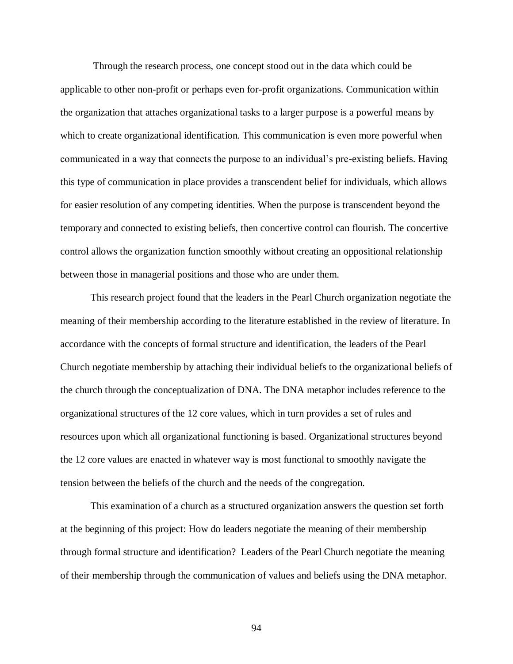Through the research process, one concept stood out in the data which could be applicable to other non-profit or perhaps even for-profit organizations. Communication within the organization that attaches organizational tasks to a larger purpose is a powerful means by which to create organizational identification. This communication is even more powerful when communicated in a way that connects the purpose to an individual"s pre-existing beliefs. Having this type of communication in place provides a transcendent belief for individuals, which allows for easier resolution of any competing identities. When the purpose is transcendent beyond the temporary and connected to existing beliefs, then concertive control can flourish. The concertive control allows the organization function smoothly without creating an oppositional relationship between those in managerial positions and those who are under them.

 This research project found that the leaders in the Pearl Church organization negotiate the meaning of their membership according to the literature established in the review of literature. In accordance with the concepts of formal structure and identification, the leaders of the Pearl Church negotiate membership by attaching their individual beliefs to the organizational beliefs of the church through the conceptualization of DNA. The DNA metaphor includes reference to the organizational structures of the 12 core values, which in turn provides a set of rules and resources upon which all organizational functioning is based. Organizational structures beyond the 12 core values are enacted in whatever way is most functional to smoothly navigate the tension between the beliefs of the church and the needs of the congregation.

 at the beginning of this project: How do leaders negotiate the meaning of their membership through formal structure and identification? Leaders of the Pearl Church negotiate the meaning of their membership through the communication of values and beliefs using the DNA metaphor. This examination of a church as a structured organization answers the question set forth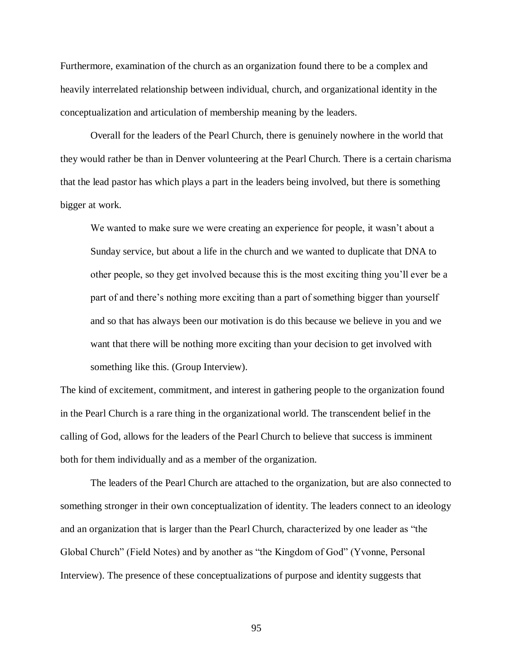Furthermore, examination of the church as an organization found there to be a complex and heavily interrelated relationship between individual, church, and organizational identity in the conceptualization and articulation of membership meaning by the leaders.

 Overall for the leaders of the Pearl Church, there is genuinely nowhere in the world that they would rather be than in Denver volunteering at the Pearl Church. There is a certain charisma that the lead pastor has which plays a part in the leaders being involved, but there is something bigger at work.

We wanted to make sure we were creating an experience for people, it wasn't about a Sunday service, but about a life in the church and we wanted to duplicate that DNA to other people, so they get involved because this is the most exciting thing you"ll ever be a part of and there"s nothing more exciting than a part of something bigger than yourself and so that has always been our motivation is do this because we believe in you and we want that there will be nothing more exciting than your decision to get involved with something like this. (Group Interview).

 The kind of excitement, commitment, and interest in gathering people to the organization found in the Pearl Church is a rare thing in the organizational world. The transcendent belief in the calling of God, allows for the leaders of the Pearl Church to believe that success is imminent both for them individually and as a member of the organization.

 The leaders of the Pearl Church are attached to the organization, but are also connected to something stronger in their own conceptualization of identity. The leaders connect to an ideology and an organization that is larger than the Pearl Church, characterized by one leader as "the Global Church" (Field Notes) and by another as "the Kingdom of God" (Yvonne, Personal Interview). The presence of these conceptualizations of purpose and identity suggests that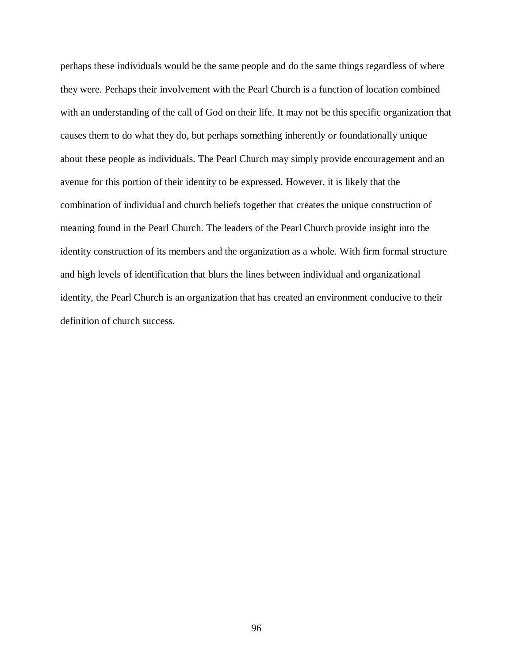perhaps these individuals would be the same people and do the same things regardless of where they were. Perhaps their involvement with the Pearl Church is a function of location combined with an understanding of the call of God on their life. It may not be this specific organization that causes them to do what they do, but perhaps something inherently or foundationally unique about these people as individuals. The Pearl Church may simply provide encouragement and an avenue for this portion of their identity to be expressed. However, it is likely that the combination of individual and church beliefs together that creates the unique construction of meaning found in the Pearl Church. The leaders of the Pearl Church provide insight into the identity construction of its members and the organization as a whole. With firm formal structure and high levels of identification that blurs the lines between individual and organizational identity, the Pearl Church is an organization that has created an environment conducive to their definition of church success.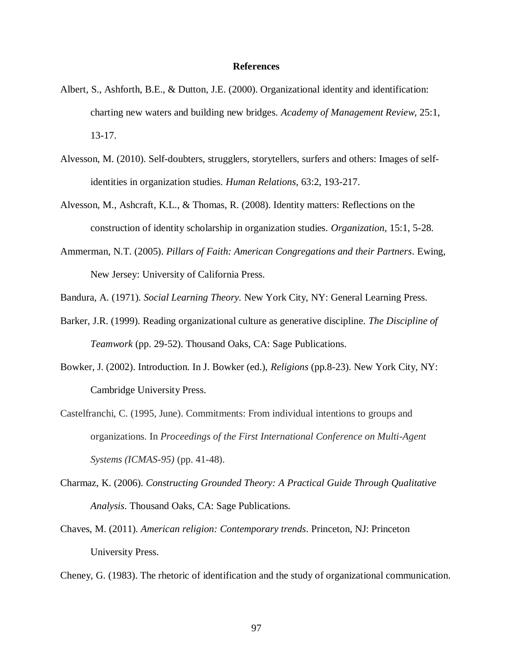#### **References**

- Albert, S., Ashforth, B.E., & Dutton, J.E. (2000). Organizational identity and identification: charting new waters and building new bridges. *Academy of Management Review*, 25:1, 13-17.
- Alvesson, M. (2010). Self-doubters, strugglers, storytellers, surfers and others: Images of self-identities in organization studies. *Human Relations*, 63:2, 193-217.
- Alvesson, M., Ashcraft, K.L., & Thomas, R. (2008). Identity matters: Reflections on the construction of identity scholarship in organization studies. *Organization*, 15:1, 5-28.
- Ammerman, N.T. (2005). *Pillars of Faith: American Congregations and their Partners*. Ewing, New Jersey: University of California Press.
- Bandura, A. (1971). *Social Learning Theory.* New York City, NY: General Learning Press.
- Barker, J.R. (1999). Reading organizational culture as generative discipline. *The Discipline of Teamwork* (pp. 29-52). Thousand Oaks, CA: Sage Publications.
- Bowker, J. (2002). Introduction. In J. Bowker (ed.), *Religions* (pp.8-23). New York City, NY: Cambridge University Press.
- Castelfranchi, C. (1995, June). Commitments: From individual intentions to groups and organizations. In *Proceedings of the First International Conference on Multi-Agent Systems (ICMAS-95)* (pp. 41-48).
- Charmaz, K. (2006). *Constructing Grounded Theory: A Practical Guide Through Qualitative Analysis*. Thousand Oaks, CA: Sage Publications.
- Chaves, M. (2011). *American religion: Contemporary trends*. Princeton, NJ: Princeton University Press.
- Cheney, G. (1983). The rhetoric of identification and the study of organizational communication.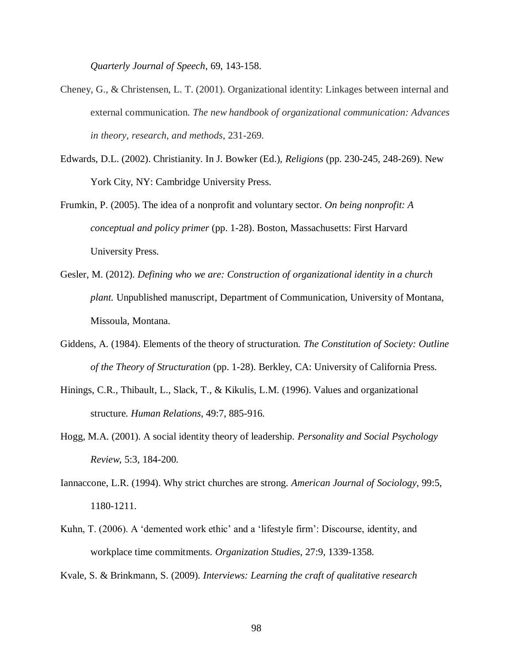*Quarterly Journal of Speech*, 69, 143-158.

- Cheney, G., & Christensen, L. T. (2001). Organizational identity: Linkages between internal and  external communication. *The new handbook of organizational communication: Advances in theory, research, and methods*, 231-269.
- Edwards, D.L. (2002). Christianity. In J. Bowker (Ed.), *Religions* (pp. 230-245, 248-269). New York City, NY: Cambridge University Press.
- Frumkin, P. (2005). The idea of a nonprofit and voluntary sector. *On being nonprofit: A conceptual and policy primer* (pp. 1-28). Boston, Massachusetts: First Harvard University Press.
- Gesler, M. (2012). *Defining who we are: Construction of organizational identity in a church plant.* Unpublished manuscript, Department of Communication, University of Montana, Missoula, Montana.
- Giddens, A. (1984). Elements of the theory of structuration. *The Constitution of Society: Outline of the Theory of Structuration* (pp. 1-28). Berkley, CA: University of California Press.
- Hinings, C.R., Thibault, L., Slack, T., & Kikulis, L.M. (1996). Values and organizational structure. *Human Relations*, 49:7, 885-916.
- Hogg, M.A. (2001). A social identity theory of leadership. *Personality and Social Psychology Review*, 5:3, 184-200.
- Iannaccone, L.R. (1994). Why strict churches are strong. *American Journal of Sociology*, 99:5, 1180-1211.
- Kuhn, T. (2006). A 'demented work ethic' and a 'lifestyle firm': Discourse, identity, and workplace time commitments. *Organization Studies*, 27:9, 1339-1358.

Kvale, S. & Brinkmann, S. (2009). *Interviews: Learning the craft of qualitative research*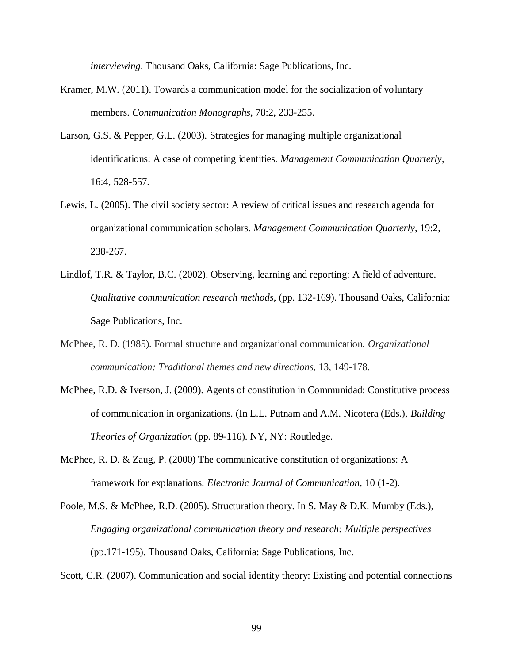*interviewing*. Thousand Oaks, California: Sage Publications, Inc.

- Kramer, M.W. (2011). Towards a communication model for the socialization of voluntary members. *Communication Monographs*, 78:2, 233-255.
- Larson, G.S. & Pepper, G.L. (2003). Strategies for managing multiple organizational identifications: A case of competing identities. *Management Communication Quarterly*, 16:4, 528-557.
- Lewis, L. (2005). The civil society sector: A review of critical issues and research agenda for organizational communication scholars. *Management Communication Quarterly*, 19:2, 238-267.
- Lindlof, T.R. & Taylor, B.C. (2002). Observing, learning and reporting: A field of adventure. *Qualitative communication research methods*, (pp. 132-169). Thousand Oaks, California: Sage Publications, Inc.
- McPhee, R. D. (1985). Formal structure and organizational communication. *Organizational communication: Traditional themes and new directions*, 13, 149-178.
- McPhee, R.D. & Iverson, J. (2009). Agents of constitution in Communidad: Constitutive process of communication in organizations. (In L.L. Putnam and A.M. Nicotera (Eds.), *Building Theories of Organization* (pp. 89-116). NY, NY: Routledge.
- McPhee, R. D. & Zaug, P. (2000) The communicative constitution of organizations: A framework for explanations. *Electronic Journal of Communication,* 10 (1-2).
- Poole, M.S. & McPhee, R.D. (2005). Structuration theory. In S. May & D.K. Mumby (Eds.),  *Engaging organizational communication theory and research: Multiple perspectives*  (pp.171-195). Thousand Oaks, California: Sage Publications, Inc. (pp.171-195). Thousand Oaks, California: Sage Publications, Inc.<br>Scott, C.R. (2007). Communication and social identity theory: Existing and potential connections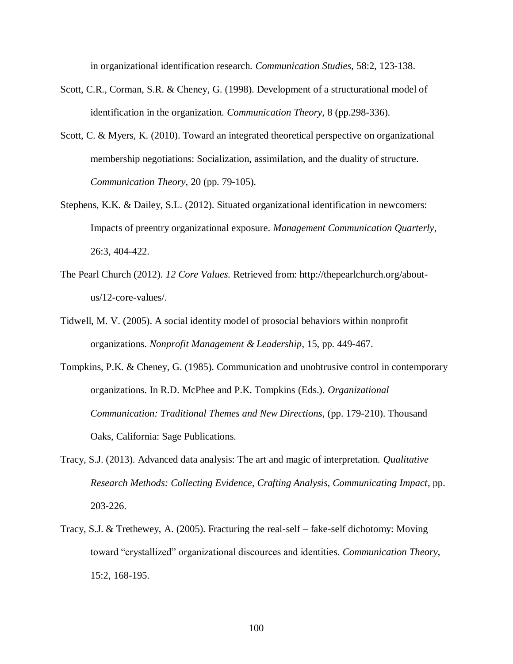in organizational identification research. *Communication Studies*, 58:2, 123-138.

- Scott, C.R., Corman, S.R. & Cheney, G. (1998). Development of a structurational model of identification in the organization. *Communication Theory,* 8 (pp.298-336).
- Scott, C. & Myers, K. (2010). Toward an integrated theoretical perspective on organizational membership negotiations: Socialization, assimilation, and the duality of structure. *Communication Theory,* 20 (pp. 79-105).
- Stephens, K.K. & Dailey, S.L. (2012). Situated organizational identification in newcomers: Impacts of preentry organizational exposure. *Management Communication Quarterly*, 26:3, 404-422.
- The Pearl Church (2012). *12 Core Values.* Retrieved from: http://thepearlchurch.org/aboutus/12-core-values/.
- Tidwell, M. V. (2005). A social identity model of prosocial behaviors within nonprofit organizations. *Nonprofit Management & Leadership*, 15, pp. 449-467.
- Tompkins, P.K. & Cheney, G. (1985). Communication and unobtrusive control in contemporary organizations. In R.D. McPhee and P.K. Tompkins (Eds.). *Organizational Communication: Traditional Themes and New Directions*, (pp. 179-210). Thousand Oaks, California: Sage Publications.
- Tracy, S.J. (2013). Advanced data analysis: The art and magic of interpretation. *Qualitative Research Methods: Collecting Evidence, Crafting Analysis, Communicating Impact*, pp. 203-226.
- Tracy, S.J. & Trethewey, A. (2005). Fracturing the real-self fake-self dichotomy: Moving toward "crystallized" organizational discources and identities. *Communication Theory*, 15:2, 168-195.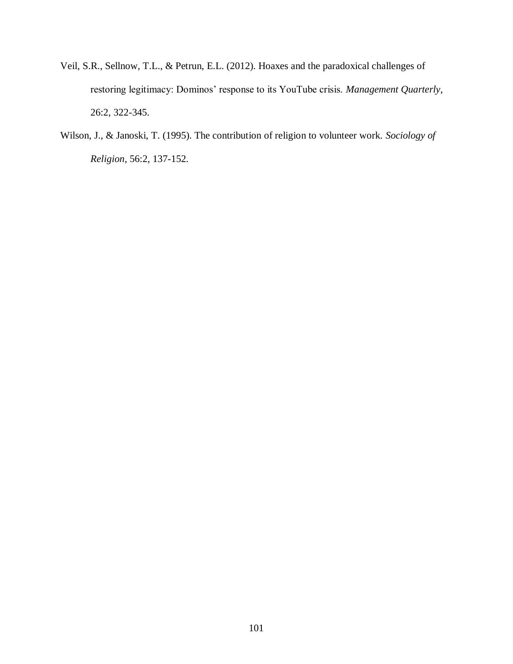- Veil, S.R., Sellnow, T.L., & Petrun, E.L. (2012). Hoaxes and the paradoxical challenges of restoring legitimacy: Dominos' response to its YouTube crisis. Management Quarterly, 26:2, 322-345.
- Wilson, J., & Janoski, T. (1995). The contribution of religion to volunteer work. *Sociology of Religion*, 56:2, 137-152.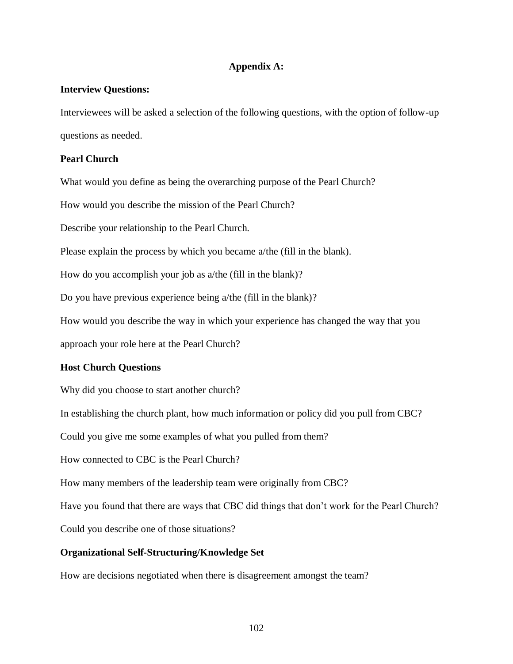# **Appendix A:**

# **Interview Questions:**

 Interviewees will be asked a selection of the following questions, with the option of follow-up questions as needed.

# **Pearl Church**

What would you define as being the overarching purpose of the Pearl Church?

How would you describe the mission of the Pearl Church?

Describe your relationship to the Pearl Church.

Please explain the process by which you became a/the (fill in the blank).

How do you accomplish your job as a/the (fill in the blank)?

Do you have previous experience being a/the (fill in the blank)?

How would you describe the way in which your experience has changed the way that you

approach your role here at the Pearl Church?

### **Host Church Questions**

Why did you choose to start another church?

In establishing the church plant, how much information or policy did you pull from CBC?

Could you give me some examples of what you pulled from them?

How connected to CBC is the Pearl Church?

How many members of the leadership team were originally from CBC?

Have you found that there are ways that CBC did things that don't work for the Pearl Church?

Could you describe one of those situations?

# **Organizational Self-Structuring/Knowledge Set**

How are decisions negotiated when there is disagreement amongst the team?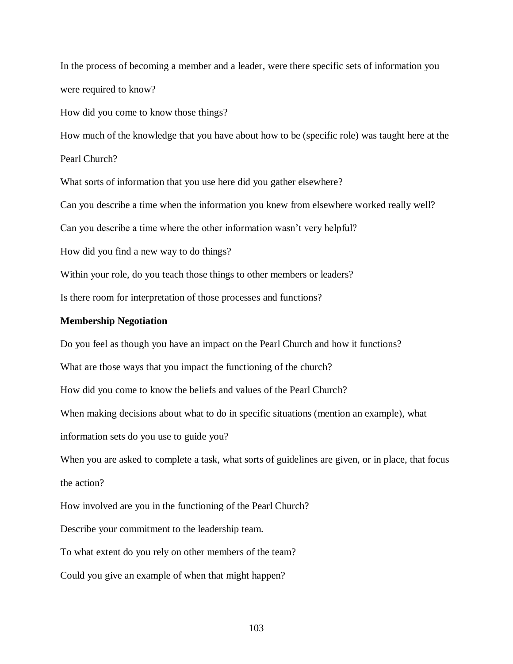In the process of becoming a member and a leader, were there specific sets of information you were required to know?

How did you come to know those things?

How much of the knowledge that you have about how to be (specific role) was taught here at the

Pearl Church?

What sorts of information that you use here did you gather elsewhere?

Can you describe a time when the information you knew from elsewhere worked really well?

Can you describe a time where the other information wasn"t very helpful?

How did you find a new way to do things?

Within your role, do you teach those things to other members or leaders?

Is there room for interpretation of those processes and functions?

## **Membership Negotiation**

Do you feel as though you have an impact on the Pearl Church and how it functions?

What are those ways that you impact the functioning of the church?

How did you come to know the beliefs and values of the Pearl Church?

When making decisions about what to do in specific situations (mention an example), what

information sets do you use to guide you?

 When you are asked to complete a task, what sorts of guidelines are given, or in place, that focus the action?

How involved are you in the functioning of the Pearl Church?

Describe your commitment to the leadership team.

To what extent do you rely on other members of the team?

Could you give an example of when that might happen?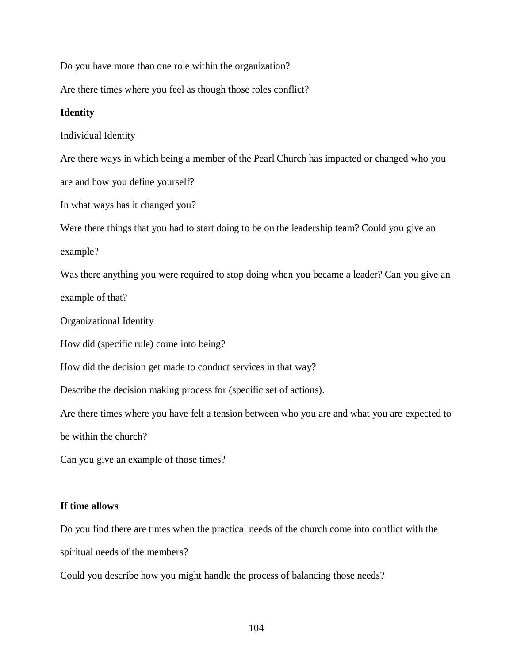Do you have more than one role within the organization?

Are there times where you feel as though those roles conflict?

## **Identity**

Individual Identity

Are there ways in which being a member of the Pearl Church has impacted or changed who you

are and how you define yourself?

In what ways has it changed you?

Were there things that you had to start doing to be on the leadership team? Could you give an

example?

 Was there anything you were required to stop doing when you became a leader? Can you give an example of that?

Organizational Identity

How did (specific rule) come into being?

How did the decision get made to conduct services in that way?

Describe the decision making process for (specific set of actions).

 Are there times where you have felt a tension between who you are and what you are expected to be within the church?

Can you give an example of those times?

## **If time allows**

 Do you find there are times when the practical needs of the church come into conflict with the spiritual needs of the members?

Could you describe how you might handle the process of balancing those needs?